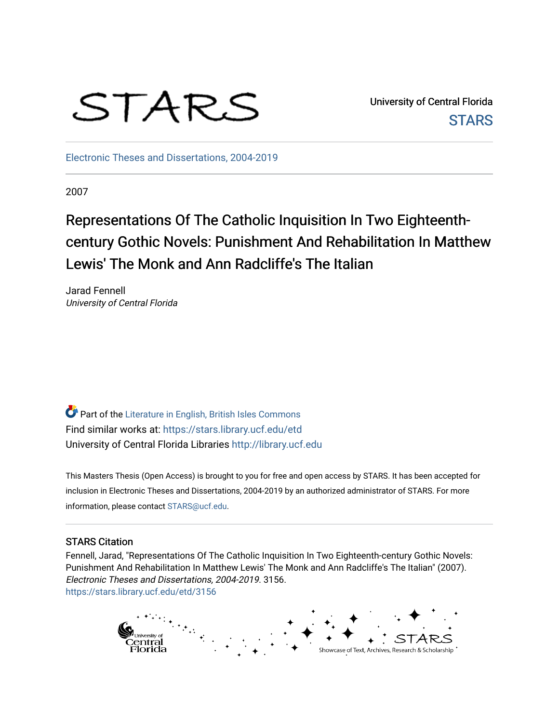

University of Central Florida **STARS** 

[Electronic Theses and Dissertations, 2004-2019](https://stars.library.ucf.edu/etd) 

2007

# Representations Of The Catholic Inquisition In Two Eighteenthcentury Gothic Novels: Punishment And Rehabilitation In Matthew Lewis' The Monk and Ann Radcliffe's The Italian

Jarad Fennell University of Central Florida

**Part of the [Literature in English, British Isles Commons](http://network.bepress.com/hgg/discipline/456?utm_source=stars.library.ucf.edu%2Fetd%2F3156&utm_medium=PDF&utm_campaign=PDFCoverPages)** Find similar works at: <https://stars.library.ucf.edu/etd> University of Central Florida Libraries [http://library.ucf.edu](http://library.ucf.edu/) 

This Masters Thesis (Open Access) is brought to you for free and open access by STARS. It has been accepted for inclusion in Electronic Theses and Dissertations, 2004-2019 by an authorized administrator of STARS. For more information, please contact [STARS@ucf.edu.](mailto:STARS@ucf.edu)

#### STARS Citation

Fennell, Jarad, "Representations Of The Catholic Inquisition In Two Eighteenth-century Gothic Novels: Punishment And Rehabilitation In Matthew Lewis' The Monk and Ann Radcliffe's The Italian" (2007). Electronic Theses and Dissertations, 2004-2019. 3156. [https://stars.library.ucf.edu/etd/3156](https://stars.library.ucf.edu/etd/3156?utm_source=stars.library.ucf.edu%2Fetd%2F3156&utm_medium=PDF&utm_campaign=PDFCoverPages) 

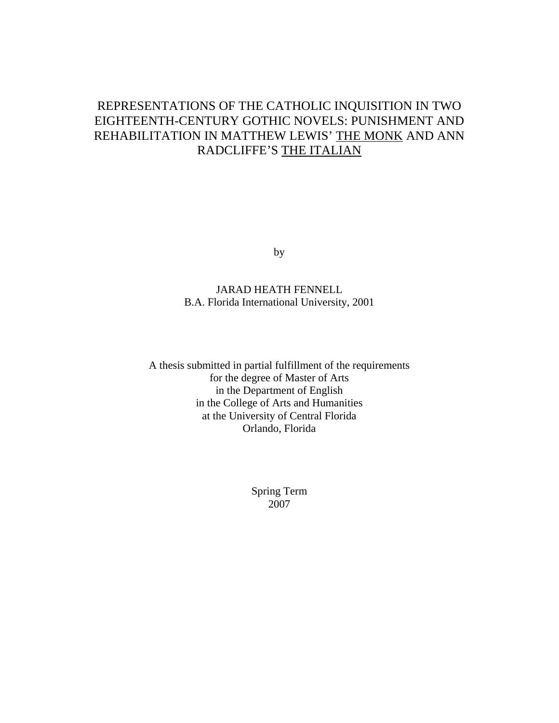# REPRESENTATIONS OF THE CATHOLIC INQUISITION IN TWO EIGHTEENTH-CENTURY GOTHIC NOVELS: PUNISHMENT AND REHABILITATION IN MATTHEW LEWIS' THE MONK AND ANN RADCLIFFE'S THE ITALIAN

by

JARAD HEATH FENNELL B.A. Florida International University, 2001

A thesis submitted in partial fulfillment of the requirements for the degree of Master of Arts in the Department of English in the College of Arts and Humanities at the University of Central Florida Orlando, Florida

> Spring Term 2007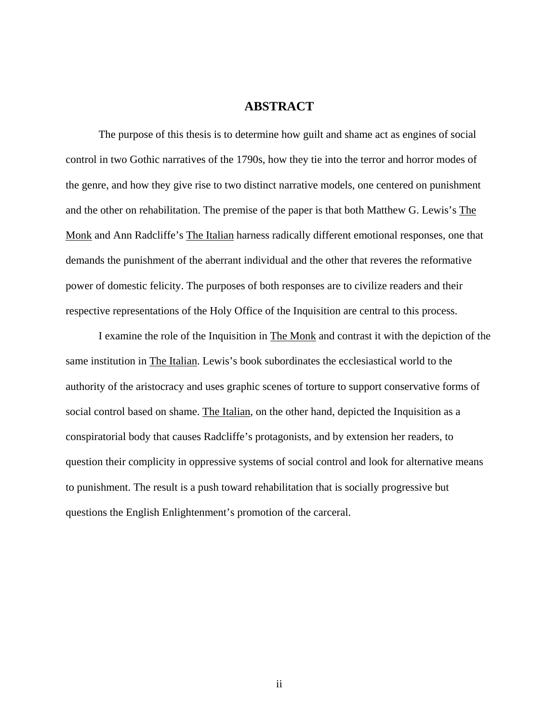## **ABSTRACT**

 The purpose of this thesis is to determine how guilt and shame act as engines of social control in two Gothic narratives of the 1790s, how they tie into the terror and horror modes of the genre, and how they give rise to two distinct narrative models, one centered on punishment and the other on rehabilitation. The premise of the paper is that both Matthew G. Lewis's The Monk and Ann Radcliffe's The Italian harness radically different emotional responses, one that demands the punishment of the aberrant individual and the other that reveres the reformative power of domestic felicity. The purposes of both responses are to civilize readers and their respective representations of the Holy Office of the Inquisition are central to this process.

 I examine the role of the Inquisition in The Monk and contrast it with the depiction of the same institution in The Italian. Lewis's book subordinates the ecclesiastical world to the authority of the aristocracy and uses graphic scenes of torture to support conservative forms of social control based on shame. The Italian, on the other hand, depicted the Inquisition as a conspiratorial body that causes Radcliffe's protagonists, and by extension her readers, to question their complicity in oppressive systems of social control and look for alternative means to punishment. The result is a push toward rehabilitation that is socially progressive but questions the English Enlightenment's promotion of the carceral.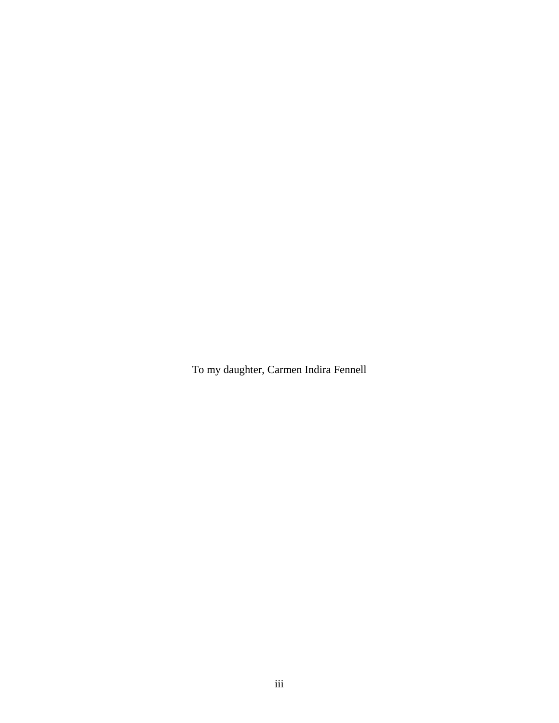To my daughter, Carmen Indira Fennell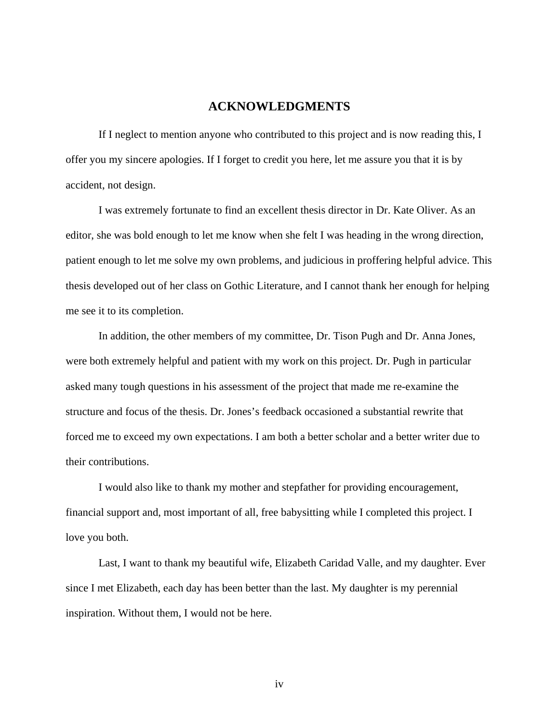## **ACKNOWLEDGMENTS**

If I neglect to mention anyone who contributed to this project and is now reading this, I offer you my sincere apologies. If I forget to credit you here, let me assure you that it is by accident, not design.

 I was extremely fortunate to find an excellent thesis director in Dr. Kate Oliver. As an editor, she was bold enough to let me know when she felt I was heading in the wrong direction, patient enough to let me solve my own problems, and judicious in proffering helpful advice. This thesis developed out of her class on Gothic Literature, and I cannot thank her enough for helping me see it to its completion.

 In addition, the other members of my committee, Dr. Tison Pugh and Dr. Anna Jones, were both extremely helpful and patient with my work on this project. Dr. Pugh in particular asked many tough questions in his assessment of the project that made me re-examine the structure and focus of the thesis. Dr. Jones's feedback occasioned a substantial rewrite that forced me to exceed my own expectations. I am both a better scholar and a better writer due to their contributions.

 I would also like to thank my mother and stepfather for providing encouragement, financial support and, most important of all, free babysitting while I completed this project. I love you both.

 Last, I want to thank my beautiful wife, Elizabeth Caridad Valle, and my daughter. Ever since I met Elizabeth, each day has been better than the last. My daughter is my perennial inspiration. Without them, I would not be here.

iv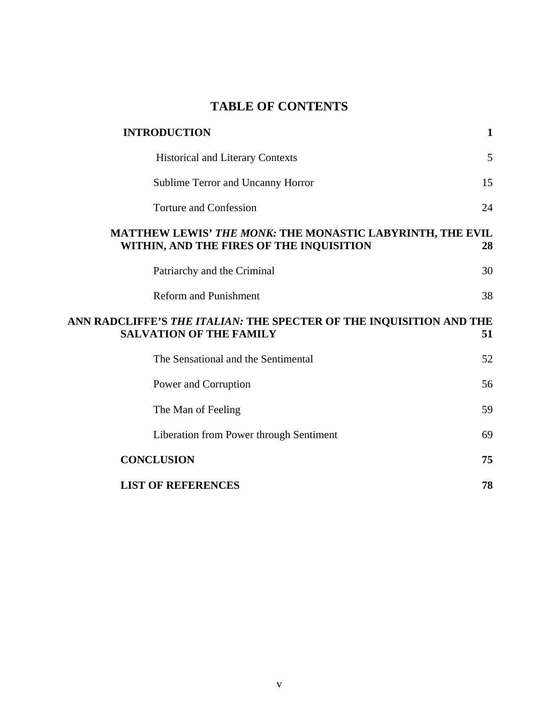# **TABLE OF CONTENTS**

| <b>INTRODUCTION</b>                                                                                           | 1  |
|---------------------------------------------------------------------------------------------------------------|----|
| <b>Historical and Literary Contexts</b>                                                                       | 5  |
| Sublime Terror and Uncanny Horror                                                                             | 15 |
| <b>Torture and Confession</b>                                                                                 | 24 |
| MATTHEW LEWIS' THE MONK: THE MONASTIC LABYRINTH, THE EVIL<br>WITHIN, AND THE FIRES OF THE INQUISITION         | 28 |
| Patriarchy and the Criminal                                                                                   | 30 |
| <b>Reform and Punishment</b>                                                                                  | 38 |
| ANN RADCLIFFE'S <i>THE ITALIAN</i> : THE SPECTER OF THE INQUISITION AND THE<br><b>SALVATION OF THE FAMILY</b> | 51 |
| The Sensational and the Sentimental                                                                           | 52 |
| Power and Corruption                                                                                          | 56 |
| The Man of Feeling                                                                                            | 59 |
| Liberation from Power through Sentiment                                                                       | 69 |
| <b>CONCLUSION</b>                                                                                             | 75 |
| <b>LIST OF REFERENCES</b>                                                                                     | 78 |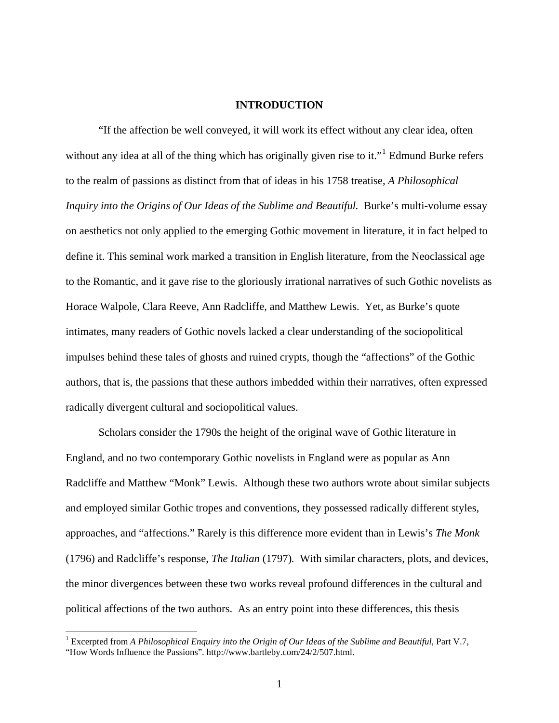#### **INTRODUCTION**

<span id="page-6-0"></span>"If the affection be well conveyed, it will work its effect without any clear idea, often without any idea at all of the thing which has originally given rise to it."<sup>[1](#page-6-1)</sup> Edmund Burke refers to the realm of passions as distinct from that of ideas in his 1758 treatise, *A Philosophical Inquiry into the Origins of Our Ideas of the Sublime and Beautiful.* Burke's multi-volume essay on aesthetics not only applied to the emerging Gothic movement in literature, it in fact helped to define it. This seminal work marked a transition in English literature, from the Neoclassical age to the Romantic, and it gave rise to the gloriously irrational narratives of such Gothic novelists as Horace Walpole, Clara Reeve, Ann Radcliffe, and Matthew Lewis. Yet, as Burke's quote intimates, many readers of Gothic novels lacked a clear understanding of the sociopolitical impulses behind these tales of ghosts and ruined crypts, though the "affections" of the Gothic authors, that is, the passions that these authors imbedded within their narratives, often expressed radically divergent cultural and sociopolitical values.

Scholars consider the 1790s the height of the original wave of Gothic literature in England, and no two contemporary Gothic novelists in England were as popular as Ann Radcliffe and Matthew "Monk" Lewis. Although these two authors wrote about similar subjects and employed similar Gothic tropes and conventions, they possessed radically different styles, approaches, and "affections." Rarely is this difference more evident than in Lewis's *The Monk*  (1796) and Radcliffe's response, *The Italian* (1797)*.* With similar characters, plots, and devices, the minor divergences between these two works reveal profound differences in the cultural and political affections of the two authors. As an entry point into these differences, this thesis

<span id="page-6-1"></span><sup>&</sup>lt;sup>1</sup> Excerpted from *A Philosophical Enquiry into the Origin of Our Ideas of the Sublime and Beautiful, Part V.7,* "How Words Influence the Passions". http://www.bartleby.com/24/2/507.html.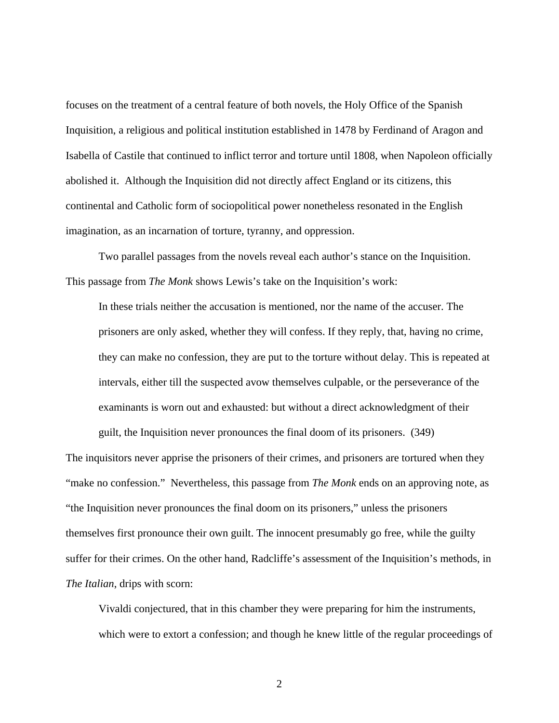focuses on the treatment of a central feature of both novels, the Holy Office of the Spanish Inquisition, a religious and political institution established in 1478 by Ferdinand of Aragon and Isabella of Castile that continued to inflict terror and torture until 1808, when Napoleon officially abolished it. Although the Inquisition did not directly affect England or its citizens, this continental and Catholic form of sociopolitical power nonetheless resonated in the English imagination, as an incarnation of torture, tyranny, and oppression.

Two parallel passages from the novels reveal each author's stance on the Inquisition. This passage from *The Monk* shows Lewis's take on the Inquisition's work:

In these trials neither the accusation is mentioned, nor the name of the accuser. The prisoners are only asked, whether they will confess. If they reply, that, having no crime, they can make no confession, they are put to the torture without delay. This is repeated at intervals, either till the suspected avow themselves culpable, or the perseverance of the examinants is worn out and exhausted: but without a direct acknowledgment of their guilt, the Inquisition never pronounces the final doom of its prisoners. (349)

The inquisitors never apprise the prisoners of their crimes, and prisoners are tortured when they "make no confession." Nevertheless, this passage from *The Monk* ends on an approving note, as "the Inquisition never pronounces the final doom on its prisoners," unless the prisoners themselves first pronounce their own guilt. The innocent presumably go free, while the guilty suffer for their crimes. On the other hand, Radcliffe's assessment of the Inquisition's methods, in *The Italian*, drips with scorn:

Vivaldi conjectured, that in this chamber they were preparing for him the instruments, which were to extort a confession; and though he knew little of the regular proceedings of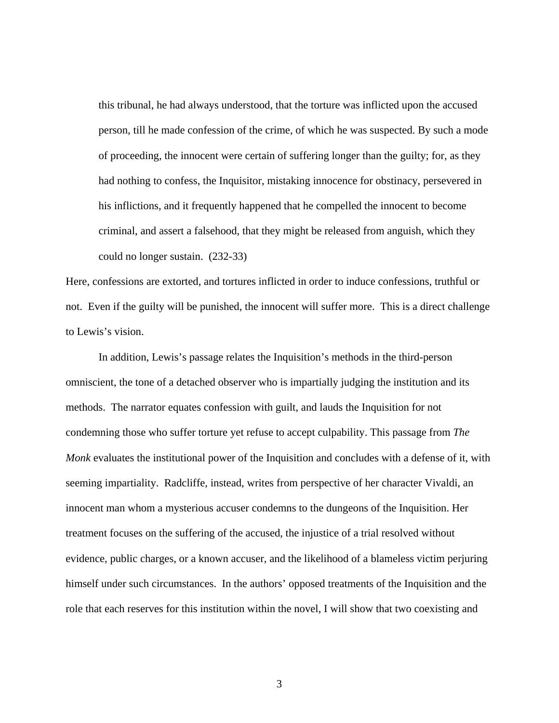this tribunal, he had always understood, that the torture was inflicted upon the accused person, till he made confession of the crime, of which he was suspected. By such a mode of proceeding, the innocent were certain of suffering longer than the guilty; for, as they had nothing to confess, the Inquisitor, mistaking innocence for obstinacy, persevered in his inflictions, and it frequently happened that he compelled the innocent to become criminal, and assert a falsehood, that they might be released from anguish, which they could no longer sustain. (232-33)

Here, confessions are extorted, and tortures inflicted in order to induce confessions, truthful or not. Even if the guilty will be punished, the innocent will suffer more. This is a direct challenge to Lewis's vision.

In addition, Lewis's passage relates the Inquisition's methods in the third-person omniscient, the tone of a detached observer who is impartially judging the institution and its methods. The narrator equates confession with guilt, and lauds the Inquisition for not condemning those who suffer torture yet refuse to accept culpability. This passage from *The Monk* evaluates the institutional power of the Inquisition and concludes with a defense of it, with seeming impartiality. Radcliffe, instead, writes from perspective of her character Vivaldi, an innocent man whom a mysterious accuser condemns to the dungeons of the Inquisition. Her treatment focuses on the suffering of the accused, the injustice of a trial resolved without evidence, public charges, or a known accuser, and the likelihood of a blameless victim perjuring himself under such circumstances. In the authors' opposed treatments of the Inquisition and the role that each reserves for this institution within the novel, I will show that two coexisting and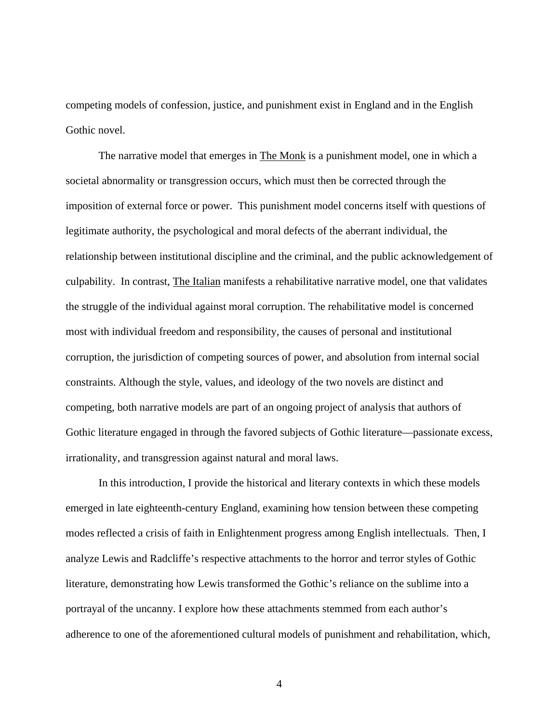competing models of confession, justice, and punishment exist in England and in the English Gothic novel.

The narrative model that emerges in The Monk is a punishment model, one in which a societal abnormality or transgression occurs, which must then be corrected through the imposition of external force or power. This punishment model concerns itself with questions of legitimate authority, the psychological and moral defects of the aberrant individual, the relationship between institutional discipline and the criminal, and the public acknowledgement of culpability. In contrast, The Italian manifests a rehabilitative narrative model, one that validates the struggle of the individual against moral corruption. The rehabilitative model is concerned most with individual freedom and responsibility, the causes of personal and institutional corruption, the jurisdiction of competing sources of power, and absolution from internal social constraints. Although the style, values, and ideology of the two novels are distinct and competing, both narrative models are part of an ongoing project of analysis that authors of Gothic literature engaged in through the favored subjects of Gothic literature—passionate excess, irrationality, and transgression against natural and moral laws.

In this introduction, I provide the historical and literary contexts in which these models emerged in late eighteenth-century England, examining how tension between these competing modes reflected a crisis of faith in Enlightenment progress among English intellectuals. Then, I analyze Lewis and Radcliffe's respective attachments to the horror and terror styles of Gothic literature, demonstrating how Lewis transformed the Gothic's reliance on the sublime into a portrayal of the uncanny. I explore how these attachments stemmed from each author's adherence to one of the aforementioned cultural models of punishment and rehabilitation, which,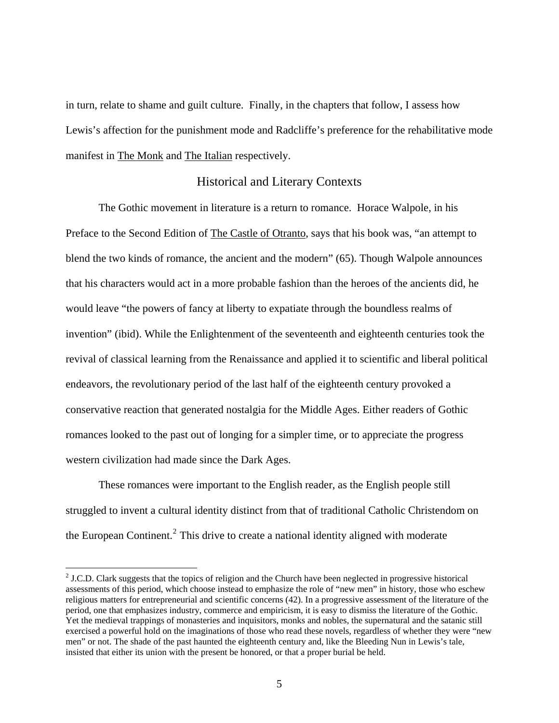<span id="page-10-0"></span>in turn, relate to shame and guilt culture. Finally, in the chapters that follow, I assess how Lewis's affection for the punishment mode and Radcliffe's preference for the rehabilitative mode manifest in The Monk and The Italian respectively.

#### Historical and Literary Contexts

 The Gothic movement in literature is a return to romance. Horace Walpole, in his Preface to the Second Edition of The Castle of Otranto, says that his book was, "an attempt to blend the two kinds of romance, the ancient and the modern" (65). Though Walpole announces that his characters would act in a more probable fashion than the heroes of the ancients did, he would leave "the powers of fancy at liberty to expatiate through the boundless realms of invention" (ibid). While the Enlightenment of the seventeenth and eighteenth centuries took the revival of classical learning from the Renaissance and applied it to scientific and liberal political endeavors, the revolutionary period of the last half of the eighteenth century provoked a conservative reaction that generated nostalgia for the Middle Ages. Either readers of Gothic romances looked to the past out of longing for a simpler time, or to appreciate the progress western civilization had made since the Dark Ages.

 These romances were important to the English reader, as the English people still struggled to invent a cultural identity distinct from that of traditional Catholic Christendom on the European Continent.<sup>[2](#page-10-1)</sup> This drive to create a national identity aligned with moderate

<span id="page-10-1"></span> $2$  J.C.D. Clark suggests that the topics of religion and the Church have been neglected in progressive historical assessments of this period, which choose instead to emphasize the role of "new men" in history, those who eschew religious matters for entrepreneurial and scientific concerns (42). In a progressive assessment of the literature of the period, one that emphasizes industry, commerce and empiricism, it is easy to dismiss the literature of the Gothic. Yet the medieval trappings of monasteries and inquisitors, monks and nobles, the supernatural and the satanic still exercised a powerful hold on the imaginations of those who read these novels, regardless of whether they were "new men" or not. The shade of the past haunted the eighteenth century and, like the Bleeding Nun in Lewis's tale, insisted that either its union with the present be honored, or that a proper burial be held.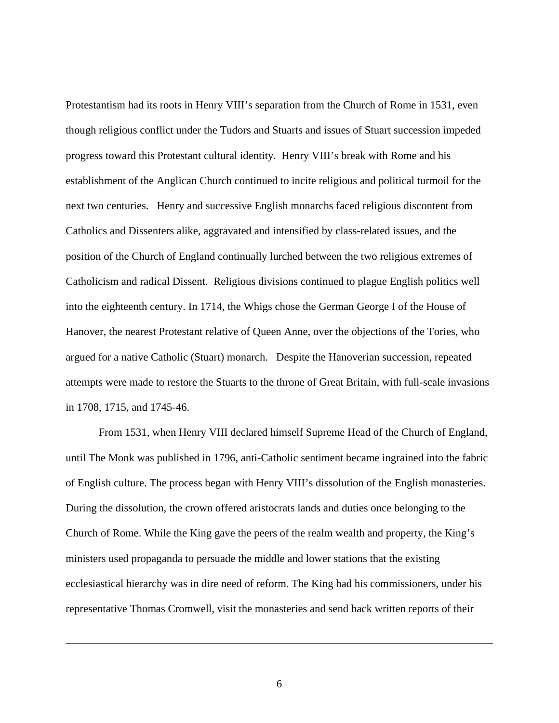Protestantism had its roots in Henry VIII's separation from the Church of Rome in 1531, even though religious conflict under the Tudors and Stuarts and issues of Stuart succession impeded progress toward this Protestant cultural identity. Henry VIII's break with Rome and his establishment of the Anglican Church continued to incite religious and political turmoil for the next two centuries. Henry and successive English monarchs faced religious discontent from Catholics and Dissenters alike, aggravated and intensified by class-related issues, and the position of the Church of England continually lurched between the two religious extremes of Catholicism and radical Dissent. Religious divisions continued to plague English politics well into the eighteenth century. In 1714, the Whigs chose the German George I of the House of Hanover, the nearest Protestant relative of Queen Anne, over the objections of the Tories, who argued for a native Catholic (Stuart) monarch. Despite the Hanoverian succession, repeated attempts were made to restore the Stuarts to the throne of Great Britain, with full-scale invasions in 1708, 1715, and 1745-46.

 From 1531, when Henry VIII declared himself Supreme Head of the Church of England, until The Monk was published in 1796, anti-Catholic sentiment became ingrained into the fabric of English culture. The process began with Henry VIII's dissolution of the English monasteries. During the dissolution, the crown offered aristocrats lands and duties once belonging to the Church of Rome. While the King gave the peers of the realm wealth and property, the King's ministers used propaganda to persuade the middle and lower stations that the existing ecclesiastical hierarchy was in dire need of reform. The King had his commissioners, under his representative Thomas Cromwell, visit the monasteries and send back written reports of their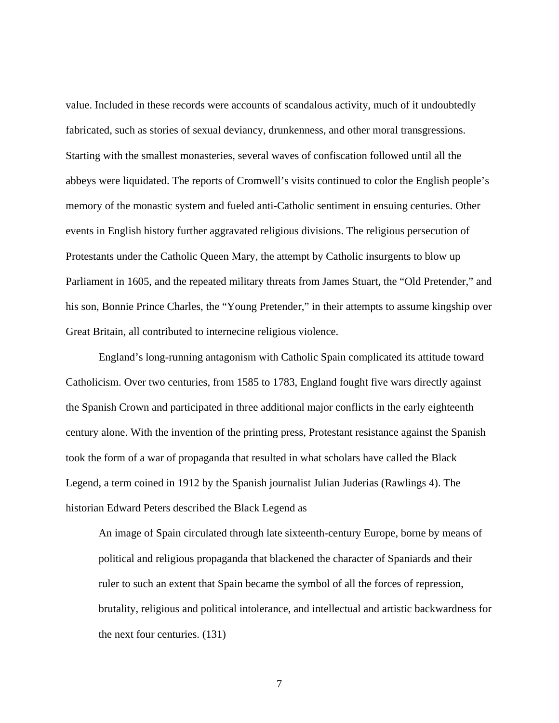value. Included in these records were accounts of scandalous activity, much of it undoubtedly fabricated, such as stories of sexual deviancy, drunkenness, and other moral transgressions. Starting with the smallest monasteries, several waves of confiscation followed until all the abbeys were liquidated. The reports of Cromwell's visits continued to color the English people's memory of the monastic system and fueled anti-Catholic sentiment in ensuing centuries. Other events in English history further aggravated religious divisions. The religious persecution of Protestants under the Catholic Queen Mary, the attempt by Catholic insurgents to blow up Parliament in 1605, and the repeated military threats from James Stuart, the "Old Pretender," and his son, Bonnie Prince Charles, the "Young Pretender," in their attempts to assume kingship over Great Britain, all contributed to internecine religious violence.

England's long-running antagonism with Catholic Spain complicated its attitude toward Catholicism. Over two centuries, from 1585 to 1783, England fought five wars directly against the Spanish Crown and participated in three additional major conflicts in the early eighteenth century alone. With the invention of the printing press, Protestant resistance against the Spanish took the form of a war of propaganda that resulted in what scholars have called the Black Legend, a term coined in 1912 by the Spanish journalist Julian Juderias (Rawlings 4). The historian Edward Peters described the Black Legend as

An image of Spain circulated through late sixteenth-century Europe, borne by means of political and religious propaganda that blackened the character of Spaniards and their ruler to such an extent that Spain became the symbol of all the forces of repression, brutality, religious and political intolerance, and intellectual and artistic backwardness for the next four centuries. (131)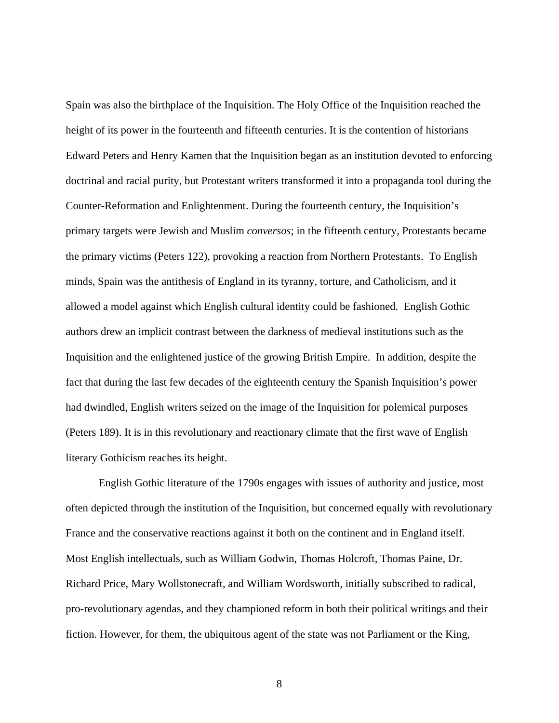Spain was also the birthplace of the Inquisition. The Holy Office of the Inquisition reached the height of its power in the fourteenth and fifteenth centuries. It is the contention of historians Edward Peters and Henry Kamen that the Inquisition began as an institution devoted to enforcing doctrinal and racial purity, but Protestant writers transformed it into a propaganda tool during the Counter-Reformation and Enlightenment. During the fourteenth century, the Inquisition's primary targets were Jewish and Muslim *conversos*; in the fifteenth century, Protestants became the primary victims (Peters 122), provoking a reaction from Northern Protestants. To English minds, Spain was the antithesis of England in its tyranny, torture, and Catholicism, and it allowed a model against which English cultural identity could be fashioned. English Gothic authors drew an implicit contrast between the darkness of medieval institutions such as the Inquisition and the enlightened justice of the growing British Empire. In addition, despite the fact that during the last few decades of the eighteenth century the Spanish Inquisition's power had dwindled, English writers seized on the image of the Inquisition for polemical purposes (Peters 189). It is in this revolutionary and reactionary climate that the first wave of English literary Gothicism reaches its height.

English Gothic literature of the 1790s engages with issues of authority and justice, most often depicted through the institution of the Inquisition, but concerned equally with revolutionary France and the conservative reactions against it both on the continent and in England itself. Most English intellectuals, such as William Godwin, Thomas Holcroft, Thomas Paine, Dr. Richard Price, Mary Wollstonecraft, and William Wordsworth, initially subscribed to radical, pro-revolutionary agendas, and they championed reform in both their political writings and their fiction. However, for them, the ubiquitous agent of the state was not Parliament or the King,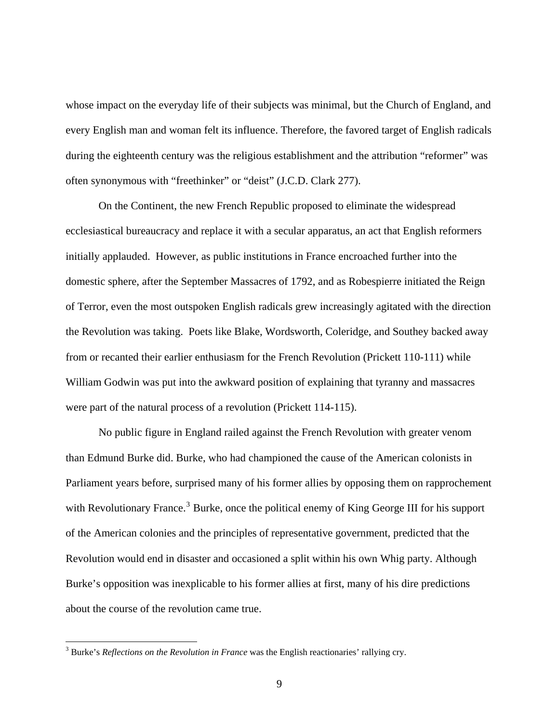whose impact on the everyday life of their subjects was minimal, but the Church of England, and every English man and woman felt its influence. Therefore, the favored target of English radicals during the eighteenth century was the religious establishment and the attribution "reformer" was often synonymous with "freethinker" or "deist" (J.C.D. Clark 277).

On the Continent, the new French Republic proposed to eliminate the widespread ecclesiastical bureaucracy and replace it with a secular apparatus, an act that English reformers initially applauded. However, as public institutions in France encroached further into the domestic sphere, after the September Massacres of 1792, and as Robespierre initiated the Reign of Terror, even the most outspoken English radicals grew increasingly agitated with the direction the Revolution was taking. Poets like Blake, Wordsworth, Coleridge, and Southey backed away from or recanted their earlier enthusiasm for the French Revolution (Prickett 110-111) while William Godwin was put into the awkward position of explaining that tyranny and massacres were part of the natural process of a revolution (Prickett 114-115).

No public figure in England railed against the French Revolution with greater venom than Edmund Burke did. Burke, who had championed the cause of the American colonists in Parliament years before, surprised many of his former allies by opposing them on rapprochement with Revolutionary France.<sup>[3](#page-14-0)</sup> Burke, once the political enemy of King George III for his support of the American colonies and the principles of representative government, predicted that the Revolution would end in disaster and occasioned a split within his own Whig party. Although Burke's opposition was inexplicable to his former allies at first, many of his dire predictions about the course of the revolution came true.

<span id="page-14-0"></span><sup>&</sup>lt;sup>3</sup> Burke's *Reflections on the Revolution in France* was the English reactionaries' rallying cry.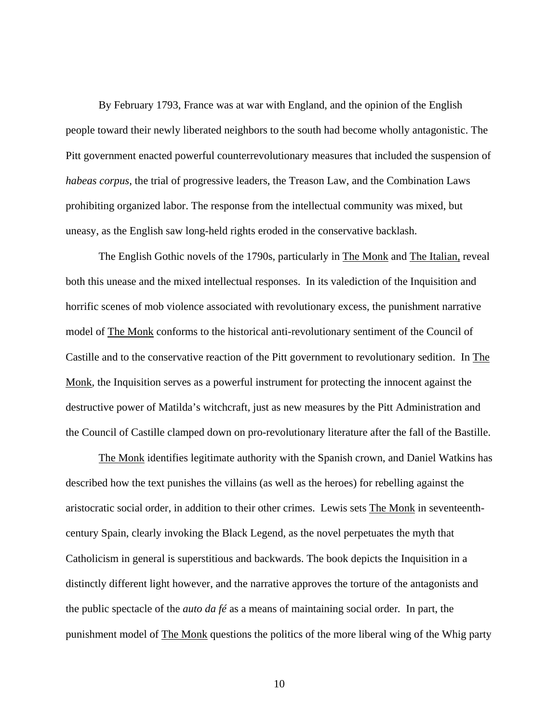By February 1793, France was at war with England, and the opinion of the English people toward their newly liberated neighbors to the south had become wholly antagonistic. The Pitt government enacted powerful counterrevolutionary measures that included the suspension of *habeas corpus*, the trial of progressive leaders, the Treason Law, and the Combination Laws prohibiting organized labor. The response from the intellectual community was mixed, but uneasy, as the English saw long-held rights eroded in the conservative backlash.

The English Gothic novels of the 1790s, particularly in The Monk and The Italian, reveal both this unease and the mixed intellectual responses. In its valediction of the Inquisition and horrific scenes of mob violence associated with revolutionary excess, the punishment narrative model of The Monk conforms to the historical anti-revolutionary sentiment of the Council of Castille and to the conservative reaction of the Pitt government to revolutionary sedition. In The Monk, the Inquisition serves as a powerful instrument for protecting the innocent against the destructive power of Matilda's witchcraft, just as new measures by the Pitt Administration and the Council of Castille clamped down on pro-revolutionary literature after the fall of the Bastille.

The Monk identifies legitimate authority with the Spanish crown, and Daniel Watkins has described how the text punishes the villains (as well as the heroes) for rebelling against the aristocratic social order, in addition to their other crimes. Lewis sets The Monk in seventeenthcentury Spain, clearly invoking the Black Legend, as the novel perpetuates the myth that Catholicism in general is superstitious and backwards. The book depicts the Inquisition in a distinctly different light however, and the narrative approves the torture of the antagonists and the public spectacle of the *auto da fé* as a means of maintaining social order*.* In part, the punishment model of The Monk questions the politics of the more liberal wing of the Whig party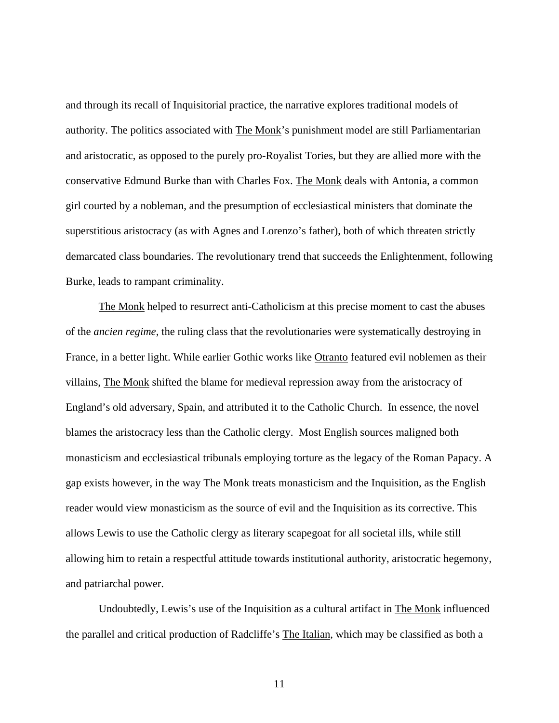and through its recall of Inquisitorial practice, the narrative explores traditional models of authority. The politics associated with The Monk's punishment model are still Parliamentarian and aristocratic, as opposed to the purely pro-Royalist Tories, but they are allied more with the conservative Edmund Burke than with Charles Fox. The Monk deals with Antonia, a common girl courted by a nobleman, and the presumption of ecclesiastical ministers that dominate the superstitious aristocracy (as with Agnes and Lorenzo's father), both of which threaten strictly demarcated class boundaries. The revolutionary trend that succeeds the Enlightenment, following Burke, leads to rampant criminality.

The Monk helped to resurrect anti-Catholicism at this precise moment to cast the abuses of the *ancien regime*, the ruling class that the revolutionaries were systematically destroying in France, in a better light. While earlier Gothic works like Otranto featured evil noblemen as their villains, The Monk shifted the blame for medieval repression away from the aristocracy of England's old adversary, Spain, and attributed it to the Catholic Church. In essence, the novel blames the aristocracy less than the Catholic clergy. Most English sources maligned both monasticism and ecclesiastical tribunals employing torture as the legacy of the Roman Papacy. A gap exists however, in the way The Monk treats monasticism and the Inquisition, as the English reader would view monasticism as the source of evil and the Inquisition as its corrective. This allows Lewis to use the Catholic clergy as literary scapegoat for all societal ills, while still allowing him to retain a respectful attitude towards institutional authority, aristocratic hegemony, and patriarchal power.

Undoubtedly, Lewis's use of the Inquisition as a cultural artifact in The Monk influenced the parallel and critical production of Radcliffe's The Italian, which may be classified as both a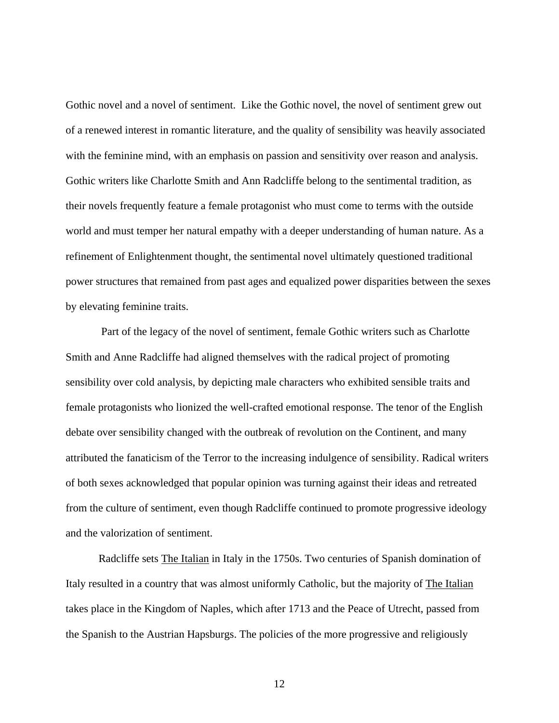Gothic novel and a novel of sentiment. Like the Gothic novel, the novel of sentiment grew out of a renewed interest in romantic literature, and the quality of sensibility was heavily associated with the feminine mind, with an emphasis on passion and sensitivity over reason and analysis. Gothic writers like Charlotte Smith and Ann Radcliffe belong to the sentimental tradition, as their novels frequently feature a female protagonist who must come to terms with the outside world and must temper her natural empathy with a deeper understanding of human nature. As a refinement of Enlightenment thought, the sentimental novel ultimately questioned traditional power structures that remained from past ages and equalized power disparities between the sexes by elevating feminine traits.

 Part of the legacy of the novel of sentiment, female Gothic writers such as Charlotte Smith and Anne Radcliffe had aligned themselves with the radical project of promoting sensibility over cold analysis, by depicting male characters who exhibited sensible traits and female protagonists who lionized the well-crafted emotional response. The tenor of the English debate over sensibility changed with the outbreak of revolution on the Continent, and many attributed the fanaticism of the Terror to the increasing indulgence of sensibility. Radical writers of both sexes acknowledged that popular opinion was turning against their ideas and retreated from the culture of sentiment, even though Radcliffe continued to promote progressive ideology and the valorization of sentiment.

Radcliffe sets The Italian in Italy in the 1750s. Two centuries of Spanish domination of Italy resulted in a country that was almost uniformly Catholic, but the majority of The Italian takes place in the Kingdom of Naples, which after 1713 and the Peace of Utrecht, passed from the Spanish to the Austrian Hapsburgs. The policies of the more progressive and religiously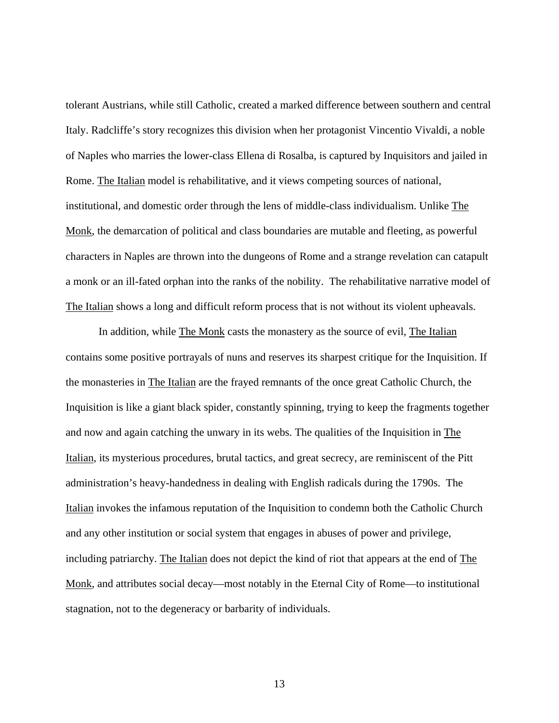tolerant Austrians, while still Catholic, created a marked difference between southern and central Italy. Radcliffe's story recognizes this division when her protagonist Vincentio Vivaldi, a noble of Naples who marries the lower-class Ellena di Rosalba, is captured by Inquisitors and jailed in Rome. The Italian model is rehabilitative, and it views competing sources of national, institutional, and domestic order through the lens of middle-class individualism. Unlike The Monk, the demarcation of political and class boundaries are mutable and fleeting, as powerful characters in Naples are thrown into the dungeons of Rome and a strange revelation can catapult a monk or an ill-fated orphan into the ranks of the nobility. The rehabilitative narrative model of The Italian shows a long and difficult reform process that is not without its violent upheavals.

In addition, while The Monk casts the monastery as the source of evil, The Italian contains some positive portrayals of nuns and reserves its sharpest critique for the Inquisition. If the monasteries in The Italian are the frayed remnants of the once great Catholic Church, the Inquisition is like a giant black spider, constantly spinning, trying to keep the fragments together and now and again catching the unwary in its webs. The qualities of the Inquisition in The Italian, its mysterious procedures, brutal tactics, and great secrecy, are reminiscent of the Pitt administration's heavy-handedness in dealing with English radicals during the 1790s. The Italian invokes the infamous reputation of the Inquisition to condemn both the Catholic Church and any other institution or social system that engages in abuses of power and privilege, including patriarchy. The Italian does not depict the kind of riot that appears at the end of The Monk, and attributes social decay—most notably in the Eternal City of Rome—to institutional stagnation, not to the degeneracy or barbarity of individuals.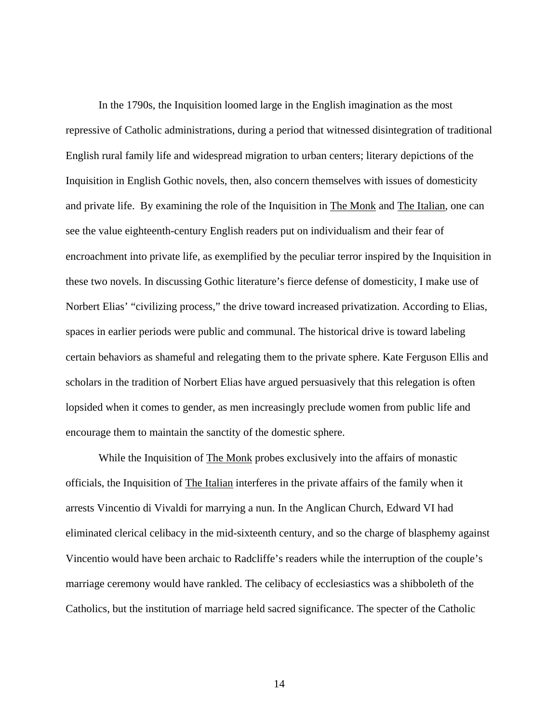In the 1790s, the Inquisition loomed large in the English imagination as the most repressive of Catholic administrations, during a period that witnessed disintegration of traditional English rural family life and widespread migration to urban centers; literary depictions of the Inquisition in English Gothic novels, then, also concern themselves with issues of domesticity and private life. By examining the role of the Inquisition in The Monk and The Italian, one can see the value eighteenth-century English readers put on individualism and their fear of encroachment into private life, as exemplified by the peculiar terror inspired by the Inquisition in these two novels. In discussing Gothic literature's fierce defense of domesticity, I make use of Norbert Elias' "civilizing process," the drive toward increased privatization. According to Elias, spaces in earlier periods were public and communal. The historical drive is toward labeling certain behaviors as shameful and relegating them to the private sphere. Kate Ferguson Ellis and scholars in the tradition of Norbert Elias have argued persuasively that this relegation is often lopsided when it comes to gender, as men increasingly preclude women from public life and encourage them to maintain the sanctity of the domestic sphere.

While the Inquisition of The Monk probes exclusively into the affairs of monastic officials, the Inquisition of The Italian interferes in the private affairs of the family when it arrests Vincentio di Vivaldi for marrying a nun. In the Anglican Church, Edward VI had eliminated clerical celibacy in the mid-sixteenth century, and so the charge of blasphemy against Vincentio would have been archaic to Radcliffe's readers while the interruption of the couple's marriage ceremony would have rankled. The celibacy of ecclesiastics was a shibboleth of the Catholics, but the institution of marriage held sacred significance. The specter of the Catholic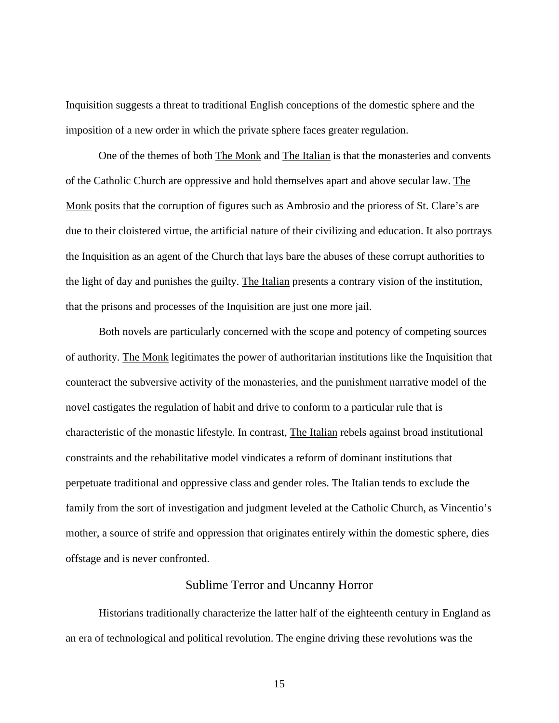<span id="page-20-0"></span>Inquisition suggests a threat to traditional English conceptions of the domestic sphere and the imposition of a new order in which the private sphere faces greater regulation.

 One of the themes of both The Monk and The Italian is that the monasteries and convents of the Catholic Church are oppressive and hold themselves apart and above secular law. The Monk posits that the corruption of figures such as Ambrosio and the prioress of St. Clare's are due to their cloistered virtue, the artificial nature of their civilizing and education. It also portrays the Inquisition as an agent of the Church that lays bare the abuses of these corrupt authorities to the light of day and punishes the guilty. The Italian presents a contrary vision of the institution, that the prisons and processes of the Inquisition are just one more jail.

 Both novels are particularly concerned with the scope and potency of competing sources of authority. The Monk legitimates the power of authoritarian institutions like the Inquisition that counteract the subversive activity of the monasteries, and the punishment narrative model of the novel castigates the regulation of habit and drive to conform to a particular rule that is characteristic of the monastic lifestyle. In contrast, The Italian rebels against broad institutional constraints and the rehabilitative model vindicates a reform of dominant institutions that perpetuate traditional and oppressive class and gender roles. The Italian tends to exclude the family from the sort of investigation and judgment leveled at the Catholic Church, as Vincentio's mother, a source of strife and oppression that originates entirely within the domestic sphere, dies offstage and is never confronted.

## Sublime Terror and Uncanny Horror

Historians traditionally characterize the latter half of the eighteenth century in England as an era of technological and political revolution. The engine driving these revolutions was the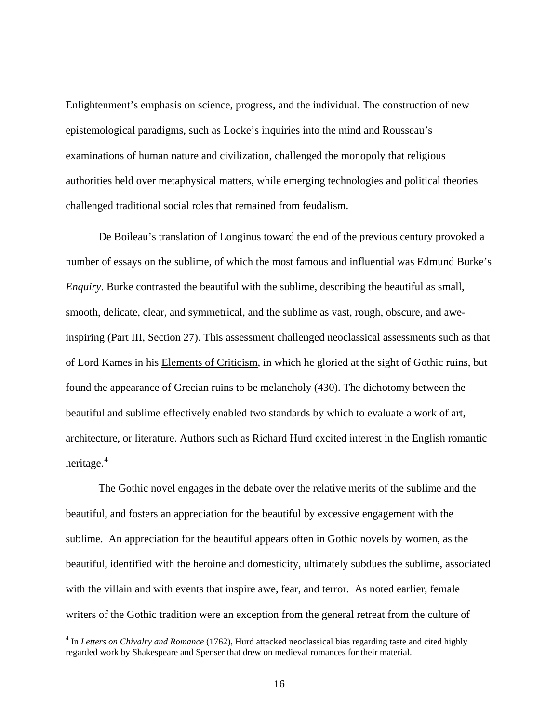Enlightenment's emphasis on science, progress, and the individual. The construction of new epistemological paradigms, such as Locke's inquiries into the mind and Rousseau's examinations of human nature and civilization, challenged the monopoly that religious authorities held over metaphysical matters, while emerging technologies and political theories challenged traditional social roles that remained from feudalism.

 De Boileau's translation of Longinus toward the end of the previous century provoked a number of essays on the sublime, of which the most famous and influential was Edmund Burke's *Enquiry*. Burke contrasted the beautiful with the sublime, describing the beautiful as small, smooth, delicate, clear, and symmetrical, and the sublime as vast, rough, obscure, and aweinspiring (Part III, Section 27). This assessment challenged neoclassical assessments such as that of Lord Kames in his Elements of Criticism, in which he gloried at the sight of Gothic ruins, but found the appearance of Grecian ruins to be melancholy (430). The dichotomy between the beautiful and sublime effectively enabled two standards by which to evaluate a work of art, architecture, or literature. Authors such as Richard Hurd excited interest in the English romantic heritage.<sup>[4](#page-21-0)</sup>

 The Gothic novel engages in the debate over the relative merits of the sublime and the beautiful, and fosters an appreciation for the beautiful by excessive engagement with the sublime. An appreciation for the beautiful appears often in Gothic novels by women, as the beautiful, identified with the heroine and domesticity, ultimately subdues the sublime, associated with the villain and with events that inspire awe, fear, and terror. As noted earlier, female writers of the Gothic tradition were an exception from the general retreat from the culture of

<span id="page-21-0"></span><sup>&</sup>lt;sup>4</sup> In *Letters on Chivalry and Romance* (1762), Hurd attacked neoclassical bias regarding taste and cited highly regarded work by Shakespeare and Spenser that drew on medieval romances for their material.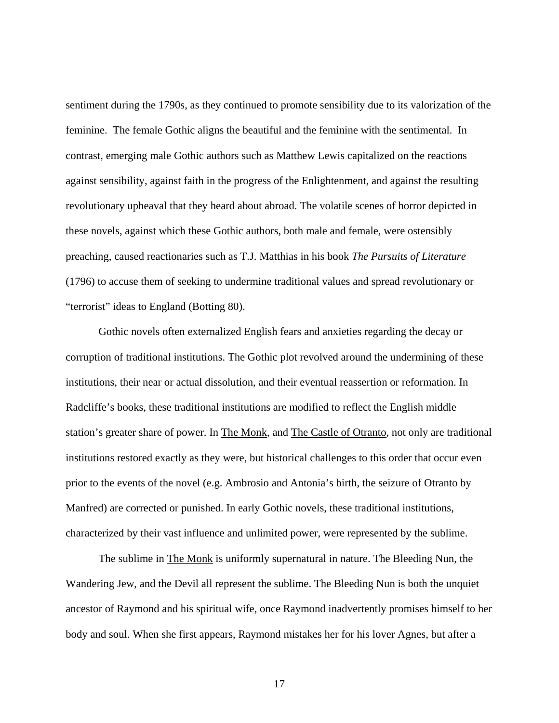sentiment during the 1790s, as they continued to promote sensibility due to its valorization of the feminine. The female Gothic aligns the beautiful and the feminine with the sentimental. In contrast, emerging male Gothic authors such as Matthew Lewis capitalized on the reactions against sensibility, against faith in the progress of the Enlightenment, and against the resulting revolutionary upheaval that they heard about abroad. The volatile scenes of horror depicted in these novels, against which these Gothic authors, both male and female, were ostensibly preaching, caused reactionaries such as T.J. Matthias in his book *The Pursuits of Literature*  (1796) to accuse them of seeking to undermine traditional values and spread revolutionary or "terrorist" ideas to England (Botting 80).

Gothic novels often externalized English fears and anxieties regarding the decay or corruption of traditional institutions. The Gothic plot revolved around the undermining of these institutions, their near or actual dissolution, and their eventual reassertion or reformation. In Radcliffe's books, these traditional institutions are modified to reflect the English middle station's greater share of power. In The Monk, and The Castle of Otranto, not only are traditional institutions restored exactly as they were, but historical challenges to this order that occur even prior to the events of the novel (e.g. Ambrosio and Antonia's birth, the seizure of Otranto by Manfred) are corrected or punished. In early Gothic novels, these traditional institutions, characterized by their vast influence and unlimited power, were represented by the sublime.

The sublime in The Monk is uniformly supernatural in nature. The Bleeding Nun, the Wandering Jew, and the Devil all represent the sublime. The Bleeding Nun is both the unquiet ancestor of Raymond and his spiritual wife, once Raymond inadvertently promises himself to her body and soul. When she first appears, Raymond mistakes her for his lover Agnes, but after a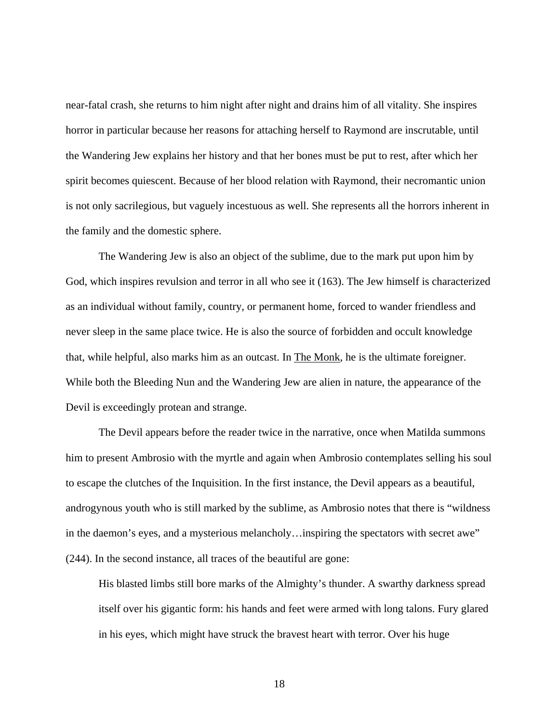near-fatal crash, she returns to him night after night and drains him of all vitality. She inspires horror in particular because her reasons for attaching herself to Raymond are inscrutable, until the Wandering Jew explains her history and that her bones must be put to rest, after which her spirit becomes quiescent. Because of her blood relation with Raymond, their necromantic union is not only sacrilegious, but vaguely incestuous as well. She represents all the horrors inherent in the family and the domestic sphere.

The Wandering Jew is also an object of the sublime, due to the mark put upon him by God, which inspires revulsion and terror in all who see it (163). The Jew himself is characterized as an individual without family, country, or permanent home, forced to wander friendless and never sleep in the same place twice. He is also the source of forbidden and occult knowledge that, while helpful, also marks him as an outcast. In The Monk, he is the ultimate foreigner. While both the Bleeding Nun and the Wandering Jew are alien in nature, the appearance of the Devil is exceedingly protean and strange.

The Devil appears before the reader twice in the narrative, once when Matilda summons him to present Ambrosio with the myrtle and again when Ambrosio contemplates selling his soul to escape the clutches of the Inquisition. In the first instance, the Devil appears as a beautiful, androgynous youth who is still marked by the sublime, as Ambrosio notes that there is "wildness in the daemon's eyes, and a mysterious melancholy…inspiring the spectators with secret awe" (244). In the second instance, all traces of the beautiful are gone:

His blasted limbs still bore marks of the Almighty's thunder. A swarthy darkness spread itself over his gigantic form: his hands and feet were armed with long talons. Fury glared in his eyes, which might have struck the bravest heart with terror. Over his huge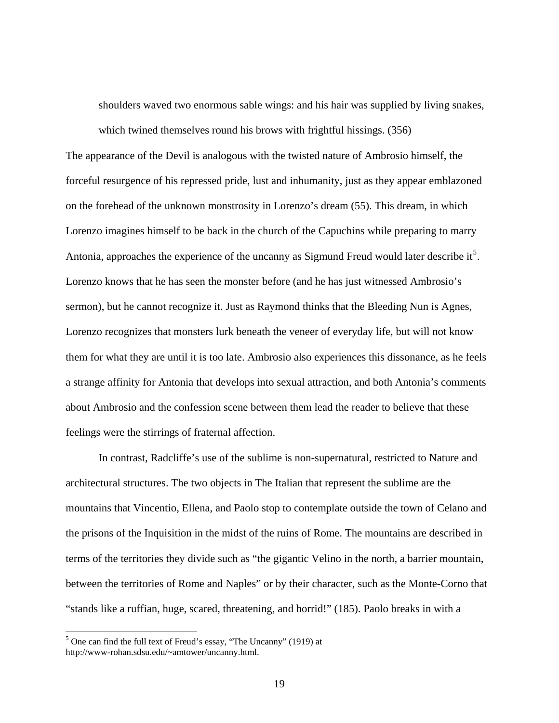shoulders waved two enormous sable wings: and his hair was supplied by living snakes, which twined themselves round his brows with frightful hissings. (356)

The appearance of the Devil is analogous with the twisted nature of Ambrosio himself, the forceful resurgence of his repressed pride, lust and inhumanity, just as they appear emblazoned on the forehead of the unknown monstrosity in Lorenzo's dream (55). This dream, in which Lorenzo imagines himself to be back in the church of the Capuchins while preparing to marry Antonia, approaches the experience of the uncanny as Sigmund Freud would later describe it<sup>[5](#page-24-0)</sup>. Lorenzo knows that he has seen the monster before (and he has just witnessed Ambrosio's sermon), but he cannot recognize it. Just as Raymond thinks that the Bleeding Nun is Agnes, Lorenzo recognizes that monsters lurk beneath the veneer of everyday life, but will not know them for what they are until it is too late. Ambrosio also experiences this dissonance, as he feels a strange affinity for Antonia that develops into sexual attraction, and both Antonia's comments about Ambrosio and the confession scene between them lead the reader to believe that these feelings were the stirrings of fraternal affection.

In contrast, Radcliffe's use of the sublime is non-supernatural, restricted to Nature and architectural structures. The two objects in The Italian that represent the sublime are the mountains that Vincentio, Ellena, and Paolo stop to contemplate outside the town of Celano and the prisons of the Inquisition in the midst of the ruins of Rome. The mountains are described in terms of the territories they divide such as "the gigantic Velino in the north, a barrier mountain, between the territories of Rome and Naples" or by their character, such as the Monte-Corno that "stands like a ruffian, huge, scared, threatening, and horrid!" (185). Paolo breaks in with a

<span id="page-24-0"></span><sup>&</sup>lt;sup>5</sup> One can find the full text of Freud's essay, "The Uncanny" (1919) at http://www-rohan.sdsu.edu/~amtower/uncanny.html.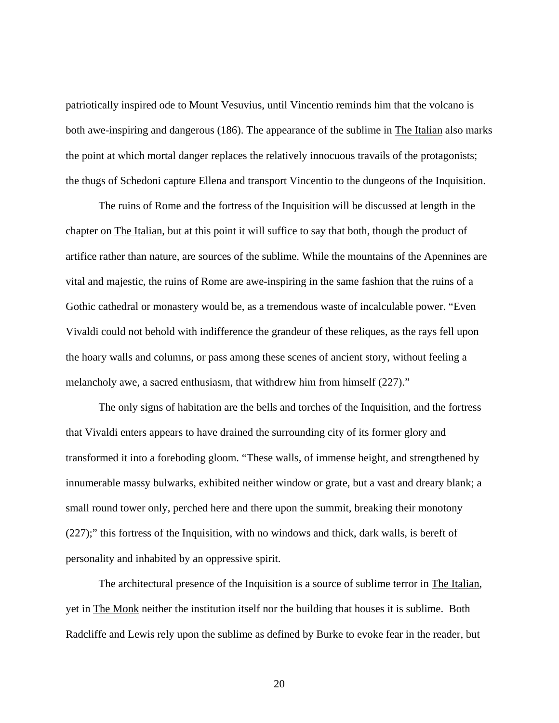patriotically inspired ode to Mount Vesuvius, until Vincentio reminds him that the volcano is both awe-inspiring and dangerous (186). The appearance of the sublime in The Italian also marks the point at which mortal danger replaces the relatively innocuous travails of the protagonists; the thugs of Schedoni capture Ellena and transport Vincentio to the dungeons of the Inquisition.

The ruins of Rome and the fortress of the Inquisition will be discussed at length in the chapter on The Italian, but at this point it will suffice to say that both, though the product of artifice rather than nature, are sources of the sublime. While the mountains of the Apennines are vital and majestic, the ruins of Rome are awe-inspiring in the same fashion that the ruins of a Gothic cathedral or monastery would be, as a tremendous waste of incalculable power. "Even Vivaldi could not behold with indifference the grandeur of these reliques, as the rays fell upon the hoary walls and columns, or pass among these scenes of ancient story, without feeling a melancholy awe, a sacred enthusiasm, that withdrew him from himself (227)."

The only signs of habitation are the bells and torches of the Inquisition, and the fortress that Vivaldi enters appears to have drained the surrounding city of its former glory and transformed it into a foreboding gloom. "These walls, of immense height, and strengthened by innumerable massy bulwarks, exhibited neither window or grate, but a vast and dreary blank; a small round tower only, perched here and there upon the summit, breaking their monotony (227);" this fortress of the Inquisition, with no windows and thick, dark walls, is bereft of personality and inhabited by an oppressive spirit.

The architectural presence of the Inquisition is a source of sublime terror in The Italian, yet in The Monk neither the institution itself nor the building that houses it is sublime. Both Radcliffe and Lewis rely upon the sublime as defined by Burke to evoke fear in the reader, but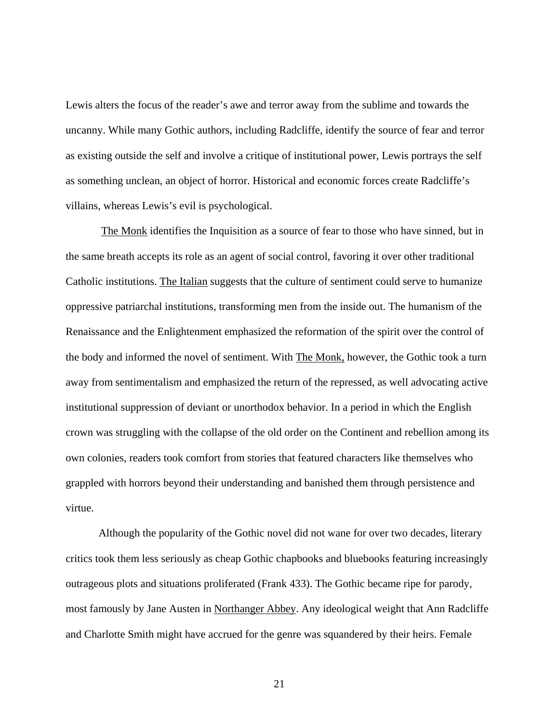Lewis alters the focus of the reader's awe and terror away from the sublime and towards the uncanny. While many Gothic authors, including Radcliffe, identify the source of fear and terror as existing outside the self and involve a critique of institutional power, Lewis portrays the self as something unclean, an object of horror. Historical and economic forces create Radcliffe's villains, whereas Lewis's evil is psychological.

The Monk identifies the Inquisition as a source of fear to those who have sinned, but in the same breath accepts its role as an agent of social control, favoring it over other traditional Catholic institutions. The Italian suggests that the culture of sentiment could serve to humanize oppressive patriarchal institutions, transforming men from the inside out. The humanism of the Renaissance and the Enlightenment emphasized the reformation of the spirit over the control of the body and informed the novel of sentiment. With The Monk, however, the Gothic took a turn away from sentimentalism and emphasized the return of the repressed, as well advocating active institutional suppression of deviant or unorthodox behavior. In a period in which the English crown was struggling with the collapse of the old order on the Continent and rebellion among its own colonies, readers took comfort from stories that featured characters like themselves who grappled with horrors beyond their understanding and banished them through persistence and virtue.

Although the popularity of the Gothic novel did not wane for over two decades, literary critics took them less seriously as cheap Gothic chapbooks and bluebooks featuring increasingly outrageous plots and situations proliferated (Frank 433). The Gothic became ripe for parody, most famously by Jane Austen in Northanger Abbey. Any ideological weight that Ann Radcliffe and Charlotte Smith might have accrued for the genre was squandered by their heirs. Female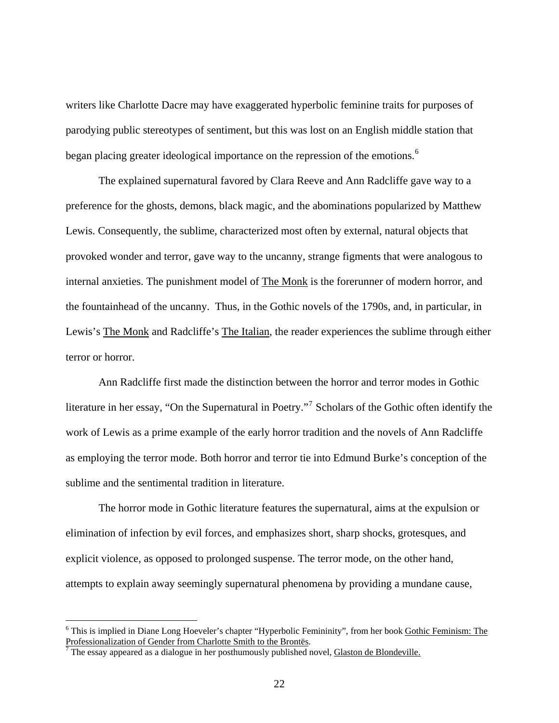writers like Charlotte Dacre may have exaggerated hyperbolic feminine traits for purposes of parodying public stereotypes of sentiment, but this was lost on an English middle station that began placing greater ideological importance on the repression of the emotions.<sup>[6](#page-27-0)</sup>

The explained supernatural favored by Clara Reeve and Ann Radcliffe gave way to a preference for the ghosts, demons, black magic, and the abominations popularized by Matthew Lewis. Consequently, the sublime, characterized most often by external, natural objects that provoked wonder and terror, gave way to the uncanny, strange figments that were analogous to internal anxieties. The punishment model of The Monk is the forerunner of modern horror, and the fountainhead of the uncanny. Thus, in the Gothic novels of the 1790s, and, in particular, in Lewis's The Monk and Radcliffe's The Italian, the reader experiences the sublime through either terror or horror.

Ann Radcliffe first made the distinction between the horror and terror modes in Gothic literature in her essay, "On the Supernatural in Poetry."<sup>[7](#page-27-1)</sup> Scholars of the Gothic often identify the work of Lewis as a prime example of the early horror tradition and the novels of Ann Radcliffe as employing the terror mode. Both horror and terror tie into Edmund Burke's conception of the sublime and the sentimental tradition in literature.

The horror mode in Gothic literature features the supernatural, aims at the expulsion or elimination of infection by evil forces, and emphasizes short, sharp shocks, grotesques, and explicit violence, as opposed to prolonged suspense. The terror mode, on the other hand, attempts to explain away seemingly supernatural phenomena by providing a mundane cause,

<span id="page-27-0"></span><sup>&</sup>lt;sup>6</sup> This is implied in Diane Long Hoeveler's chapter "Hyperbolic Femininity", from her book Gothic Feminism: The Professionalization of Gender from Charlotte Smith to the Brontës.

<span id="page-27-1"></span>The essay appeared as a dialogue in her posthumously published novel, Glaston de Blondeville.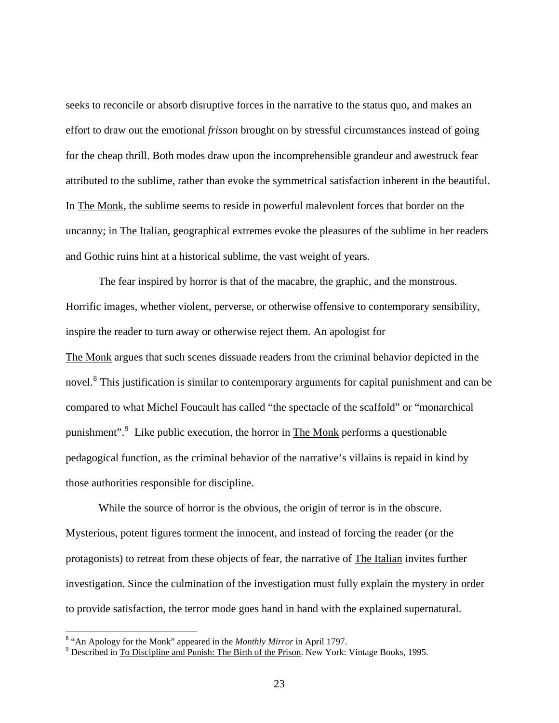seeks to reconcile or absorb disruptive forces in the narrative to the status quo, and makes an effort to draw out the emotional *frisson* brought on by stressful circumstances instead of going for the cheap thrill. Both modes draw upon the incomprehensible grandeur and awestruck fear attributed to the sublime, rather than evoke the symmetrical satisfaction inherent in the beautiful. In The Monk, the sublime seems to reside in powerful malevolent forces that border on the uncanny; in The Italian, geographical extremes evoke the pleasures of the sublime in her readers and Gothic ruins hint at a historical sublime, the vast weight of years.

 The fear inspired by horror is that of the macabre, the graphic, and the monstrous. Horrific images, whether violent, perverse, or otherwise offensive to contemporary sensibility, inspire the reader to turn away or otherwise reject them. An apologist for The Monk argues that such scenes dissuade readers from the criminal behavior depicted in the novel.<sup>[8](#page-28-0)</sup> This justification is similar to contemporary arguments for capital punishment and can be compared to what Michel Foucault has called "the spectacle of the scaffold" or "monarchical punishment".<sup>[9](#page-28-1)</sup> Like public execution, the horror in The Monk performs a questionable pedagogical function, as the criminal behavior of the narrative's villains is repaid in kind by those authorities responsible for discipline.

 While the source of horror is the obvious, the origin of terror is in the obscure. Mysterious, potent figures torment the innocent, and instead of forcing the reader (or the protagonists) to retreat from these objects of fear, the narrative of The Italian invites further investigation. Since the culmination of the investigation must fully explain the mystery in order to provide satisfaction, the terror mode goes hand in hand with the explained supernatural.

<span id="page-28-0"></span><sup>&</sup>lt;sup>8</sup> "An Apology for the Monk" appeared in the *Monthly Mirror* in April 1797.

<span id="page-28-1"></span><sup>&</sup>lt;sup>9</sup> Described in To Discipline and Punish: The Birth of the Prison. New York: Vintage Books, 1995.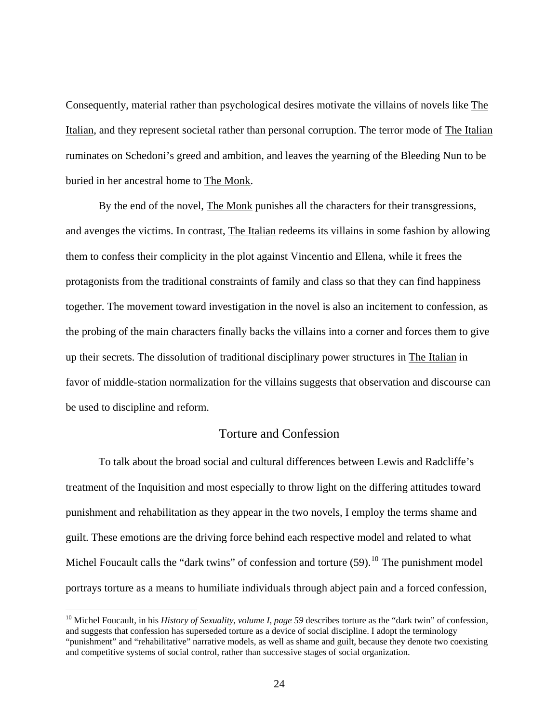<span id="page-29-0"></span>Consequently, material rather than psychological desires motivate the villains of novels like The Italian, and they represent societal rather than personal corruption. The terror mode of The Italian ruminates on Schedoni's greed and ambition, and leaves the yearning of the Bleeding Nun to be buried in her ancestral home to The Monk.

By the end of the novel, The Monk punishes all the characters for their transgressions, and avenges the victims. In contrast, The Italian redeems its villains in some fashion by allowing them to confess their complicity in the plot against Vincentio and Ellena, while it frees the protagonists from the traditional constraints of family and class so that they can find happiness together. The movement toward investigation in the novel is also an incitement to confession, as the probing of the main characters finally backs the villains into a corner and forces them to give up their secrets. The dissolution of traditional disciplinary power structures in The Italian in favor of middle-station normalization for the villains suggests that observation and discourse can be used to discipline and reform.

## Torture and Confession

To talk about the broad social and cultural differences between Lewis and Radcliffe's treatment of the Inquisition and most especially to throw light on the differing attitudes toward punishment and rehabilitation as they appear in the two novels, I employ the terms shame and guilt. These emotions are the driving force behind each respective model and related to what Michel Foucault calls the "dark twins" of confession and torture  $(59)$ .<sup>[10](#page-29-1)</sup> The punishment model portrays torture as a means to humiliate individuals through abject pain and a forced confession,

<span id="page-29-1"></span><sup>&</sup>lt;sup>10</sup> Michel Foucault, in his *History of Sexuality, volume I, page 59* describes torture as the "dark twin" of confession, and suggests that confession has superseded torture as a device of social discipline. I adopt the terminology "punishment" and "rehabilitative" narrative models, as well as shame and guilt, because they denote two coexisting and competitive systems of social control, rather than successive stages of social organization.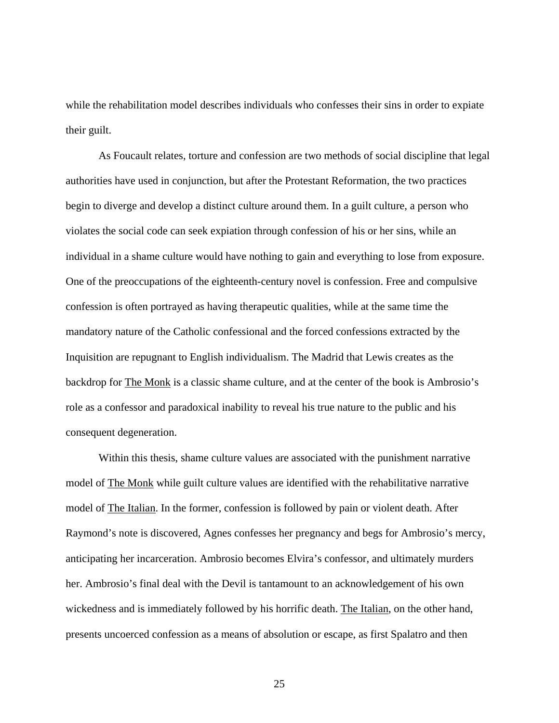while the rehabilitation model describes individuals who confesses their sins in order to expiate their guilt.

 As Foucault relates, torture and confession are two methods of social discipline that legal authorities have used in conjunction, but after the Protestant Reformation, the two practices begin to diverge and develop a distinct culture around them. In a guilt culture, a person who violates the social code can seek expiation through confession of his or her sins, while an individual in a shame culture would have nothing to gain and everything to lose from exposure. One of the preoccupations of the eighteenth-century novel is confession. Free and compulsive confession is often portrayed as having therapeutic qualities, while at the same time the mandatory nature of the Catholic confessional and the forced confessions extracted by the Inquisition are repugnant to English individualism. The Madrid that Lewis creates as the backdrop for The Monk is a classic shame culture, and at the center of the book is Ambrosio's role as a confessor and paradoxical inability to reveal his true nature to the public and his consequent degeneration.

 Within this thesis, shame culture values are associated with the punishment narrative model of The Monk while guilt culture values are identified with the rehabilitative narrative model of The Italian. In the former, confession is followed by pain or violent death. After Raymond's note is discovered, Agnes confesses her pregnancy and begs for Ambrosio's mercy, anticipating her incarceration. Ambrosio becomes Elvira's confessor, and ultimately murders her. Ambrosio's final deal with the Devil is tantamount to an acknowledgement of his own wickedness and is immediately followed by his horrific death. The Italian, on the other hand, presents uncoerced confession as a means of absolution or escape, as first Spalatro and then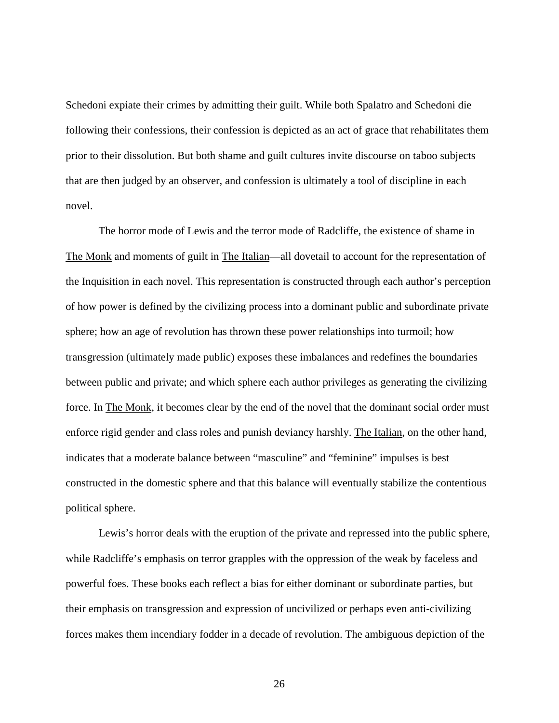Schedoni expiate their crimes by admitting their guilt. While both Spalatro and Schedoni die following their confessions, their confession is depicted as an act of grace that rehabilitates them prior to their dissolution. But both shame and guilt cultures invite discourse on taboo subjects that are then judged by an observer, and confession is ultimately a tool of discipline in each novel.

The horror mode of Lewis and the terror mode of Radcliffe, the existence of shame in The Monk and moments of guilt in The Italian—all dovetail to account for the representation of the Inquisition in each novel. This representation is constructed through each author's perception of how power is defined by the civilizing process into a dominant public and subordinate private sphere; how an age of revolution has thrown these power relationships into turmoil; how transgression (ultimately made public) exposes these imbalances and redefines the boundaries between public and private; and which sphere each author privileges as generating the civilizing force. In The Monk, it becomes clear by the end of the novel that the dominant social order must enforce rigid gender and class roles and punish deviancy harshly. The Italian, on the other hand, indicates that a moderate balance between "masculine" and "feminine" impulses is best constructed in the domestic sphere and that this balance will eventually stabilize the contentious political sphere.

Lewis's horror deals with the eruption of the private and repressed into the public sphere, while Radcliffe's emphasis on terror grapples with the oppression of the weak by faceless and powerful foes. These books each reflect a bias for either dominant or subordinate parties, but their emphasis on transgression and expression of uncivilized or perhaps even anti-civilizing forces makes them incendiary fodder in a decade of revolution. The ambiguous depiction of the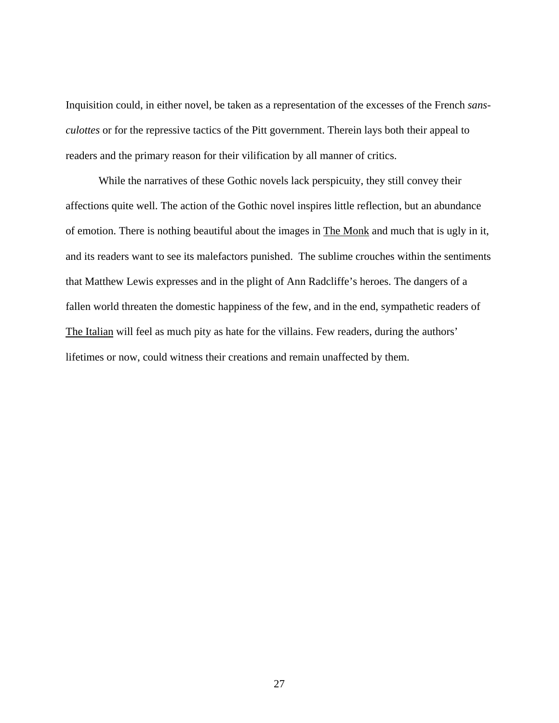Inquisition could, in either novel, be taken as a representation of the excesses of the French *sansculottes* or for the repressive tactics of the Pitt government. Therein lays both their appeal to readers and the primary reason for their vilification by all manner of critics.

While the narratives of these Gothic novels lack perspicuity, they still convey their affections quite well. The action of the Gothic novel inspires little reflection, but an abundance of emotion. There is nothing beautiful about the images in The Monk and much that is ugly in it, and its readers want to see its malefactors punished. The sublime crouches within the sentiments that Matthew Lewis expresses and in the plight of Ann Radcliffe's heroes. The dangers of a fallen world threaten the domestic happiness of the few, and in the end, sympathetic readers of The Italian will feel as much pity as hate for the villains. Few readers, during the authors' lifetimes or now, could witness their creations and remain unaffected by them.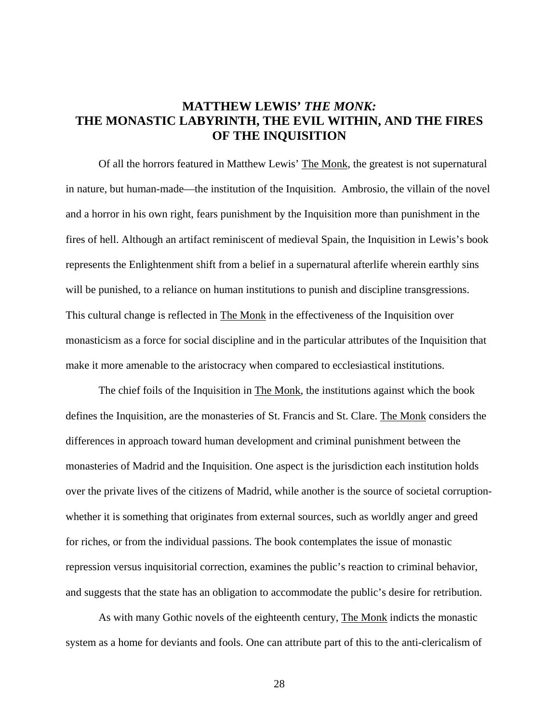# <span id="page-33-0"></span>**MATTHEW LEWIS'** *THE MONK:*  **THE MONASTIC LABYRINTH, THE EVIL WITHIN, AND THE FIRES OF THE INQUISITION**

Of all the horrors featured in Matthew Lewis' The Monk, the greatest is not supernatural in nature, but human-made—the institution of the Inquisition. Ambrosio, the villain of the novel and a horror in his own right, fears punishment by the Inquisition more than punishment in the fires of hell. Although an artifact reminiscent of medieval Spain, the Inquisition in Lewis's book represents the Enlightenment shift from a belief in a supernatural afterlife wherein earthly sins will be punished, to a reliance on human institutions to punish and discipline transgressions. This cultural change is reflected in The Monk in the effectiveness of the Inquisition over monasticism as a force for social discipline and in the particular attributes of the Inquisition that make it more amenable to the aristocracy when compared to ecclesiastical institutions.

The chief foils of the Inquisition in The Monk, the institutions against which the book defines the Inquisition, are the monasteries of St. Francis and St. Clare. The Monk considers the differences in approach toward human development and criminal punishment between the monasteries of Madrid and the Inquisition. One aspect is the jurisdiction each institution holds over the private lives of the citizens of Madrid, while another is the source of societal corruptionwhether it is something that originates from external sources, such as worldly anger and greed for riches, or from the individual passions. The book contemplates the issue of monastic repression versus inquisitorial correction, examines the public's reaction to criminal behavior, and suggests that the state has an obligation to accommodate the public's desire for retribution.

As with many Gothic novels of the eighteenth century, The Monk indicts the monastic system as a home for deviants and fools. One can attribute part of this to the anti-clericalism of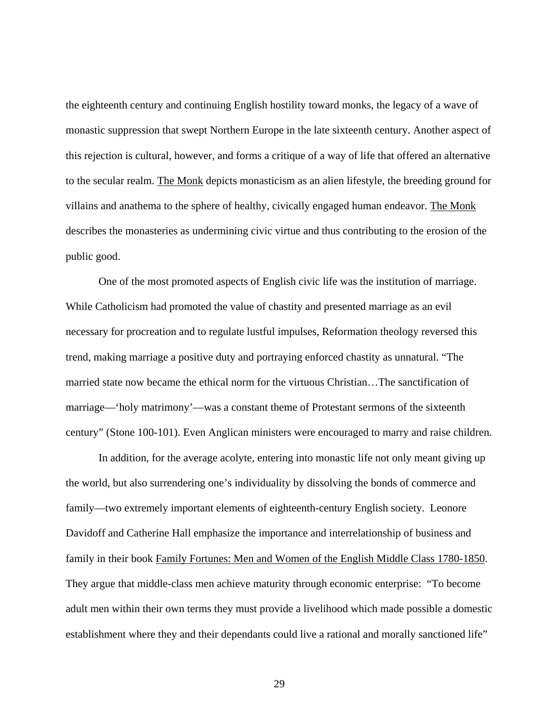the eighteenth century and continuing English hostility toward monks, the legacy of a wave of monastic suppression that swept Northern Europe in the late sixteenth century. Another aspect of this rejection is cultural, however, and forms a critique of a way of life that offered an alternative to the secular realm. The Monk depicts monasticism as an alien lifestyle, the breeding ground for villains and anathema to the sphere of healthy, civically engaged human endeavor. The Monk describes the monasteries as undermining civic virtue and thus contributing to the erosion of the public good.

One of the most promoted aspects of English civic life was the institution of marriage. While Catholicism had promoted the value of chastity and presented marriage as an evil necessary for procreation and to regulate lustful impulses, Reformation theology reversed this trend, making marriage a positive duty and portraying enforced chastity as unnatural. "The married state now became the ethical norm for the virtuous Christian…The sanctification of marriage—'holy matrimony'—was a constant theme of Protestant sermons of the sixteenth century" (Stone 100-101). Even Anglican ministers were encouraged to marry and raise children.

In addition, for the average acolyte, entering into monastic life not only meant giving up the world, but also surrendering one's individuality by dissolving the bonds of commerce and family—two extremely important elements of eighteenth-century English society. Leonore Davidoff and Catherine Hall emphasize the importance and interrelationship of business and family in their book Family Fortunes: Men and Women of the English Middle Class 1780-1850. They argue that middle-class men achieve maturity through economic enterprise: "To become adult men within their own terms they must provide a livelihood which made possible a domestic establishment where they and their dependants could live a rational and morally sanctioned life"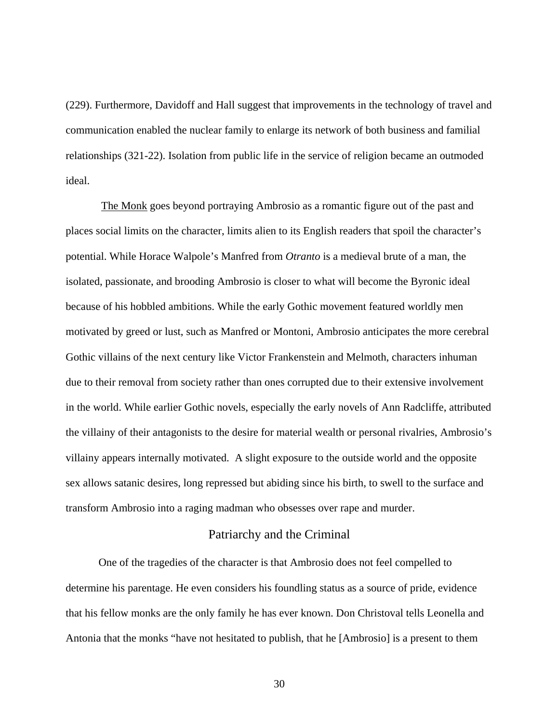<span id="page-35-0"></span>(229). Furthermore, Davidoff and Hall suggest that improvements in the technology of travel and communication enabled the nuclear family to enlarge its network of both business and familial relationships (321-22). Isolation from public life in the service of religion became an outmoded ideal.

The Monk goes beyond portraying Ambrosio as a romantic figure out of the past and places social limits on the character, limits alien to its English readers that spoil the character's potential. While Horace Walpole's Manfred from *Otranto* is a medieval brute of a man, the isolated, passionate, and brooding Ambrosio is closer to what will become the Byronic ideal because of his hobbled ambitions. While the early Gothic movement featured worldly men motivated by greed or lust, such as Manfred or Montoni, Ambrosio anticipates the more cerebral Gothic villains of the next century like Victor Frankenstein and Melmoth, characters inhuman due to their removal from society rather than ones corrupted due to their extensive involvement in the world. While earlier Gothic novels, especially the early novels of Ann Radcliffe, attributed the villainy of their antagonists to the desire for material wealth or personal rivalries, Ambrosio's villainy appears internally motivated. A slight exposure to the outside world and the opposite sex allows satanic desires, long repressed but abiding since his birth, to swell to the surface and transform Ambrosio into a raging madman who obsesses over rape and murder.

#### Patriarchy and the Criminal

One of the tragedies of the character is that Ambrosio does not feel compelled to determine his parentage. He even considers his foundling status as a source of pride, evidence that his fellow monks are the only family he has ever known. Don Christoval tells Leonella and Antonia that the monks "have not hesitated to publish, that he [Ambrosio] is a present to them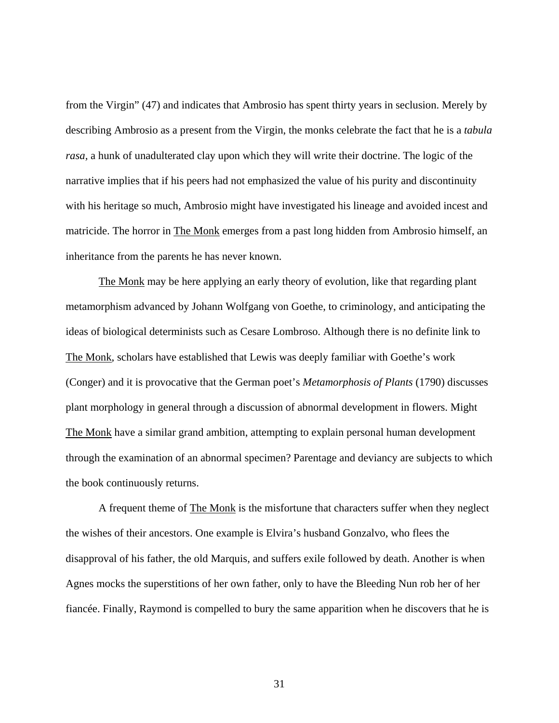from the Virgin" (47) and indicates that Ambrosio has spent thirty years in seclusion. Merely by describing Ambrosio as a present from the Virgin, the monks celebrate the fact that he is a *tabula rasa,* a hunk of unadulterated clay upon which they will write their doctrine. The logic of the narrative implies that if his peers had not emphasized the value of his purity and discontinuity with his heritage so much, Ambrosio might have investigated his lineage and avoided incest and matricide. The horror in The Monk emerges from a past long hidden from Ambrosio himself, an inheritance from the parents he has never known.

The Monk may be here applying an early theory of evolution, like that regarding plant metamorphism advanced by Johann Wolfgang von Goethe, to criminology, and anticipating the ideas of biological determinists such as Cesare Lombroso. Although there is no definite link to The Monk, scholars have established that Lewis was deeply familiar with Goethe's work (Conger) and it is provocative that the German poet's *Metamorphosis of Plants* (1790) discusses plant morphology in general through a discussion of abnormal development in flowers. Might The Monk have a similar grand ambition, attempting to explain personal human development through the examination of an abnormal specimen? Parentage and deviancy are subjects to which the book continuously returns.

A frequent theme of The Monk is the misfortune that characters suffer when they neglect the wishes of their ancestors. One example is Elvira's husband Gonzalvo, who flees the disapproval of his father, the old Marquis, and suffers exile followed by death. Another is when Agnes mocks the superstitions of her own father, only to have the Bleeding Nun rob her of her fiancée. Finally, Raymond is compelled to bury the same apparition when he discovers that he is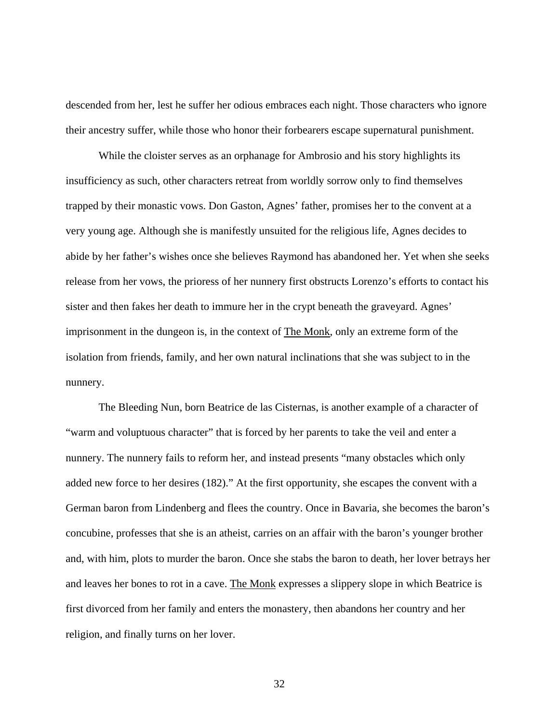descended from her, lest he suffer her odious embraces each night. Those characters who ignore their ancestry suffer, while those who honor their forbearers escape supernatural punishment.

While the cloister serves as an orphanage for Ambrosio and his story highlights its insufficiency as such, other characters retreat from worldly sorrow only to find themselves trapped by their monastic vows. Don Gaston, Agnes' father, promises her to the convent at a very young age. Although she is manifestly unsuited for the religious life, Agnes decides to abide by her father's wishes once she believes Raymond has abandoned her. Yet when she seeks release from her vows, the prioress of her nunnery first obstructs Lorenzo's efforts to contact his sister and then fakes her death to immure her in the crypt beneath the graveyard. Agnes' imprisonment in the dungeon is, in the context of The Monk, only an extreme form of the isolation from friends, family, and her own natural inclinations that she was subject to in the nunnery.

The Bleeding Nun, born Beatrice de las Cisternas, is another example of a character of "warm and voluptuous character" that is forced by her parents to take the veil and enter a nunnery. The nunnery fails to reform her, and instead presents "many obstacles which only added new force to her desires (182)." At the first opportunity, she escapes the convent with a German baron from Lindenberg and flees the country. Once in Bavaria, she becomes the baron's concubine, professes that she is an atheist, carries on an affair with the baron's younger brother and, with him, plots to murder the baron. Once she stabs the baron to death, her lover betrays her and leaves her bones to rot in a cave. The Monk expresses a slippery slope in which Beatrice is first divorced from her family and enters the monastery, then abandons her country and her religion, and finally turns on her lover.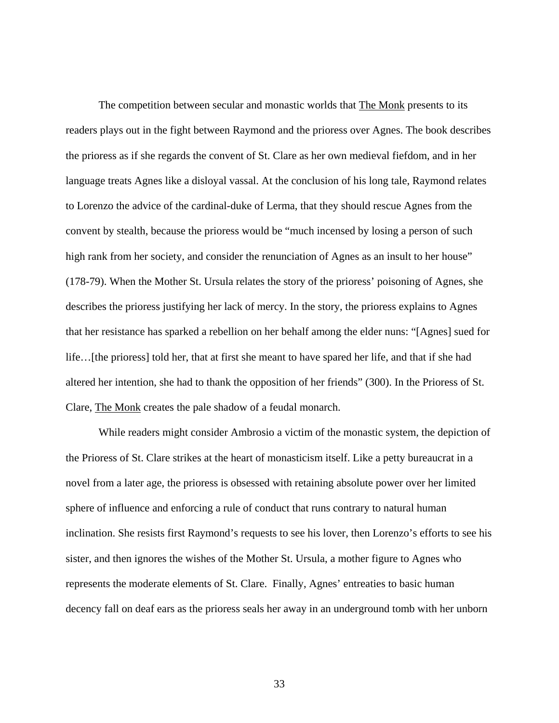The competition between secular and monastic worlds that The Monk presents to its readers plays out in the fight between Raymond and the prioress over Agnes. The book describes the prioress as if she regards the convent of St. Clare as her own medieval fiefdom, and in her language treats Agnes like a disloyal vassal. At the conclusion of his long tale, Raymond relates to Lorenzo the advice of the cardinal-duke of Lerma, that they should rescue Agnes from the convent by stealth, because the prioress would be "much incensed by losing a person of such high rank from her society, and consider the renunciation of Agnes as an insult to her house" (178-79). When the Mother St. Ursula relates the story of the prioress' poisoning of Agnes, she describes the prioress justifying her lack of mercy. In the story, the prioress explains to Agnes that her resistance has sparked a rebellion on her behalf among the elder nuns: "[Agnes] sued for life…[the prioress] told her, that at first she meant to have spared her life, and that if she had altered her intention, she had to thank the opposition of her friends" (300). In the Prioress of St. Clare, The Monk creates the pale shadow of a feudal monarch.

 While readers might consider Ambrosio a victim of the monastic system, the depiction of the Prioress of St. Clare strikes at the heart of monasticism itself. Like a petty bureaucrat in a novel from a later age, the prioress is obsessed with retaining absolute power over her limited sphere of influence and enforcing a rule of conduct that runs contrary to natural human inclination. She resists first Raymond's requests to see his lover, then Lorenzo's efforts to see his sister, and then ignores the wishes of the Mother St. Ursula, a mother figure to Agnes who represents the moderate elements of St. Clare. Finally, Agnes' entreaties to basic human decency fall on deaf ears as the prioress seals her away in an underground tomb with her unborn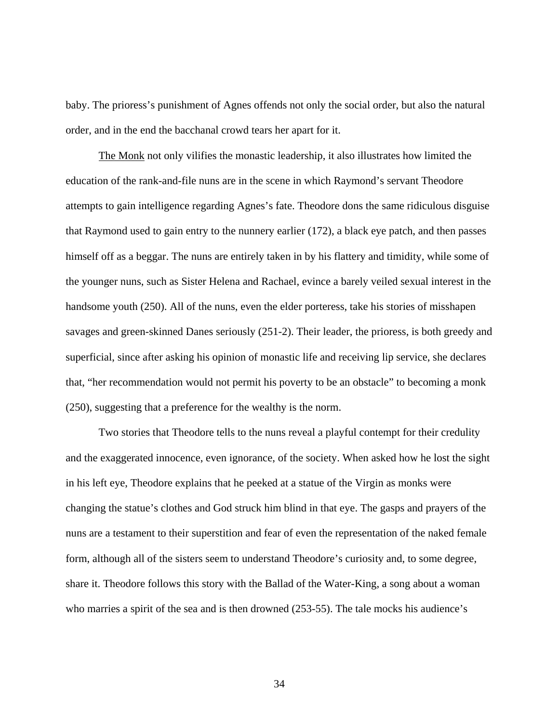baby. The prioress's punishment of Agnes offends not only the social order, but also the natural order, and in the end the bacchanal crowd tears her apart for it.

The Monk not only vilifies the monastic leadership, it also illustrates how limited the education of the rank-and-file nuns are in the scene in which Raymond's servant Theodore attempts to gain intelligence regarding Agnes's fate. Theodore dons the same ridiculous disguise that Raymond used to gain entry to the nunnery earlier (172), a black eye patch, and then passes himself off as a beggar. The nuns are entirely taken in by his flattery and timidity, while some of the younger nuns, such as Sister Helena and Rachael, evince a barely veiled sexual interest in the handsome youth (250). All of the nuns, even the elder porteress, take his stories of misshapen savages and green-skinned Danes seriously (251-2). Their leader, the prioress, is both greedy and superficial, since after asking his opinion of monastic life and receiving lip service, she declares that, "her recommendation would not permit his poverty to be an obstacle" to becoming a monk (250), suggesting that a preference for the wealthy is the norm.

 Two stories that Theodore tells to the nuns reveal a playful contempt for their credulity and the exaggerated innocence, even ignorance, of the society. When asked how he lost the sight in his left eye, Theodore explains that he peeked at a statue of the Virgin as monks were changing the statue's clothes and God struck him blind in that eye. The gasps and prayers of the nuns are a testament to their superstition and fear of even the representation of the naked female form, although all of the sisters seem to understand Theodore's curiosity and, to some degree, share it. Theodore follows this story with the Ballad of the Water-King, a song about a woman who marries a spirit of the sea and is then drowned (253-55). The tale mocks his audience's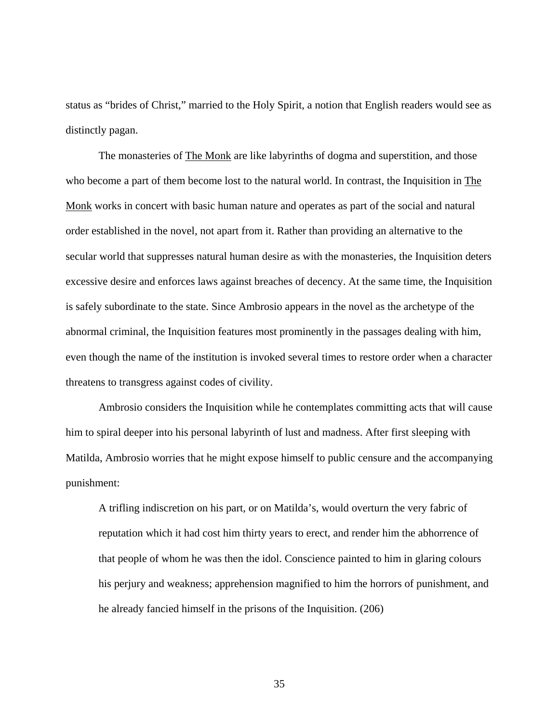status as "brides of Christ," married to the Holy Spirit, a notion that English readers would see as distinctly pagan.

 The monasteries of The Monk are like labyrinths of dogma and superstition, and those who become a part of them become lost to the natural world. In contrast, the Inquisition in The Monk works in concert with basic human nature and operates as part of the social and natural order established in the novel, not apart from it. Rather than providing an alternative to the secular world that suppresses natural human desire as with the monasteries, the Inquisition deters excessive desire and enforces laws against breaches of decency. At the same time, the Inquisition is safely subordinate to the state. Since Ambrosio appears in the novel as the archetype of the abnormal criminal, the Inquisition features most prominently in the passages dealing with him, even though the name of the institution is invoked several times to restore order when a character threatens to transgress against codes of civility.

Ambrosio considers the Inquisition while he contemplates committing acts that will cause him to spiral deeper into his personal labyrinth of lust and madness. After first sleeping with Matilda, Ambrosio worries that he might expose himself to public censure and the accompanying punishment:

A trifling indiscretion on his part, or on Matilda's, would overturn the very fabric of reputation which it had cost him thirty years to erect, and render him the abhorrence of that people of whom he was then the idol. Conscience painted to him in glaring colours his perjury and weakness; apprehension magnified to him the horrors of punishment, and he already fancied himself in the prisons of the Inquisition. (206)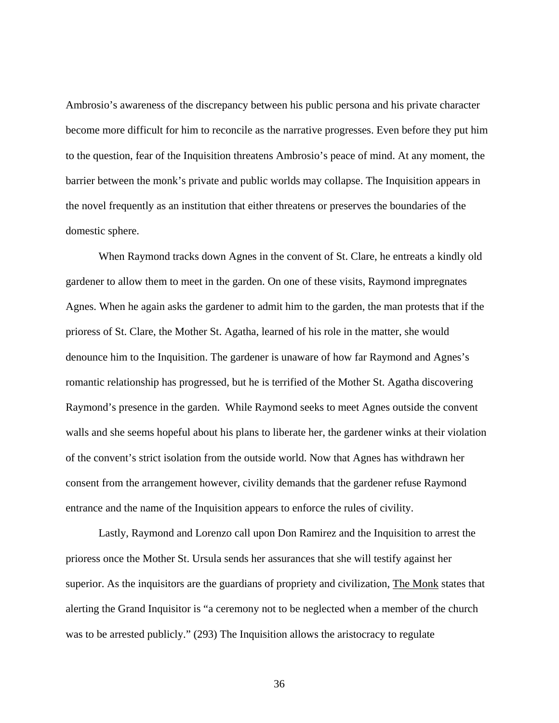Ambrosio's awareness of the discrepancy between his public persona and his private character become more difficult for him to reconcile as the narrative progresses. Even before they put him to the question, fear of the Inquisition threatens Ambrosio's peace of mind. At any moment, the barrier between the monk's private and public worlds may collapse. The Inquisition appears in the novel frequently as an institution that either threatens or preserves the boundaries of the domestic sphere.

When Raymond tracks down Agnes in the convent of St. Clare, he entreats a kindly old gardener to allow them to meet in the garden. On one of these visits, Raymond impregnates Agnes. When he again asks the gardener to admit him to the garden, the man protests that if the prioress of St. Clare, the Mother St. Agatha, learned of his role in the matter, she would denounce him to the Inquisition. The gardener is unaware of how far Raymond and Agnes's romantic relationship has progressed, but he is terrified of the Mother St. Agatha discovering Raymond's presence in the garden. While Raymond seeks to meet Agnes outside the convent walls and she seems hopeful about his plans to liberate her, the gardener winks at their violation of the convent's strict isolation from the outside world. Now that Agnes has withdrawn her consent from the arrangement however, civility demands that the gardener refuse Raymond entrance and the name of the Inquisition appears to enforce the rules of civility.

 Lastly, Raymond and Lorenzo call upon Don Ramirez and the Inquisition to arrest the prioress once the Mother St. Ursula sends her assurances that she will testify against her superior. As the inquisitors are the guardians of propriety and civilization, The Monk states that alerting the Grand Inquisitor is "a ceremony not to be neglected when a member of the church was to be arrested publicly." (293) The Inquisition allows the aristocracy to regulate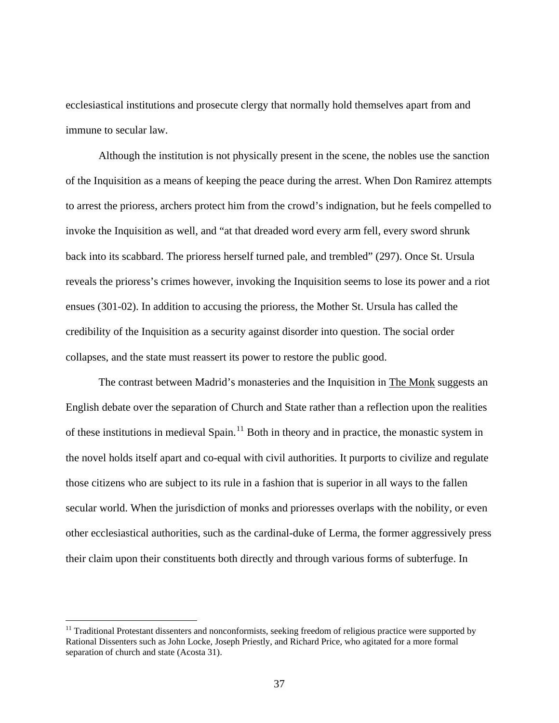ecclesiastical institutions and prosecute clergy that normally hold themselves apart from and immune to secular law.

Although the institution is not physically present in the scene, the nobles use the sanction of the Inquisition as a means of keeping the peace during the arrest. When Don Ramirez attempts to arrest the prioress, archers protect him from the crowd's indignation, but he feels compelled to invoke the Inquisition as well, and "at that dreaded word every arm fell, every sword shrunk back into its scabbard. The prioress herself turned pale, and trembled" (297). Once St. Ursula reveals the prioress's crimes however, invoking the Inquisition seems to lose its power and a riot ensues (301-02). In addition to accusing the prioress, the Mother St. Ursula has called the credibility of the Inquisition as a security against disorder into question. The social order collapses, and the state must reassert its power to restore the public good.

The contrast between Madrid's monasteries and the Inquisition in The Monk suggests an English debate over the separation of Church and State rather than a reflection upon the realities of these institutions in medieval Spain.<sup>[11](#page-42-0)</sup> Both in theory and in practice, the monastic system in the novel holds itself apart and co-equal with civil authorities. It purports to civilize and regulate those citizens who are subject to its rule in a fashion that is superior in all ways to the fallen secular world. When the jurisdiction of monks and prioresses overlaps with the nobility, or even other ecclesiastical authorities, such as the cardinal-duke of Lerma, the former aggressively press their claim upon their constituents both directly and through various forms of subterfuge. In

 $\overline{a}$ 

<span id="page-42-0"></span> $11$  Traditional Protestant dissenters and nonconformists, seeking freedom of religious practice were supported by Rational Dissenters such as John Locke, Joseph Priestly, and Richard Price, who agitated for a more formal separation of church and state (Acosta 31).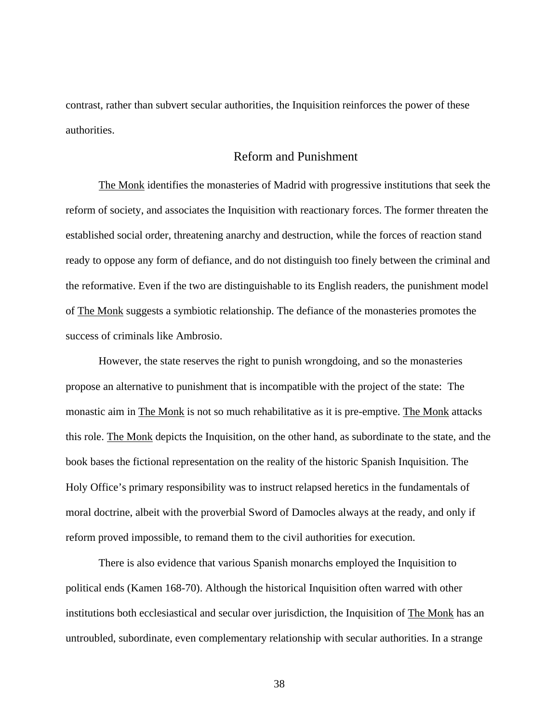contrast, rather than subvert secular authorities, the Inquisition reinforces the power of these authorities.

## Reform and Punishment

The Monk identifies the monasteries of Madrid with progressive institutions that seek the reform of society, and associates the Inquisition with reactionary forces. The former threaten the established social order, threatening anarchy and destruction, while the forces of reaction stand ready to oppose any form of defiance, and do not distinguish too finely between the criminal and the reformative. Even if the two are distinguishable to its English readers, the punishment model of The Monk suggests a symbiotic relationship. The defiance of the monasteries promotes the success of criminals like Ambrosio.

However, the state reserves the right to punish wrongdoing, and so the monasteries propose an alternative to punishment that is incompatible with the project of the state: The monastic aim in The Monk is not so much rehabilitative as it is pre-emptive. The Monk attacks this role. The Monk depicts the Inquisition, on the other hand, as subordinate to the state, and the book bases the fictional representation on the reality of the historic Spanish Inquisition. The Holy Office's primary responsibility was to instruct relapsed heretics in the fundamentals of moral doctrine, albeit with the proverbial Sword of Damocles always at the ready, and only if reform proved impossible, to remand them to the civil authorities for execution.

There is also evidence that various Spanish monarchs employed the Inquisition to political ends (Kamen 168-70). Although the historical Inquisition often warred with other institutions both ecclesiastical and secular over jurisdiction, the Inquisition of The Monk has an untroubled, subordinate, even complementary relationship with secular authorities. In a strange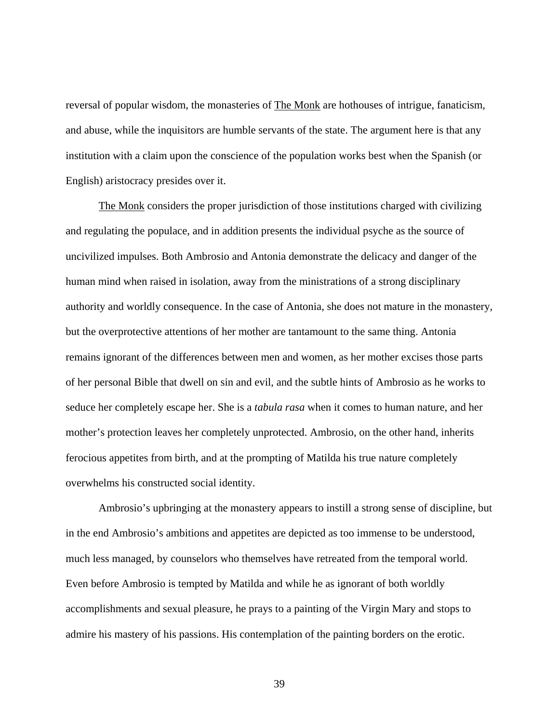reversal of popular wisdom, the monasteries of **The Monk** are hothouses of intrigue, fanaticism, and abuse, while the inquisitors are humble servants of the state. The argument here is that any institution with a claim upon the conscience of the population works best when the Spanish (or English) aristocracy presides over it.

The Monk considers the proper jurisdiction of those institutions charged with civilizing and regulating the populace, and in addition presents the individual psyche as the source of uncivilized impulses. Both Ambrosio and Antonia demonstrate the delicacy and danger of the human mind when raised in isolation, away from the ministrations of a strong disciplinary authority and worldly consequence. In the case of Antonia, she does not mature in the monastery, but the overprotective attentions of her mother are tantamount to the same thing. Antonia remains ignorant of the differences between men and women, as her mother excises those parts of her personal Bible that dwell on sin and evil, and the subtle hints of Ambrosio as he works to seduce her completely escape her. She is a *tabula rasa* when it comes to human nature, and her mother's protection leaves her completely unprotected. Ambrosio, on the other hand, inherits ferocious appetites from birth, and at the prompting of Matilda his true nature completely overwhelms his constructed social identity.

Ambrosio's upbringing at the monastery appears to instill a strong sense of discipline, but in the end Ambrosio's ambitions and appetites are depicted as too immense to be understood, much less managed, by counselors who themselves have retreated from the temporal world. Even before Ambrosio is tempted by Matilda and while he as ignorant of both worldly accomplishments and sexual pleasure, he prays to a painting of the Virgin Mary and stops to admire his mastery of his passions. His contemplation of the painting borders on the erotic.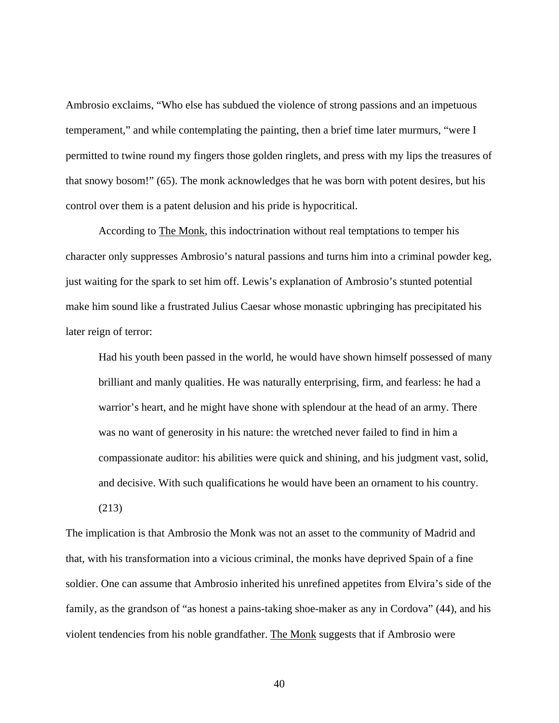Ambrosio exclaims, "Who else has subdued the violence of strong passions and an impetuous temperament," and while contemplating the painting, then a brief time later murmurs, "were I permitted to twine round my fingers those golden ringlets, and press with my lips the treasures of that snowy bosom!" (65). The monk acknowledges that he was born with potent desires, but his control over them is a patent delusion and his pride is hypocritical.

According to The Monk, this indoctrination without real temptations to temper his character only suppresses Ambrosio's natural passions and turns him into a criminal powder keg, just waiting for the spark to set him off. Lewis's explanation of Ambrosio's stunted potential make him sound like a frustrated Julius Caesar whose monastic upbringing has precipitated his later reign of terror:

Had his youth been passed in the world, he would have shown himself possessed of many brilliant and manly qualities. He was naturally enterprising, firm, and fearless: he had a warrior's heart, and he might have shone with splendour at the head of an army. There was no want of generosity in his nature: the wretched never failed to find in him a compassionate auditor: his abilities were quick and shining, and his judgment vast, solid, and decisive. With such qualifications he would have been an ornament to his country.

(213)

The implication is that Ambrosio the Monk was not an asset to the community of Madrid and that, with his transformation into a vicious criminal, the monks have deprived Spain of a fine soldier. One can assume that Ambrosio inherited his unrefined appetites from Elvira's side of the family, as the grandson of "as honest a pains-taking shoe-maker as any in Cordova" (44), and his violent tendencies from his noble grandfather. The Monk suggests that if Ambrosio were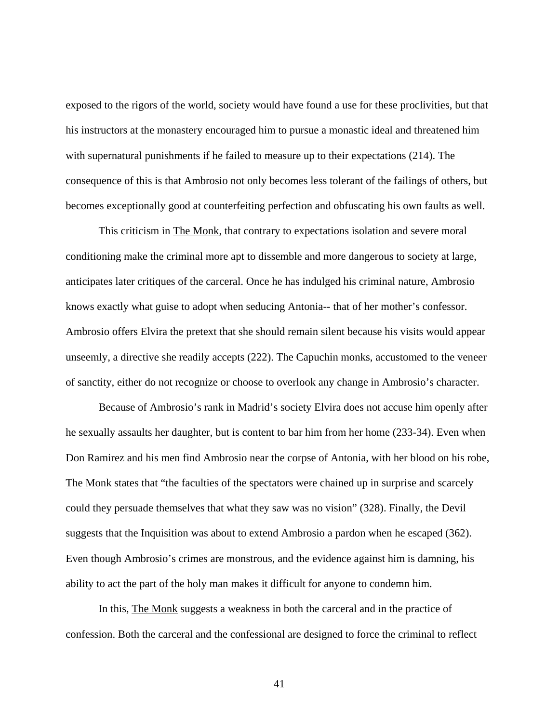exposed to the rigors of the world, society would have found a use for these proclivities, but that his instructors at the monastery encouraged him to pursue a monastic ideal and threatened him with supernatural punishments if he failed to measure up to their expectations (214). The consequence of this is that Ambrosio not only becomes less tolerant of the failings of others, but becomes exceptionally good at counterfeiting perfection and obfuscating his own faults as well.

This criticism in The Monk, that contrary to expectations isolation and severe moral conditioning make the criminal more apt to dissemble and more dangerous to society at large, anticipates later critiques of the carceral. Once he has indulged his criminal nature, Ambrosio knows exactly what guise to adopt when seducing Antonia-- that of her mother's confessor. Ambrosio offers Elvira the pretext that she should remain silent because his visits would appear unseemly, a directive she readily accepts (222). The Capuchin monks, accustomed to the veneer of sanctity, either do not recognize or choose to overlook any change in Ambrosio's character.

Because of Ambrosio's rank in Madrid's society Elvira does not accuse him openly after he sexually assaults her daughter, but is content to bar him from her home (233-34). Even when Don Ramirez and his men find Ambrosio near the corpse of Antonia, with her blood on his robe, The Monk states that "the faculties of the spectators were chained up in surprise and scarcely could they persuade themselves that what they saw was no vision" (328). Finally, the Devil suggests that the Inquisition was about to extend Ambrosio a pardon when he escaped (362). Even though Ambrosio's crimes are monstrous, and the evidence against him is damning, his ability to act the part of the holy man makes it difficult for anyone to condemn him.

In this, The Monk suggests a weakness in both the carceral and in the practice of confession. Both the carceral and the confessional are designed to force the criminal to reflect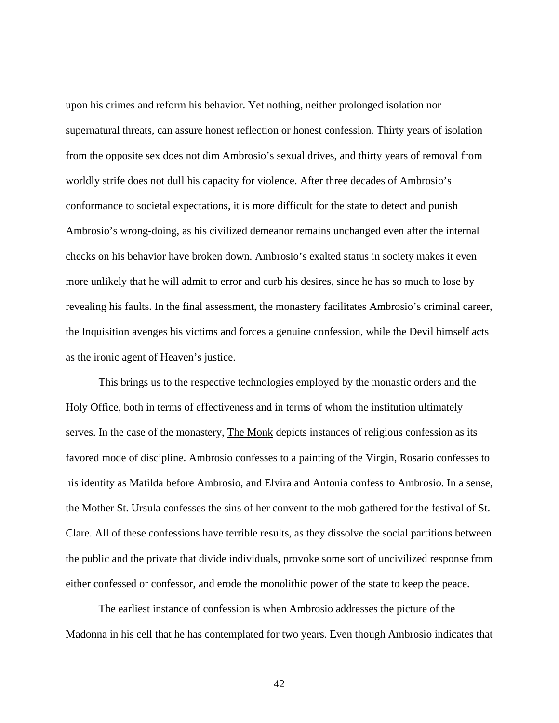upon his crimes and reform his behavior. Yet nothing, neither prolonged isolation nor supernatural threats, can assure honest reflection or honest confession. Thirty years of isolation from the opposite sex does not dim Ambrosio's sexual drives, and thirty years of removal from worldly strife does not dull his capacity for violence. After three decades of Ambrosio's conformance to societal expectations, it is more difficult for the state to detect and punish Ambrosio's wrong-doing, as his civilized demeanor remains unchanged even after the internal checks on his behavior have broken down. Ambrosio's exalted status in society makes it even more unlikely that he will admit to error and curb his desires, since he has so much to lose by revealing his faults. In the final assessment, the monastery facilitates Ambrosio's criminal career, the Inquisition avenges his victims and forces a genuine confession, while the Devil himself acts as the ironic agent of Heaven's justice.

This brings us to the respective technologies employed by the monastic orders and the Holy Office, both in terms of effectiveness and in terms of whom the institution ultimately serves. In the case of the monastery, The Monk depicts instances of religious confession as its favored mode of discipline. Ambrosio confesses to a painting of the Virgin, Rosario confesses to his identity as Matilda before Ambrosio, and Elvira and Antonia confess to Ambrosio. In a sense, the Mother St. Ursula confesses the sins of her convent to the mob gathered for the festival of St. Clare. All of these confessions have terrible results, as they dissolve the social partitions between the public and the private that divide individuals, provoke some sort of uncivilized response from either confessed or confessor, and erode the monolithic power of the state to keep the peace.

The earliest instance of confession is when Ambrosio addresses the picture of the Madonna in his cell that he has contemplated for two years. Even though Ambrosio indicates that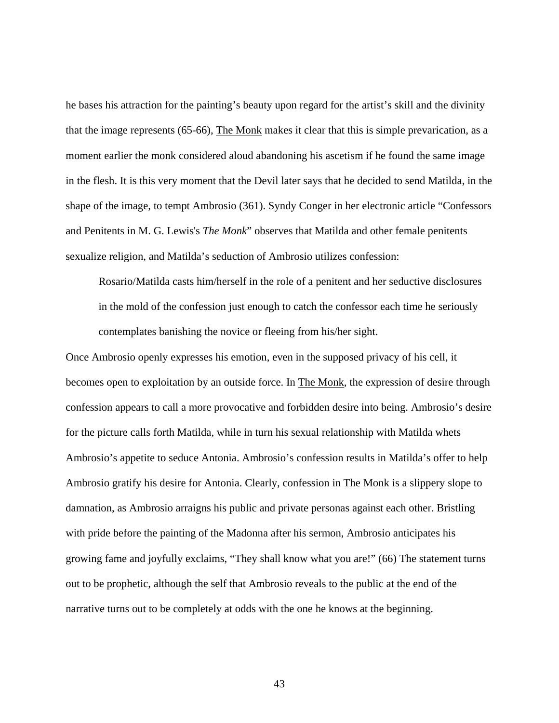he bases his attraction for the painting's beauty upon regard for the artist's skill and the divinity that the image represents (65-66), The Monk makes it clear that this is simple prevarication, as a moment earlier the monk considered aloud abandoning his ascetism if he found the same image in the flesh. It is this very moment that the Devil later says that he decided to send Matilda, in the shape of the image, to tempt Ambrosio (361). Syndy Conger in her electronic article "Confessors and Penitents in M. G. Lewis's *The Monk*" observes that Matilda and other female penitents sexualize religion, and Matilda's seduction of Ambrosio utilizes confession:

Rosario/Matilda casts him/herself in the role of a penitent and her seductive disclosures in the mold of the confession just enough to catch the confessor each time he seriously contemplates banishing the novice or fleeing from his/her sight.

Once Ambrosio openly expresses his emotion, even in the supposed privacy of his cell, it becomes open to exploitation by an outside force. In The Monk, the expression of desire through confession appears to call a more provocative and forbidden desire into being. Ambrosio's desire for the picture calls forth Matilda, while in turn his sexual relationship with Matilda whets Ambrosio's appetite to seduce Antonia. Ambrosio's confession results in Matilda's offer to help Ambrosio gratify his desire for Antonia. Clearly, confession in The Monk is a slippery slope to damnation, as Ambrosio arraigns his public and private personas against each other. Bristling with pride before the painting of the Madonna after his sermon, Ambrosio anticipates his growing fame and joyfully exclaims, "They shall know what you are!" (66) The statement turns out to be prophetic, although the self that Ambrosio reveals to the public at the end of the narrative turns out to be completely at odds with the one he knows at the beginning.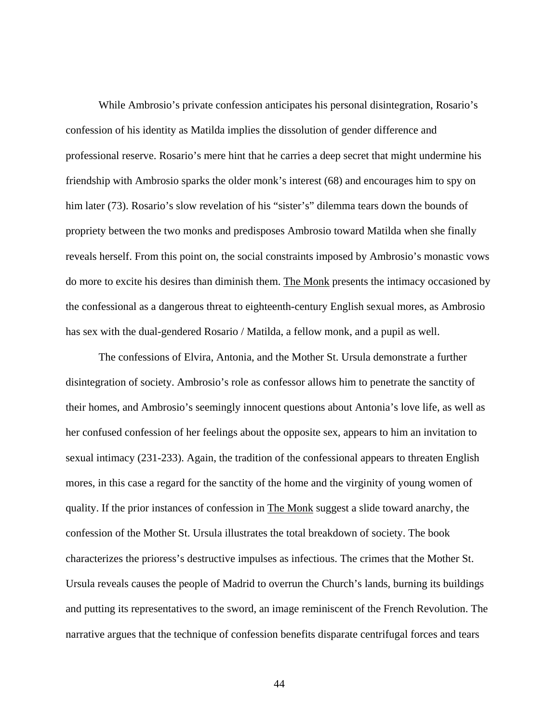While Ambrosio's private confession anticipates his personal disintegration, Rosario's confession of his identity as Matilda implies the dissolution of gender difference and professional reserve. Rosario's mere hint that he carries a deep secret that might undermine his friendship with Ambrosio sparks the older monk's interest (68) and encourages him to spy on him later (73). Rosario's slow revelation of his "sister's" dilemma tears down the bounds of propriety between the two monks and predisposes Ambrosio toward Matilda when she finally reveals herself. From this point on, the social constraints imposed by Ambrosio's monastic vows do more to excite his desires than diminish them. The Monk presents the intimacy occasioned by the confessional as a dangerous threat to eighteenth-century English sexual mores, as Ambrosio has sex with the dual-gendered Rosario / Matilda, a fellow monk, and a pupil as well.

The confessions of Elvira, Antonia, and the Mother St. Ursula demonstrate a further disintegration of society. Ambrosio's role as confessor allows him to penetrate the sanctity of their homes, and Ambrosio's seemingly innocent questions about Antonia's love life, as well as her confused confession of her feelings about the opposite sex, appears to him an invitation to sexual intimacy (231-233). Again, the tradition of the confessional appears to threaten English mores, in this case a regard for the sanctity of the home and the virginity of young women of quality. If the prior instances of confession in The Monk suggest a slide toward anarchy, the confession of the Mother St. Ursula illustrates the total breakdown of society. The book characterizes the prioress's destructive impulses as infectious. The crimes that the Mother St. Ursula reveals causes the people of Madrid to overrun the Church's lands, burning its buildings and putting its representatives to the sword, an image reminiscent of the French Revolution. The narrative argues that the technique of confession benefits disparate centrifugal forces and tears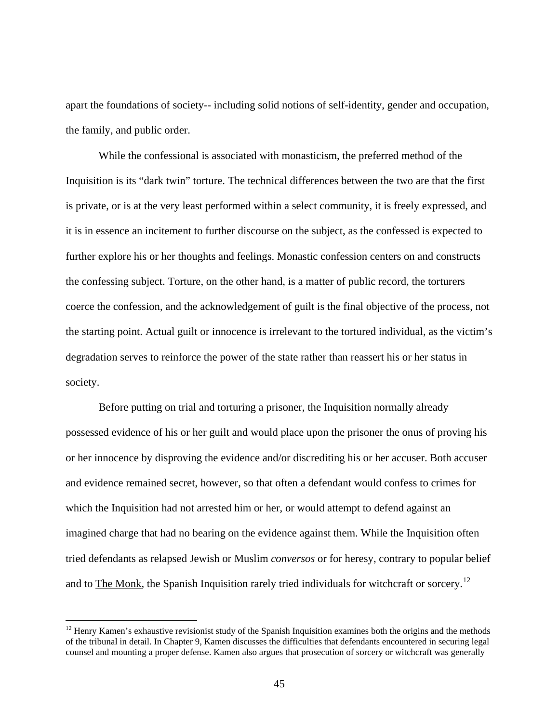apart the foundations of society-- including solid notions of self-identity, gender and occupation, the family, and public order.

While the confessional is associated with monasticism, the preferred method of the Inquisition is its "dark twin" torture. The technical differences between the two are that the first is private, or is at the very least performed within a select community, it is freely expressed, and it is in essence an incitement to further discourse on the subject, as the confessed is expected to further explore his or her thoughts and feelings. Monastic confession centers on and constructs the confessing subject. Torture, on the other hand, is a matter of public record, the torturers coerce the confession, and the acknowledgement of guilt is the final objective of the process, not the starting point. Actual guilt or innocence is irrelevant to the tortured individual, as the victim's degradation serves to reinforce the power of the state rather than reassert his or her status in society.

Before putting on trial and torturing a prisoner, the Inquisition normally already possessed evidence of his or her guilt and would place upon the prisoner the onus of proving his or her innocence by disproving the evidence and/or discrediting his or her accuser. Both accuser and evidence remained secret, however, so that often a defendant would confess to crimes for which the Inquisition had not arrested him or her, or would attempt to defend against an imagined charge that had no bearing on the evidence against them. While the Inquisition often tried defendants as relapsed Jewish or Muslim *conversos* or for heresy, contrary to popular belief and to The Monk, the Spanish Inquisition rarely tried individuals for witchcraft or sorcery.<sup>[12](#page-50-0)</sup>

 $\overline{a}$ 

<span id="page-50-0"></span><sup>&</sup>lt;sup>12</sup> Henry Kamen's exhaustive revisionist study of the Spanish Inquisition examines both the origins and the methods of the tribunal in detail. In Chapter 9, Kamen discusses the difficulties that defendants encountered in securing legal counsel and mounting a proper defense. Kamen also argues that prosecution of sorcery or witchcraft was generally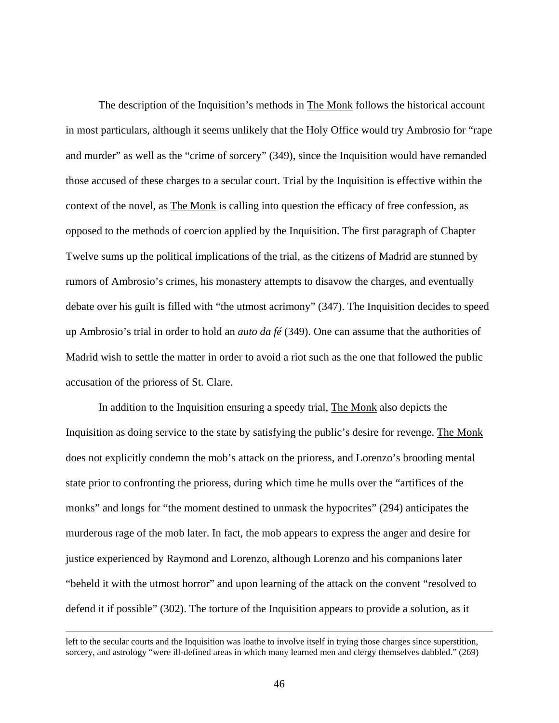The description of the Inquisition's methods in The Monk follows the historical account in most particulars, although it seems unlikely that the Holy Office would try Ambrosio for "rape and murder" as well as the "crime of sorcery" (349), since the Inquisition would have remanded those accused of these charges to a secular court. Trial by the Inquisition is effective within the context of the novel, as The Monk is calling into question the efficacy of free confession, as opposed to the methods of coercion applied by the Inquisition. The first paragraph of Chapter Twelve sums up the political implications of the trial, as the citizens of Madrid are stunned by rumors of Ambrosio's crimes, his monastery attempts to disavow the charges, and eventually debate over his guilt is filled with "the utmost acrimony" (347). The Inquisition decides to speed up Ambrosio's trial in order to hold an *auto da fé* (349). One can assume that the authorities of Madrid wish to settle the matter in order to avoid a riot such as the one that followed the public accusation of the prioress of St. Clare.

In addition to the Inquisition ensuring a speedy trial, The Monk also depicts the Inquisition as doing service to the state by satisfying the public's desire for revenge. The Monk does not explicitly condemn the mob's attack on the prioress, and Lorenzo's brooding mental state prior to confronting the prioress, during which time he mulls over the "artifices of the monks" and longs for "the moment destined to unmask the hypocrites" (294) anticipates the murderous rage of the mob later. In fact, the mob appears to express the anger and desire for justice experienced by Raymond and Lorenzo, although Lorenzo and his companions later "beheld it with the utmost horror" and upon learning of the attack on the convent "resolved to defend it if possible" (302). The torture of the Inquisition appears to provide a solution, as it

left to the secular courts and the Inquisition was loathe to involve itself in trying those charges since superstition, sorcery, and astrology "were ill-defined areas in which many learned men and clergy themselves dabbled." (269)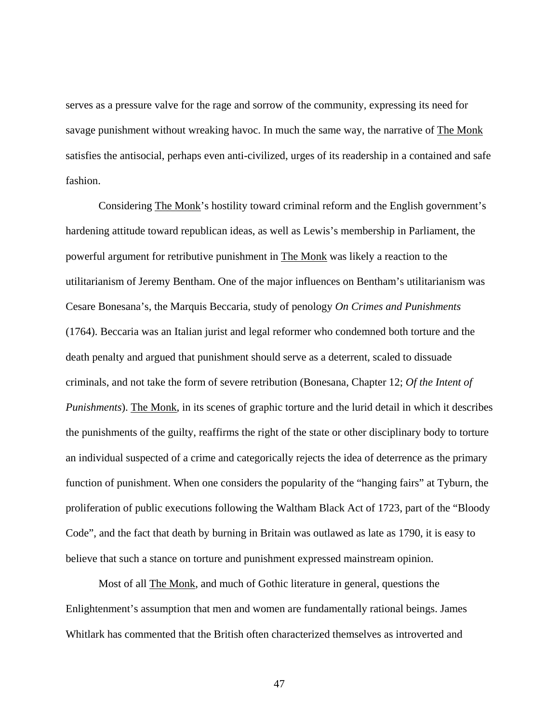serves as a pressure valve for the rage and sorrow of the community, expressing its need for savage punishment without wreaking havoc. In much the same way, the narrative of The Monk satisfies the antisocial, perhaps even anti-civilized, urges of its readership in a contained and safe fashion.

Considering The Monk's hostility toward criminal reform and the English government's hardening attitude toward republican ideas, as well as Lewis's membership in Parliament, the powerful argument for retributive punishment in The Monk was likely a reaction to the utilitarianism of Jeremy Bentham. One of the major influences on Bentham's utilitarianism was Cesare Bonesana's, the Marquis Beccaria, study of penology *On Crimes and Punishments* (1764). Beccaria was an Italian jurist and legal reformer who condemned both torture and the death penalty and argued that punishment should serve as a deterrent, scaled to dissuade criminals, and not take the form of severe retribution (Bonesana, Chapter 12; *Of the Intent of Punishments*). The Monk, in its scenes of graphic torture and the lurid detail in which it describes the punishments of the guilty, reaffirms the right of the state or other disciplinary body to torture an individual suspected of a crime and categorically rejects the idea of deterrence as the primary function of punishment. When one considers the popularity of the "hanging fairs" at Tyburn, the proliferation of public executions following the Waltham Black Act of 1723, part of the "Bloody Code", and the fact that death by burning in Britain was outlawed as late as 1790, it is easy to believe that such a stance on torture and punishment expressed mainstream opinion.

Most of all The Monk, and much of Gothic literature in general, questions the Enlightenment's assumption that men and women are fundamentally rational beings. James Whitlark has commented that the British often characterized themselves as introverted and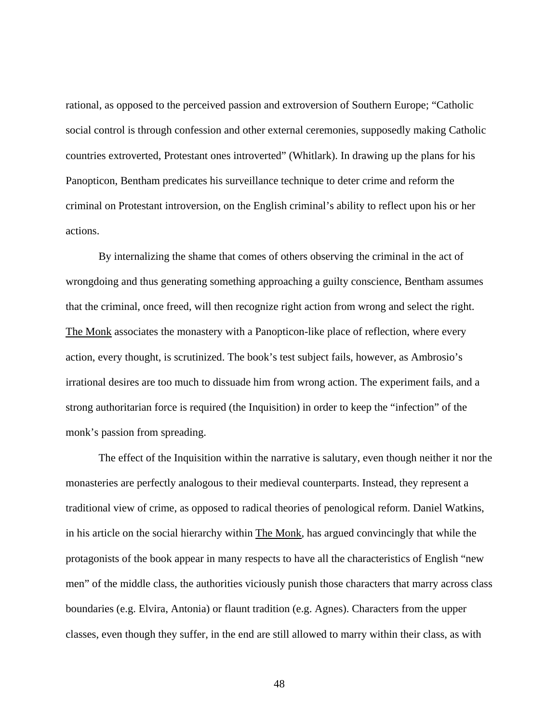rational, as opposed to the perceived passion and extroversion of Southern Europe; "Catholic social control is through confession and other external ceremonies, supposedly making Catholic countries extroverted, Protestant ones introverted" (Whitlark). In drawing up the plans for his Panopticon, Bentham predicates his surveillance technique to deter crime and reform the criminal on Protestant introversion, on the English criminal's ability to reflect upon his or her actions.

By internalizing the shame that comes of others observing the criminal in the act of wrongdoing and thus generating something approaching a guilty conscience, Bentham assumes that the criminal, once freed, will then recognize right action from wrong and select the right. The Monk associates the monastery with a Panopticon-like place of reflection, where every action, every thought, is scrutinized. The book's test subject fails, however, as Ambrosio's irrational desires are too much to dissuade him from wrong action. The experiment fails, and a strong authoritarian force is required (the Inquisition) in order to keep the "infection" of the monk's passion from spreading.

The effect of the Inquisition within the narrative is salutary, even though neither it nor the monasteries are perfectly analogous to their medieval counterparts. Instead, they represent a traditional view of crime, as opposed to radical theories of penological reform. Daniel Watkins, in his article on the social hierarchy within The Monk, has argued convincingly that while the protagonists of the book appear in many respects to have all the characteristics of English "new men" of the middle class, the authorities viciously punish those characters that marry across class boundaries (e.g. Elvira, Antonia) or flaunt tradition (e.g. Agnes). Characters from the upper classes, even though they suffer, in the end are still allowed to marry within their class, as with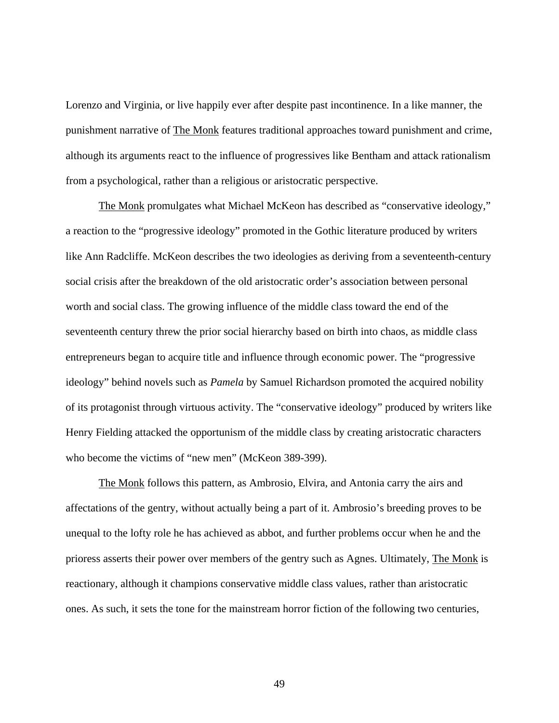Lorenzo and Virginia, or live happily ever after despite past incontinence. In a like manner, the punishment narrative of The Monk features traditional approaches toward punishment and crime, although its arguments react to the influence of progressives like Bentham and attack rationalism from a psychological, rather than a religious or aristocratic perspective.

The Monk promulgates what Michael McKeon has described as "conservative ideology," a reaction to the "progressive ideology" promoted in the Gothic literature produced by writers like Ann Radcliffe. McKeon describes the two ideologies as deriving from a seventeenth-century social crisis after the breakdown of the old aristocratic order's association between personal worth and social class. The growing influence of the middle class toward the end of the seventeenth century threw the prior social hierarchy based on birth into chaos, as middle class entrepreneurs began to acquire title and influence through economic power. The "progressive ideology" behind novels such as *Pamela* by Samuel Richardson promoted the acquired nobility of its protagonist through virtuous activity. The "conservative ideology" produced by writers like Henry Fielding attacked the opportunism of the middle class by creating aristocratic characters who become the victims of "new men" (McKeon 389-399).

The Monk follows this pattern, as Ambrosio, Elvira, and Antonia carry the airs and affectations of the gentry, without actually being a part of it. Ambrosio's breeding proves to be unequal to the lofty role he has achieved as abbot, and further problems occur when he and the prioress asserts their power over members of the gentry such as Agnes. Ultimately, The Monk is reactionary, although it champions conservative middle class values, rather than aristocratic ones. As such, it sets the tone for the mainstream horror fiction of the following two centuries,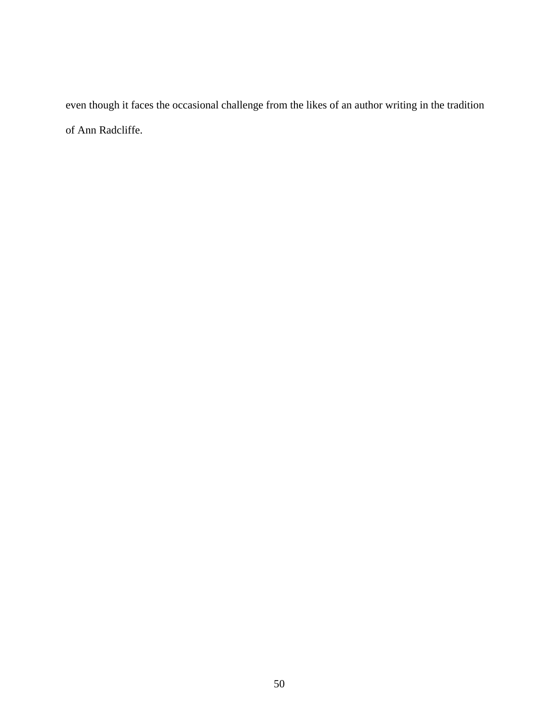even though it faces the occasional challenge from the likes of an author writing in the tradition of Ann Radcliffe.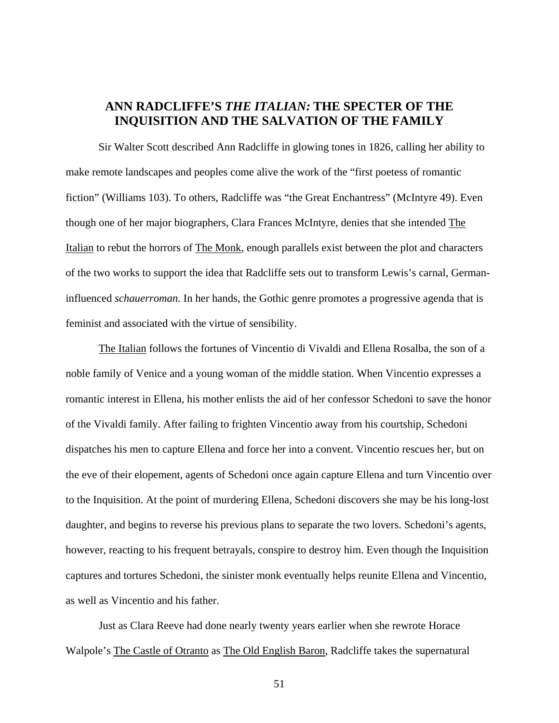# **ANN RADCLIFFE'S** *THE ITALIAN:* **THE SPECTER OF THE INQUISITION AND THE SALVATION OF THE FAMILY**

 Sir Walter Scott described Ann Radcliffe in glowing tones in 1826, calling her ability to make remote landscapes and peoples come alive the work of the "first poetess of romantic fiction" (Williams 103). To others, Radcliffe was "the Great Enchantress" (McIntyre 49). Even though one of her major biographers, Clara Frances McIntyre, denies that she intended The Italian to rebut the horrors of The Monk, enough parallels exist between the plot and characters of the two works to support the idea that Radcliffe sets out to transform Lewis's carnal, Germaninfluenced *schauerroman.* In her hands, the Gothic genre promotes a progressive agenda that is feminist and associated with the virtue of sensibility.

The Italian follows the fortunes of Vincentio di Vivaldi and Ellena Rosalba, the son of a noble family of Venice and a young woman of the middle station. When Vincentio expresses a romantic interest in Ellena, his mother enlists the aid of her confessor Schedoni to save the honor of the Vivaldi family. After failing to frighten Vincentio away from his courtship, Schedoni dispatches his men to capture Ellena and force her into a convent. Vincentio rescues her, but on the eve of their elopement, agents of Schedoni once again capture Ellena and turn Vincentio over to the Inquisition. At the point of murdering Ellena, Schedoni discovers she may be his long-lost daughter, and begins to reverse his previous plans to separate the two lovers. Schedoni's agents, however, reacting to his frequent betrayals, conspire to destroy him. Even though the Inquisition captures and tortures Schedoni, the sinister monk eventually helps reunite Ellena and Vincentio, as well as Vincentio and his father.

Just as Clara Reeve had done nearly twenty years earlier when she rewrote Horace Walpole's The Castle of Otranto as The Old English Baron, Radcliffe takes the supernatural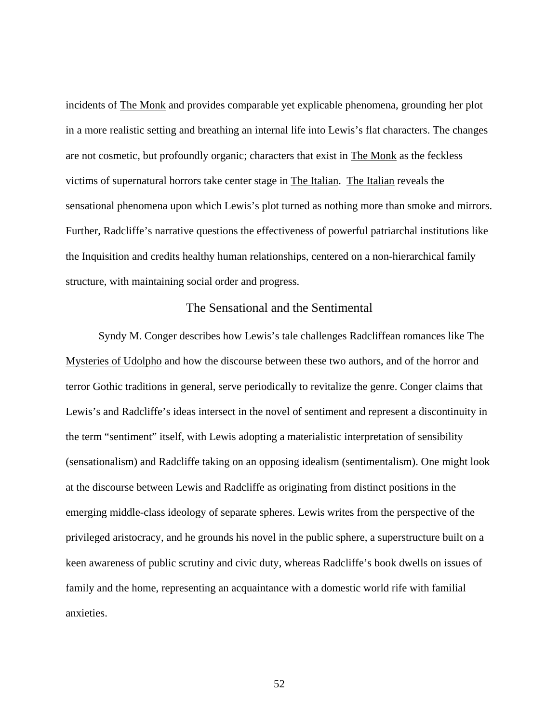incidents of The Monk and provides comparable yet explicable phenomena, grounding her plot in a more realistic setting and breathing an internal life into Lewis's flat characters. The changes are not cosmetic, but profoundly organic; characters that exist in The Monk as the feckless victims of supernatural horrors take center stage in The Italian. The Italian reveals the sensational phenomena upon which Lewis's plot turned as nothing more than smoke and mirrors. Further, Radcliffe's narrative questions the effectiveness of powerful patriarchal institutions like the Inquisition and credits healthy human relationships, centered on a non-hierarchical family structure, with maintaining social order and progress.

### The Sensational and the Sentimental

Syndy M. Conger describes how Lewis's tale challenges Radcliffean romances like The Mysteries of Udolpho and how the discourse between these two authors, and of the horror and terror Gothic traditions in general, serve periodically to revitalize the genre. Conger claims that Lewis's and Radcliffe's ideas intersect in the novel of sentiment and represent a discontinuity in the term "sentiment" itself, with Lewis adopting a materialistic interpretation of sensibility (sensationalism) and Radcliffe taking on an opposing idealism (sentimentalism). One might look at the discourse between Lewis and Radcliffe as originating from distinct positions in the emerging middle-class ideology of separate spheres. Lewis writes from the perspective of the privileged aristocracy, and he grounds his novel in the public sphere, a superstructure built on a keen awareness of public scrutiny and civic duty, whereas Radcliffe's book dwells on issues of family and the home, representing an acquaintance with a domestic world rife with familial anxieties.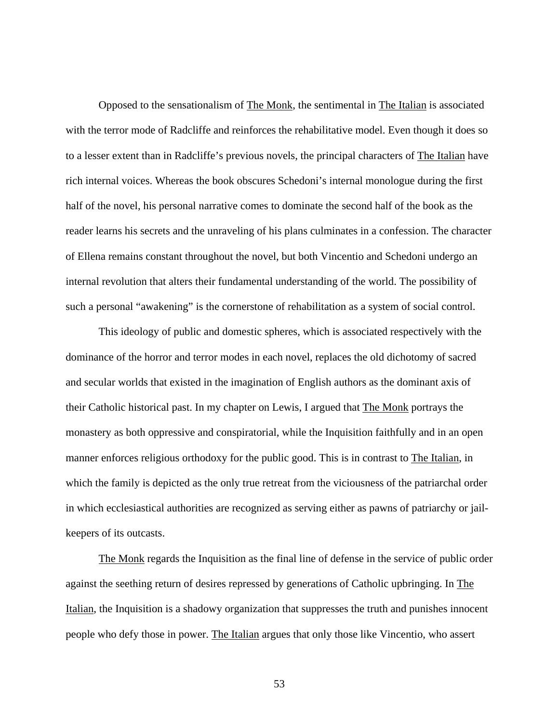Opposed to the sensationalism of The Monk, the sentimental in The Italian is associated with the terror mode of Radcliffe and reinforces the rehabilitative model. Even though it does so to a lesser extent than in Radcliffe's previous novels, the principal characters of The Italian have rich internal voices. Whereas the book obscures Schedoni's internal monologue during the first half of the novel, his personal narrative comes to dominate the second half of the book as the reader learns his secrets and the unraveling of his plans culminates in a confession. The character of Ellena remains constant throughout the novel, but both Vincentio and Schedoni undergo an internal revolution that alters their fundamental understanding of the world. The possibility of such a personal "awakening" is the cornerstone of rehabilitation as a system of social control.

This ideology of public and domestic spheres, which is associated respectively with the dominance of the horror and terror modes in each novel, replaces the old dichotomy of sacred and secular worlds that existed in the imagination of English authors as the dominant axis of their Catholic historical past. In my chapter on Lewis, I argued that The Monk portrays the monastery as both oppressive and conspiratorial, while the Inquisition faithfully and in an open manner enforces religious orthodoxy for the public good. This is in contrast to The Italian, in which the family is depicted as the only true retreat from the viciousness of the patriarchal order in which ecclesiastical authorities are recognized as serving either as pawns of patriarchy or jailkeepers of its outcasts.

The Monk regards the Inquisition as the final line of defense in the service of public order against the seething return of desires repressed by generations of Catholic upbringing. In The Italian, the Inquisition is a shadowy organization that suppresses the truth and punishes innocent people who defy those in power. The Italian argues that only those like Vincentio, who assert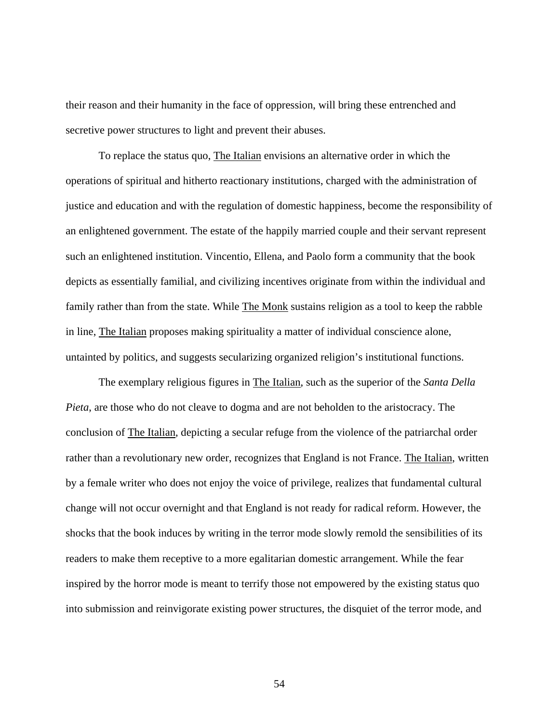their reason and their humanity in the face of oppression, will bring these entrenched and secretive power structures to light and prevent their abuses.

To replace the status quo, The Italian envisions an alternative order in which the operations of spiritual and hitherto reactionary institutions, charged with the administration of justice and education and with the regulation of domestic happiness, become the responsibility of an enlightened government. The estate of the happily married couple and their servant represent such an enlightened institution. Vincentio, Ellena, and Paolo form a community that the book depicts as essentially familial, and civilizing incentives originate from within the individual and family rather than from the state. While The Monk sustains religion as a tool to keep the rabble in line, The Italian proposes making spirituality a matter of individual conscience alone, untainted by politics, and suggests secularizing organized religion's institutional functions.

The exemplary religious figures in The Italian, such as the superior of the *Santa Della Pieta*, are those who do not cleave to dogma and are not beholden to the aristocracy. The conclusion of The Italian, depicting a secular refuge from the violence of the patriarchal order rather than a revolutionary new order, recognizes that England is not France. The Italian, written by a female writer who does not enjoy the voice of privilege, realizes that fundamental cultural change will not occur overnight and that England is not ready for radical reform. However, the shocks that the book induces by writing in the terror mode slowly remold the sensibilities of its readers to make them receptive to a more egalitarian domestic arrangement. While the fear inspired by the horror mode is meant to terrify those not empowered by the existing status quo into submission and reinvigorate existing power structures, the disquiet of the terror mode, and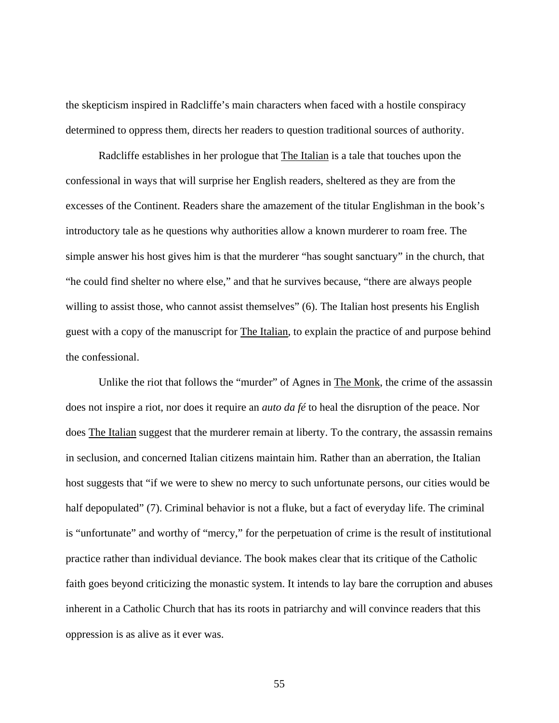the skepticism inspired in Radcliffe's main characters when faced with a hostile conspiracy determined to oppress them, directs her readers to question traditional sources of authority.

Radcliffe establishes in her prologue that The Italian is a tale that touches upon the confessional in ways that will surprise her English readers, sheltered as they are from the excesses of the Continent. Readers share the amazement of the titular Englishman in the book's introductory tale as he questions why authorities allow a known murderer to roam free. The simple answer his host gives him is that the murderer "has sought sanctuary" in the church, that "he could find shelter no where else," and that he survives because, "there are always people willing to assist those, who cannot assist themselves" (6). The Italian host presents his English guest with a copy of the manuscript for The Italian, to explain the practice of and purpose behind the confessional.

Unlike the riot that follows the "murder" of Agnes in The Monk, the crime of the assassin does not inspire a riot, nor does it require an *auto da fé* to heal the disruption of the peace. Nor does The Italian suggest that the murderer remain at liberty. To the contrary, the assassin remains in seclusion, and concerned Italian citizens maintain him. Rather than an aberration, the Italian host suggests that "if we were to shew no mercy to such unfortunate persons, our cities would be half depopulated" (7). Criminal behavior is not a fluke, but a fact of everyday life. The criminal is "unfortunate" and worthy of "mercy," for the perpetuation of crime is the result of institutional practice rather than individual deviance. The book makes clear that its critique of the Catholic faith goes beyond criticizing the monastic system. It intends to lay bare the corruption and abuses inherent in a Catholic Church that has its roots in patriarchy and will convince readers that this oppression is as alive as it ever was.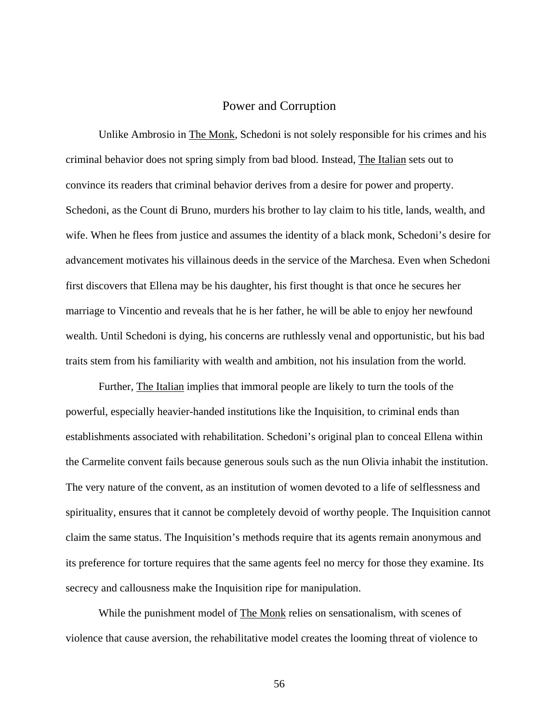#### Power and Corruption

Unlike Ambrosio in The Monk, Schedoni is not solely responsible for his crimes and his criminal behavior does not spring simply from bad blood. Instead, The Italian sets out to convince its readers that criminal behavior derives from a desire for power and property. Schedoni, as the Count di Bruno, murders his brother to lay claim to his title, lands, wealth, and wife. When he flees from justice and assumes the identity of a black monk, Schedoni's desire for advancement motivates his villainous deeds in the service of the Marchesa. Even when Schedoni first discovers that Ellena may be his daughter, his first thought is that once he secures her marriage to Vincentio and reveals that he is her father, he will be able to enjoy her newfound wealth. Until Schedoni is dying, his concerns are ruthlessly venal and opportunistic, but his bad traits stem from his familiarity with wealth and ambition, not his insulation from the world.

Further, The Italian implies that immoral people are likely to turn the tools of the powerful, especially heavier-handed institutions like the Inquisition, to criminal ends than establishments associated with rehabilitation. Schedoni's original plan to conceal Ellena within the Carmelite convent fails because generous souls such as the nun Olivia inhabit the institution. The very nature of the convent, as an institution of women devoted to a life of selflessness and spirituality, ensures that it cannot be completely devoid of worthy people. The Inquisition cannot claim the same status. The Inquisition's methods require that its agents remain anonymous and its preference for torture requires that the same agents feel no mercy for those they examine. Its secrecy and callousness make the Inquisition ripe for manipulation.

While the punishment model of The Monk relies on sensationalism, with scenes of violence that cause aversion, the rehabilitative model creates the looming threat of violence to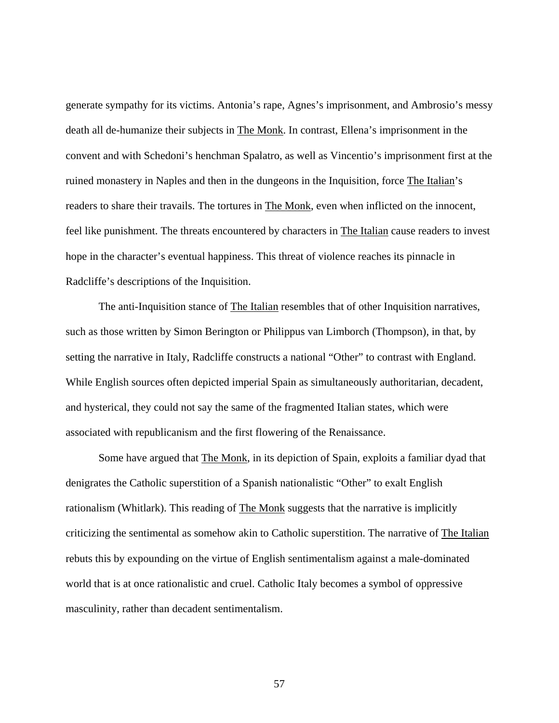generate sympathy for its victims. Antonia's rape, Agnes's imprisonment, and Ambrosio's messy death all de-humanize their subjects in The Monk. In contrast, Ellena's imprisonment in the convent and with Schedoni's henchman Spalatro, as well as Vincentio's imprisonment first at the ruined monastery in Naples and then in the dungeons in the Inquisition, force The Italian's readers to share their travails. The tortures in The Monk, even when inflicted on the innocent, feel like punishment. The threats encountered by characters in The Italian cause readers to invest hope in the character's eventual happiness. This threat of violence reaches its pinnacle in Radcliffe's descriptions of the Inquisition.

The anti-Inquisition stance of The Italian resembles that of other Inquisition narratives, such as those written by Simon Berington or Philippus van Limborch (Thompson), in that, by setting the narrative in Italy, Radcliffe constructs a national "Other" to contrast with England. While English sources often depicted imperial Spain as simultaneously authoritarian, decadent, and hysterical, they could not say the same of the fragmented Italian states, which were associated with republicanism and the first flowering of the Renaissance.

Some have argued that **The Monk**, in its depiction of Spain, exploits a familiar dyad that denigrates the Catholic superstition of a Spanish nationalistic "Other" to exalt English rationalism (Whitlark). This reading of The Monk suggests that the narrative is implicitly criticizing the sentimental as somehow akin to Catholic superstition. The narrative of The Italian rebuts this by expounding on the virtue of English sentimentalism against a male-dominated world that is at once rationalistic and cruel. Catholic Italy becomes a symbol of oppressive masculinity, rather than decadent sentimentalism.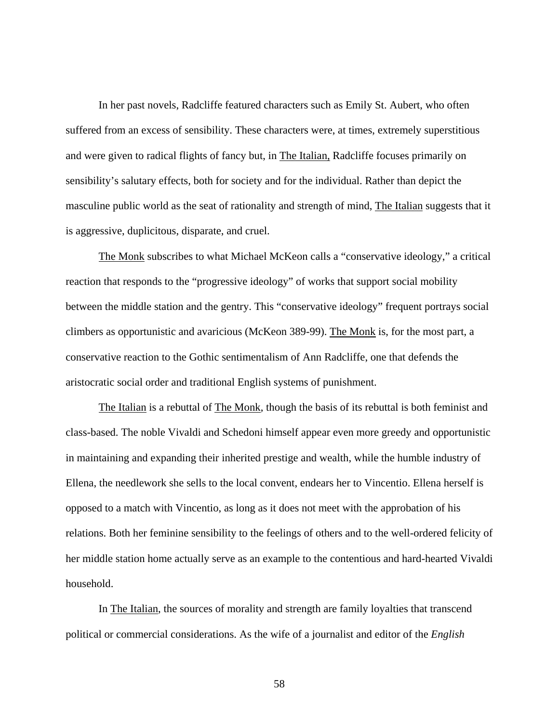In her past novels, Radcliffe featured characters such as Emily St. Aubert, who often suffered from an excess of sensibility. These characters were, at times, extremely superstitious and were given to radical flights of fancy but, in The Italian, Radcliffe focuses primarily on sensibility's salutary effects, both for society and for the individual. Rather than depict the masculine public world as the seat of rationality and strength of mind, The Italian suggests that it is aggressive, duplicitous, disparate, and cruel.

The Monk subscribes to what Michael McKeon calls a "conservative ideology," a critical reaction that responds to the "progressive ideology" of works that support social mobility between the middle station and the gentry. This "conservative ideology" frequent portrays social climbers as opportunistic and avaricious (McKeon 389-99). The Monk is, for the most part, a conservative reaction to the Gothic sentimentalism of Ann Radcliffe, one that defends the aristocratic social order and traditional English systems of punishment.

The Italian is a rebuttal of The Monk, though the basis of its rebuttal is both feminist and class-based. The noble Vivaldi and Schedoni himself appear even more greedy and opportunistic in maintaining and expanding their inherited prestige and wealth, while the humble industry of Ellena, the needlework she sells to the local convent, endears her to Vincentio. Ellena herself is opposed to a match with Vincentio, as long as it does not meet with the approbation of his relations. Both her feminine sensibility to the feelings of others and to the well-ordered felicity of her middle station home actually serve as an example to the contentious and hard-hearted Vivaldi household.

In The Italian, the sources of morality and strength are family loyalties that transcend political or commercial considerations. As the wife of a journalist and editor of the *English*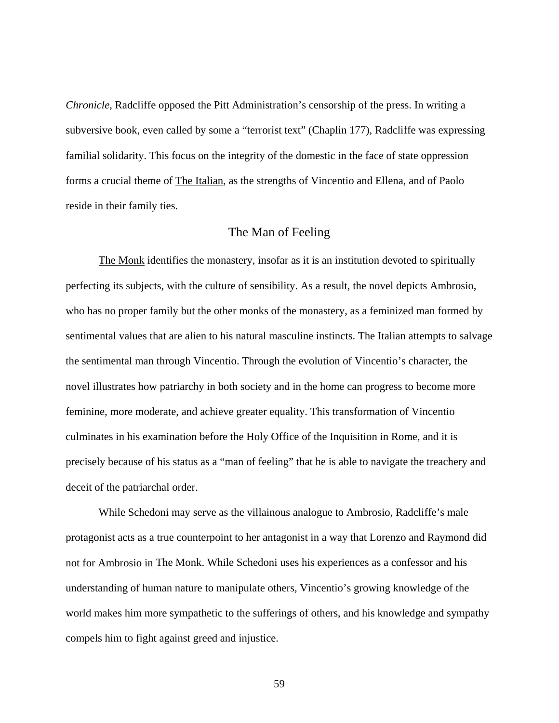*Chronicle*, Radcliffe opposed the Pitt Administration's censorship of the press. In writing a subversive book, even called by some a "terrorist text" (Chaplin 177), Radcliffe was expressing familial solidarity. This focus on the integrity of the domestic in the face of state oppression forms a crucial theme of The Italian, as the strengths of Vincentio and Ellena, and of Paolo reside in their family ties.

### The Man of Feeling

The Monk identifies the monastery, insofar as it is an institution devoted to spiritually perfecting its subjects, with the culture of sensibility. As a result, the novel depicts Ambrosio, who has no proper family but the other monks of the monastery, as a feminized man formed by sentimental values that are alien to his natural masculine instincts. The Italian attempts to salvage the sentimental man through Vincentio. Through the evolution of Vincentio's character, the novel illustrates how patriarchy in both society and in the home can progress to become more feminine, more moderate, and achieve greater equality. This transformation of Vincentio culminates in his examination before the Holy Office of the Inquisition in Rome, and it is precisely because of his status as a "man of feeling" that he is able to navigate the treachery and deceit of the patriarchal order.

While Schedoni may serve as the villainous analogue to Ambrosio, Radcliffe's male protagonist acts as a true counterpoint to her antagonist in a way that Lorenzo and Raymond did not for Ambrosio in The Monk. While Schedoni uses his experiences as a confessor and his understanding of human nature to manipulate others, Vincentio's growing knowledge of the world makes him more sympathetic to the sufferings of others, and his knowledge and sympathy compels him to fight against greed and injustice.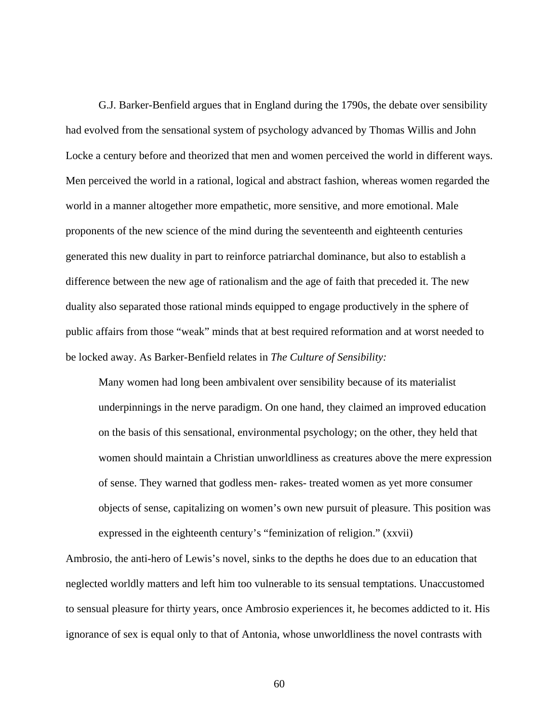G.J. Barker-Benfield argues that in England during the 1790s, the debate over sensibility had evolved from the sensational system of psychology advanced by Thomas Willis and John Locke a century before and theorized that men and women perceived the world in different ways. Men perceived the world in a rational, logical and abstract fashion, whereas women regarded the world in a manner altogether more empathetic, more sensitive, and more emotional. Male proponents of the new science of the mind during the seventeenth and eighteenth centuries generated this new duality in part to reinforce patriarchal dominance, but also to establish a difference between the new age of rationalism and the age of faith that preceded it. The new duality also separated those rational minds equipped to engage productively in the sphere of public affairs from those "weak" minds that at best required reformation and at worst needed to be locked away. As Barker-Benfield relates in *The Culture of Sensibility:*

Many women had long been ambivalent over sensibility because of its materialist underpinnings in the nerve paradigm. On one hand, they claimed an improved education on the basis of this sensational, environmental psychology; on the other, they held that women should maintain a Christian unworldliness as creatures above the mere expression of sense. They warned that godless men- rakes- treated women as yet more consumer objects of sense, capitalizing on women's own new pursuit of pleasure. This position was expressed in the eighteenth century's "feminization of religion." (xxvii)

Ambrosio, the anti-hero of Lewis's novel, sinks to the depths he does due to an education that neglected worldly matters and left him too vulnerable to its sensual temptations. Unaccustomed to sensual pleasure for thirty years, once Ambrosio experiences it, he becomes addicted to it. His ignorance of sex is equal only to that of Antonia, whose unworldliness the novel contrasts with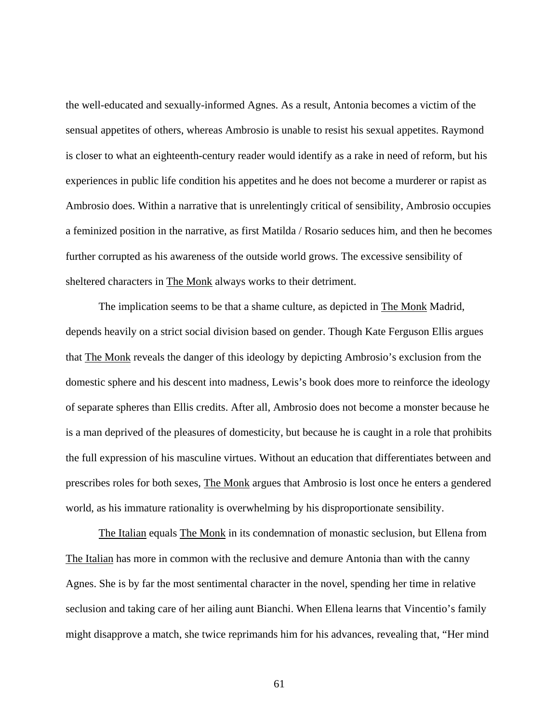the well-educated and sexually-informed Agnes. As a result, Antonia becomes a victim of the sensual appetites of others, whereas Ambrosio is unable to resist his sexual appetites. Raymond is closer to what an eighteenth-century reader would identify as a rake in need of reform, but his experiences in public life condition his appetites and he does not become a murderer or rapist as Ambrosio does. Within a narrative that is unrelentingly critical of sensibility, Ambrosio occupies a feminized position in the narrative, as first Matilda / Rosario seduces him, and then he becomes further corrupted as his awareness of the outside world grows. The excessive sensibility of sheltered characters in The Monk always works to their detriment.

The implication seems to be that a shame culture, as depicted in The Monk Madrid, depends heavily on a strict social division based on gender. Though Kate Ferguson Ellis argues that The Monk reveals the danger of this ideology by depicting Ambrosio's exclusion from the domestic sphere and his descent into madness, Lewis's book does more to reinforce the ideology of separate spheres than Ellis credits. After all, Ambrosio does not become a monster because he is a man deprived of the pleasures of domesticity, but because he is caught in a role that prohibits the full expression of his masculine virtues. Without an education that differentiates between and prescribes roles for both sexes, The Monk argues that Ambrosio is lost once he enters a gendered world, as his immature rationality is overwhelming by his disproportionate sensibility.

The Italian equals The Monk in its condemnation of monastic seclusion, but Ellena from The Italian has more in common with the reclusive and demure Antonia than with the canny Agnes. She is by far the most sentimental character in the novel, spending her time in relative seclusion and taking care of her ailing aunt Bianchi. When Ellena learns that Vincentio's family might disapprove a match, she twice reprimands him for his advances, revealing that, "Her mind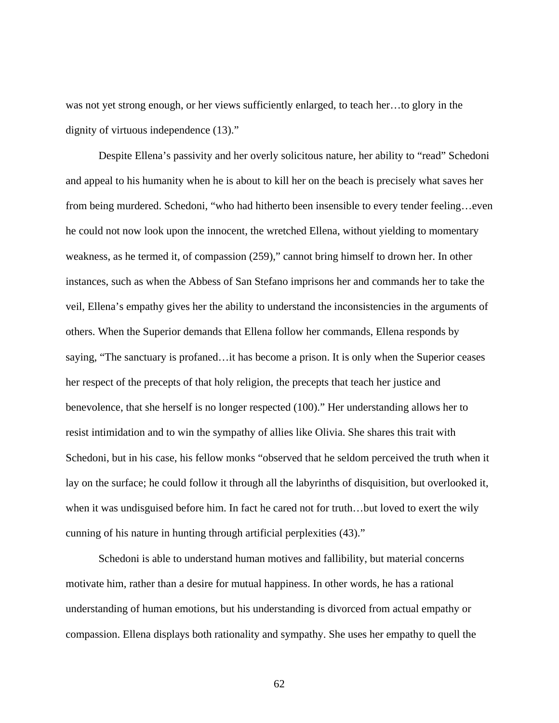was not yet strong enough, or her views sufficiently enlarged, to teach her…to glory in the dignity of virtuous independence (13)."

Despite Ellena's passivity and her overly solicitous nature, her ability to "read" Schedoni and appeal to his humanity when he is about to kill her on the beach is precisely what saves her from being murdered. Schedoni, "who had hitherto been insensible to every tender feeling...even he could not now look upon the innocent, the wretched Ellena, without yielding to momentary weakness, as he termed it, of compassion (259)," cannot bring himself to drown her. In other instances, such as when the Abbess of San Stefano imprisons her and commands her to take the veil, Ellena's empathy gives her the ability to understand the inconsistencies in the arguments of others. When the Superior demands that Ellena follow her commands, Ellena responds by saying, "The sanctuary is profaned…it has become a prison. It is only when the Superior ceases her respect of the precepts of that holy religion, the precepts that teach her justice and benevolence, that she herself is no longer respected (100)." Her understanding allows her to resist intimidation and to win the sympathy of allies like Olivia. She shares this trait with Schedoni, but in his case, his fellow monks "observed that he seldom perceived the truth when it lay on the surface; he could follow it through all the labyrinths of disquisition, but overlooked it, when it was undisguised before him. In fact he cared not for truth…but loved to exert the wily cunning of his nature in hunting through artificial perplexities (43)."

Schedoni is able to understand human motives and fallibility, but material concerns motivate him, rather than a desire for mutual happiness. In other words, he has a rational understanding of human emotions, but his understanding is divorced from actual empathy or compassion. Ellena displays both rationality and sympathy. She uses her empathy to quell the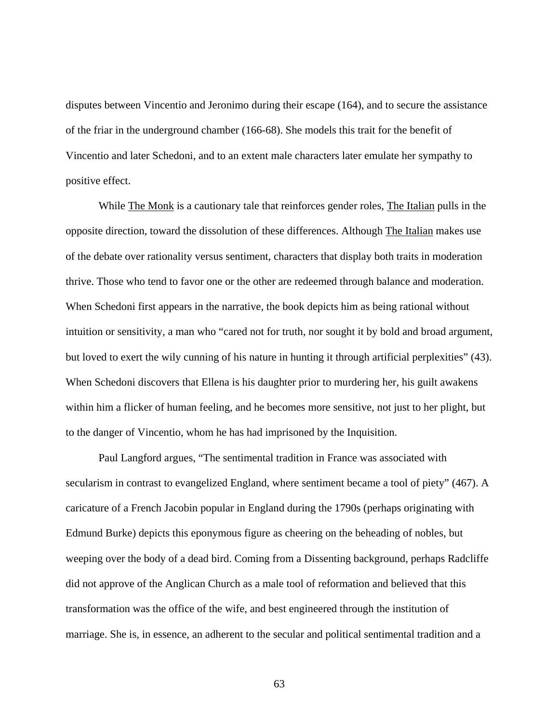disputes between Vincentio and Jeronimo during their escape (164), and to secure the assistance of the friar in the underground chamber (166-68). She models this trait for the benefit of Vincentio and later Schedoni, and to an extent male characters later emulate her sympathy to positive effect.

While The Monk is a cautionary tale that reinforces gender roles, The Italian pulls in the opposite direction, toward the dissolution of these differences. Although The Italian makes use of the debate over rationality versus sentiment, characters that display both traits in moderation thrive. Those who tend to favor one or the other are redeemed through balance and moderation. When Schedoni first appears in the narrative, the book depicts him as being rational without intuition or sensitivity, a man who "cared not for truth, nor sought it by bold and broad argument, but loved to exert the wily cunning of his nature in hunting it through artificial perplexities" (43). When Schedoni discovers that Ellena is his daughter prior to murdering her, his guilt awakens within him a flicker of human feeling, and he becomes more sensitive, not just to her plight, but to the danger of Vincentio, whom he has had imprisoned by the Inquisition.

Paul Langford argues, "The sentimental tradition in France was associated with secularism in contrast to evangelized England, where sentiment became a tool of piety" (467). A caricature of a French Jacobin popular in England during the 1790s (perhaps originating with Edmund Burke) depicts this eponymous figure as cheering on the beheading of nobles, but weeping over the body of a dead bird. Coming from a Dissenting background, perhaps Radcliffe did not approve of the Anglican Church as a male tool of reformation and believed that this transformation was the office of the wife, and best engineered through the institution of marriage. She is, in essence, an adherent to the secular and political sentimental tradition and a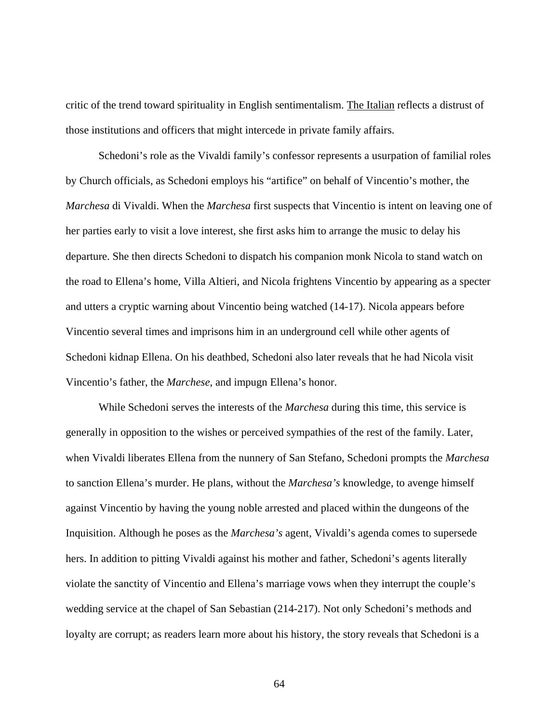critic of the trend toward spirituality in English sentimentalism. The Italian reflects a distrust of those institutions and officers that might intercede in private family affairs.

Schedoni's role as the Vivaldi family's confessor represents a usurpation of familial roles by Church officials, as Schedoni employs his "artifice" on behalf of Vincentio's mother, the *Marchesa* di Vivaldi. When the *Marchesa* first suspects that Vincentio is intent on leaving one of her parties early to visit a love interest, she first asks him to arrange the music to delay his departure. She then directs Schedoni to dispatch his companion monk Nicola to stand watch on the road to Ellena's home, Villa Altieri, and Nicola frightens Vincentio by appearing as a specter and utters a cryptic warning about Vincentio being watched (14-17). Nicola appears before Vincentio several times and imprisons him in an underground cell while other agents of Schedoni kidnap Ellena. On his deathbed, Schedoni also later reveals that he had Nicola visit Vincentio's father, the *Marchese*, and impugn Ellena's honor.

While Schedoni serves the interests of the *Marchesa* during this time, this service is generally in opposition to the wishes or perceived sympathies of the rest of the family. Later, when Vivaldi liberates Ellena from the nunnery of San Stefano, Schedoni prompts the *Marchesa* to sanction Ellena's murder. He plans, without the *Marchesa's* knowledge, to avenge himself against Vincentio by having the young noble arrested and placed within the dungeons of the Inquisition. Although he poses as the *Marchesa's* agent, Vivaldi's agenda comes to supersede hers. In addition to pitting Vivaldi against his mother and father, Schedoni's agents literally violate the sanctity of Vincentio and Ellena's marriage vows when they interrupt the couple's wedding service at the chapel of San Sebastian (214-217). Not only Schedoni's methods and loyalty are corrupt; as readers learn more about his history, the story reveals that Schedoni is a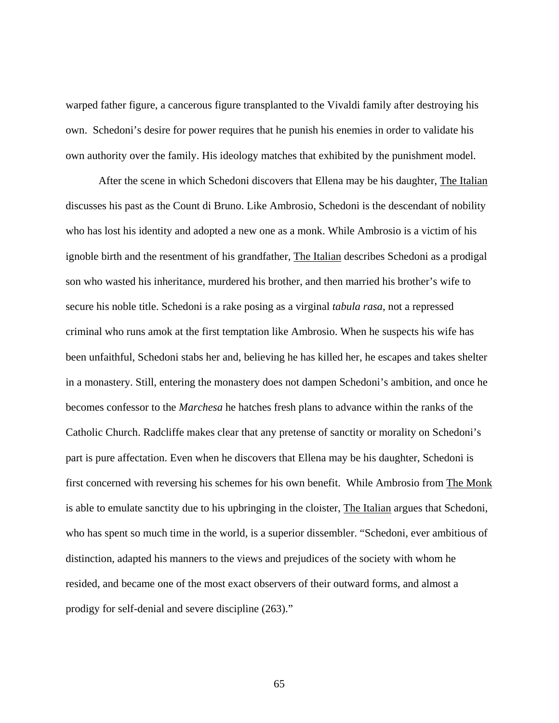warped father figure, a cancerous figure transplanted to the Vivaldi family after destroying his own. Schedoni's desire for power requires that he punish his enemies in order to validate his own authority over the family. His ideology matches that exhibited by the punishment model.

After the scene in which Schedoni discovers that Ellena may be his daughter, The Italian discusses his past as the Count di Bruno. Like Ambrosio, Schedoni is the descendant of nobility who has lost his identity and adopted a new one as a monk. While Ambrosio is a victim of his ignoble birth and the resentment of his grandfather, The Italian describes Schedoni as a prodigal son who wasted his inheritance, murdered his brother, and then married his brother's wife to secure his noble title. Schedoni is a rake posing as a virginal *tabula rasa*, not a repressed criminal who runs amok at the first temptation like Ambrosio. When he suspects his wife has been unfaithful, Schedoni stabs her and, believing he has killed her, he escapes and takes shelter in a monastery. Still, entering the monastery does not dampen Schedoni's ambition, and once he becomes confessor to the *Marchesa* he hatches fresh plans to advance within the ranks of the Catholic Church. Radcliffe makes clear that any pretense of sanctity or morality on Schedoni's part is pure affectation. Even when he discovers that Ellena may be his daughter, Schedoni is first concerned with reversing his schemes for his own benefit. While Ambrosio from The Monk is able to emulate sanctity due to his upbringing in the cloister, The Italian argues that Schedoni, who has spent so much time in the world, is a superior dissembler. "Schedoni, ever ambitious of distinction, adapted his manners to the views and prejudices of the society with whom he resided, and became one of the most exact observers of their outward forms, and almost a prodigy for self-denial and severe discipline (263)."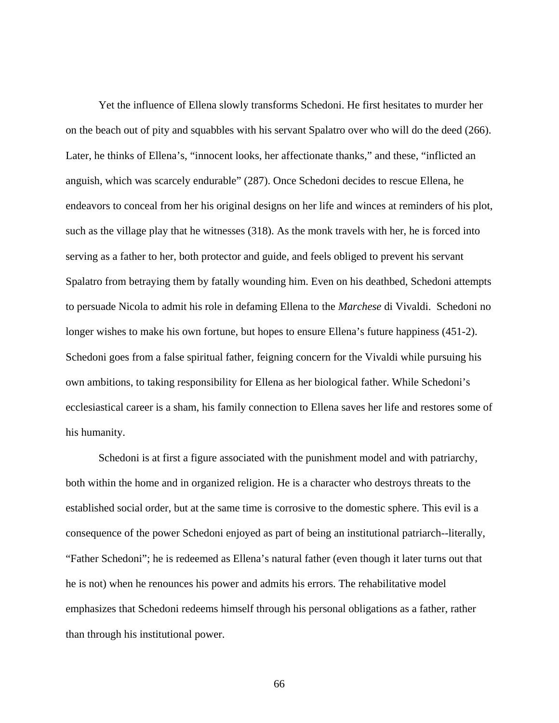Yet the influence of Ellena slowly transforms Schedoni. He first hesitates to murder her on the beach out of pity and squabbles with his servant Spalatro over who will do the deed (266). Later, he thinks of Ellena's, "innocent looks, her affectionate thanks," and these, "inflicted an anguish, which was scarcely endurable" (287). Once Schedoni decides to rescue Ellena, he endeavors to conceal from her his original designs on her life and winces at reminders of his plot, such as the village play that he witnesses (318). As the monk travels with her, he is forced into serving as a father to her, both protector and guide, and feels obliged to prevent his servant Spalatro from betraying them by fatally wounding him. Even on his deathbed, Schedoni attempts to persuade Nicola to admit his role in defaming Ellena to the *Marchese* di Vivaldi. Schedoni no longer wishes to make his own fortune, but hopes to ensure Ellena's future happiness (451-2). Schedoni goes from a false spiritual father, feigning concern for the Vivaldi while pursuing his own ambitions, to taking responsibility for Ellena as her biological father. While Schedoni's ecclesiastical career is a sham, his family connection to Ellena saves her life and restores some of his humanity.

Schedoni is at first a figure associated with the punishment model and with patriarchy, both within the home and in organized religion. He is a character who destroys threats to the established social order, but at the same time is corrosive to the domestic sphere. This evil is a consequence of the power Schedoni enjoyed as part of being an institutional patriarch--literally, "Father Schedoni"; he is redeemed as Ellena's natural father (even though it later turns out that he is not) when he renounces his power and admits his errors. The rehabilitative model emphasizes that Schedoni redeems himself through his personal obligations as a father, rather than through his institutional power.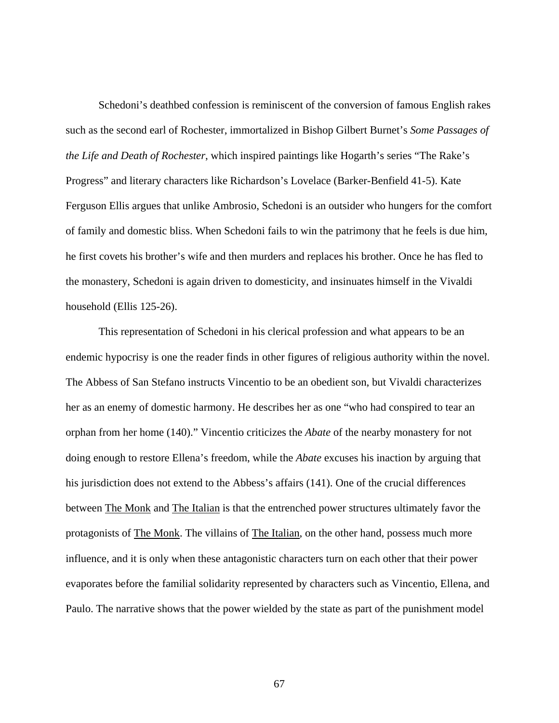Schedoni's deathbed confession is reminiscent of the conversion of famous English rakes such as the second earl of Rochester, immortalized in Bishop Gilbert Burnet's *Some Passages of the Life and Death of Rochester*, which inspired paintings like Hogarth's series "The Rake's Progress" and literary characters like Richardson's Lovelace (Barker-Benfield 41-5). Kate Ferguson Ellis argues that unlike Ambrosio, Schedoni is an outsider who hungers for the comfort of family and domestic bliss. When Schedoni fails to win the patrimony that he feels is due him, he first covets his brother's wife and then murders and replaces his brother. Once he has fled to the monastery, Schedoni is again driven to domesticity, and insinuates himself in the Vivaldi household (Ellis 125-26).

This representation of Schedoni in his clerical profession and what appears to be an endemic hypocrisy is one the reader finds in other figures of religious authority within the novel. The Abbess of San Stefano instructs Vincentio to be an obedient son, but Vivaldi characterizes her as an enemy of domestic harmony. He describes her as one "who had conspired to tear an orphan from her home (140)." Vincentio criticizes the *Abate* of the nearby monastery for not doing enough to restore Ellena's freedom, while the *Abate* excuses his inaction by arguing that his jurisdiction does not extend to the Abbess's affairs (141). One of the crucial differences between The Monk and The Italian is that the entrenched power structures ultimately favor the protagonists of The Monk. The villains of The Italian, on the other hand, possess much more influence, and it is only when these antagonistic characters turn on each other that their power evaporates before the familial solidarity represented by characters such as Vincentio, Ellena, and Paulo. The narrative shows that the power wielded by the state as part of the punishment model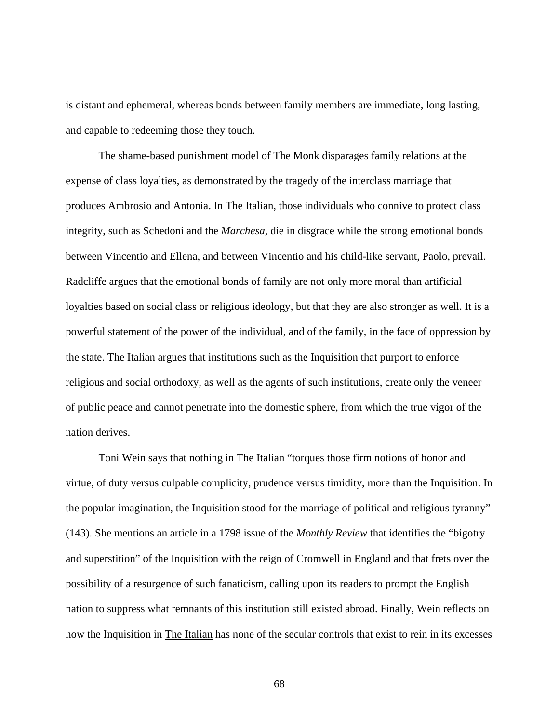is distant and ephemeral, whereas bonds between family members are immediate, long lasting, and capable to redeeming those they touch.

The shame-based punishment model of The Monk disparages family relations at the expense of class loyalties, as demonstrated by the tragedy of the interclass marriage that produces Ambrosio and Antonia. In The Italian, those individuals who connive to protect class integrity, such as Schedoni and the *Marchesa*, die in disgrace while the strong emotional bonds between Vincentio and Ellena, and between Vincentio and his child-like servant, Paolo, prevail. Radcliffe argues that the emotional bonds of family are not only more moral than artificial loyalties based on social class or religious ideology, but that they are also stronger as well. It is a powerful statement of the power of the individual, and of the family, in the face of oppression by the state. The Italian argues that institutions such as the Inquisition that purport to enforce religious and social orthodoxy, as well as the agents of such institutions, create only the veneer of public peace and cannot penetrate into the domestic sphere, from which the true vigor of the nation derives.

Toni Wein says that nothing in The Italian "torques those firm notions of honor and virtue, of duty versus culpable complicity, prudence versus timidity, more than the Inquisition. In the popular imagination, the Inquisition stood for the marriage of political and religious tyranny" (143). She mentions an article in a 1798 issue of the *Monthly Review* that identifies the "bigotry and superstition" of the Inquisition with the reign of Cromwell in England and that frets over the possibility of a resurgence of such fanaticism, calling upon its readers to prompt the English nation to suppress what remnants of this institution still existed abroad. Finally, Wein reflects on how the Inquisition in The Italian has none of the secular controls that exist to rein in its excesses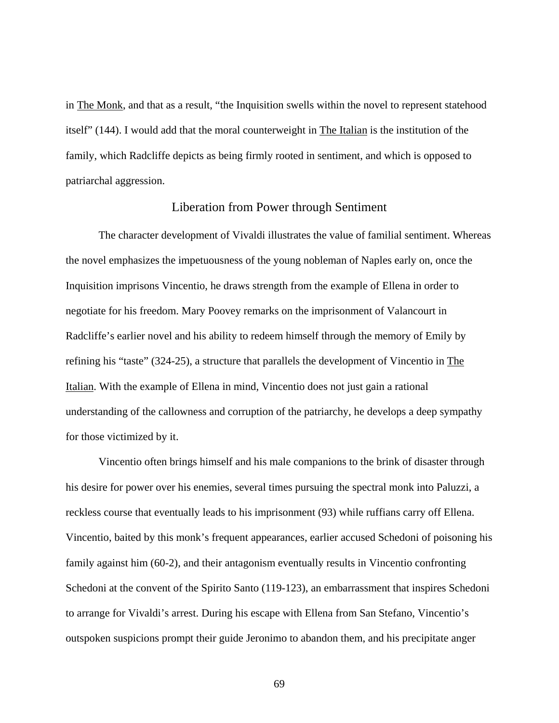in The Monk, and that as a result, "the Inquisition swells within the novel to represent statehood itself" (144). I would add that the moral counterweight in The Italian is the institution of the family, which Radcliffe depicts as being firmly rooted in sentiment, and which is opposed to patriarchal aggression.

## Liberation from Power through Sentiment

The character development of Vivaldi illustrates the value of familial sentiment. Whereas the novel emphasizes the impetuousness of the young nobleman of Naples early on, once the Inquisition imprisons Vincentio, he draws strength from the example of Ellena in order to negotiate for his freedom. Mary Poovey remarks on the imprisonment of Valancourt in Radcliffe's earlier novel and his ability to redeem himself through the memory of Emily by refining his "taste" (324-25), a structure that parallels the development of Vincentio in The Italian. With the example of Ellena in mind, Vincentio does not just gain a rational understanding of the callowness and corruption of the patriarchy, he develops a deep sympathy for those victimized by it.

Vincentio often brings himself and his male companions to the brink of disaster through his desire for power over his enemies, several times pursuing the spectral monk into Paluzzi, a reckless course that eventually leads to his imprisonment (93) while ruffians carry off Ellena. Vincentio, baited by this monk's frequent appearances, earlier accused Schedoni of poisoning his family against him (60-2), and their antagonism eventually results in Vincentio confronting Schedoni at the convent of the Spirito Santo (119-123), an embarrassment that inspires Schedoni to arrange for Vivaldi's arrest. During his escape with Ellena from San Stefano, Vincentio's outspoken suspicions prompt their guide Jeronimo to abandon them, and his precipitate anger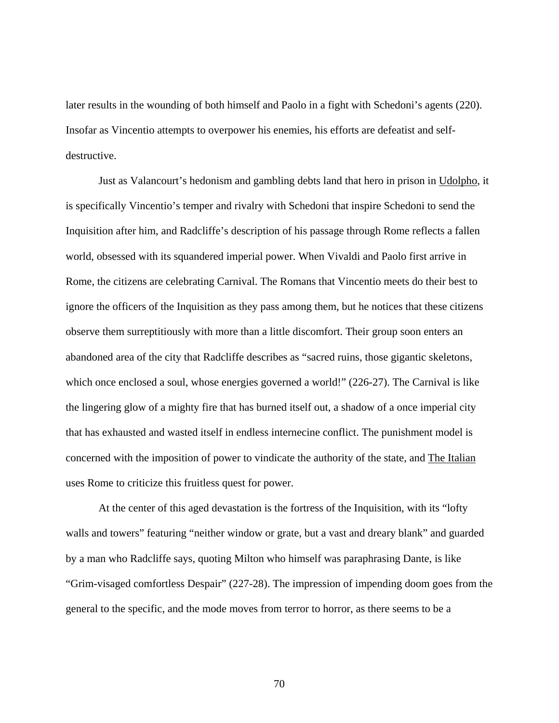later results in the wounding of both himself and Paolo in a fight with Schedoni's agents (220). Insofar as Vincentio attempts to overpower his enemies, his efforts are defeatist and selfdestructive.

Just as Valancourt's hedonism and gambling debts land that hero in prison in Udolpho, it is specifically Vincentio's temper and rivalry with Schedoni that inspire Schedoni to send the Inquisition after him, and Radcliffe's description of his passage through Rome reflects a fallen world, obsessed with its squandered imperial power. When Vivaldi and Paolo first arrive in Rome, the citizens are celebrating Carnival. The Romans that Vincentio meets do their best to ignore the officers of the Inquisition as they pass among them, but he notices that these citizens observe them surreptitiously with more than a little discomfort. Their group soon enters an abandoned area of the city that Radcliffe describes as "sacred ruins, those gigantic skeletons, which once enclosed a soul, whose energies governed a world!" (226-27). The Carnival is like the lingering glow of a mighty fire that has burned itself out, a shadow of a once imperial city that has exhausted and wasted itself in endless internecine conflict. The punishment model is concerned with the imposition of power to vindicate the authority of the state, and The Italian uses Rome to criticize this fruitless quest for power.

At the center of this aged devastation is the fortress of the Inquisition, with its "lofty walls and towers" featuring "neither window or grate, but a vast and dreary blank" and guarded by a man who Radcliffe says, quoting Milton who himself was paraphrasing Dante, is like "Grim-visaged comfortless Despair" (227-28). The impression of impending doom goes from the general to the specific, and the mode moves from terror to horror, as there seems to be a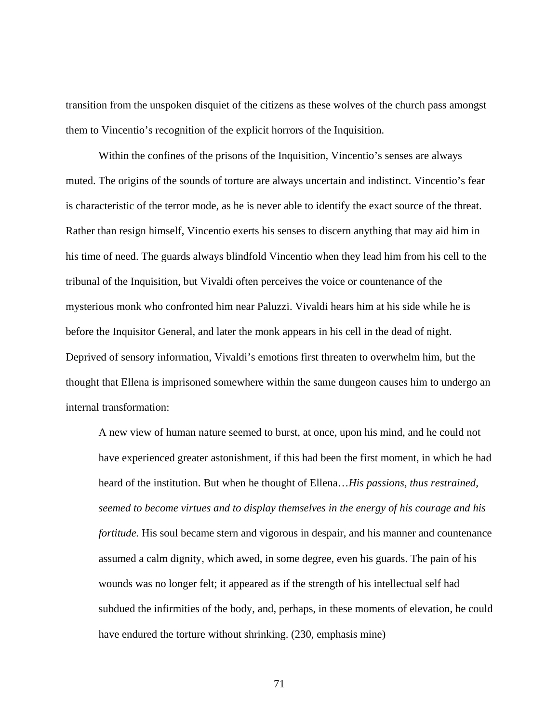transition from the unspoken disquiet of the citizens as these wolves of the church pass amongst them to Vincentio's recognition of the explicit horrors of the Inquisition.

Within the confines of the prisons of the Inquisition, Vincentio's senses are always muted. The origins of the sounds of torture are always uncertain and indistinct. Vincentio's fear is characteristic of the terror mode, as he is never able to identify the exact source of the threat. Rather than resign himself, Vincentio exerts his senses to discern anything that may aid him in his time of need. The guards always blindfold Vincentio when they lead him from his cell to the tribunal of the Inquisition, but Vivaldi often perceives the voice or countenance of the mysterious monk who confronted him near Paluzzi. Vivaldi hears him at his side while he is before the Inquisitor General, and later the monk appears in his cell in the dead of night. Deprived of sensory information, Vivaldi's emotions first threaten to overwhelm him, but the thought that Ellena is imprisoned somewhere within the same dungeon causes him to undergo an internal transformation:

A new view of human nature seemed to burst, at once, upon his mind, and he could not have experienced greater astonishment, if this had been the first moment, in which he had heard of the institution. But when he thought of Ellena…*His passions, thus restrained, seemed to become virtues and to display themselves in the energy of his courage and his fortitude.* His soul became stern and vigorous in despair, and his manner and countenance assumed a calm dignity, which awed, in some degree, even his guards. The pain of his wounds was no longer felt; it appeared as if the strength of his intellectual self had subdued the infirmities of the body, and, perhaps, in these moments of elevation, he could have endured the torture without shrinking. (230, emphasis mine)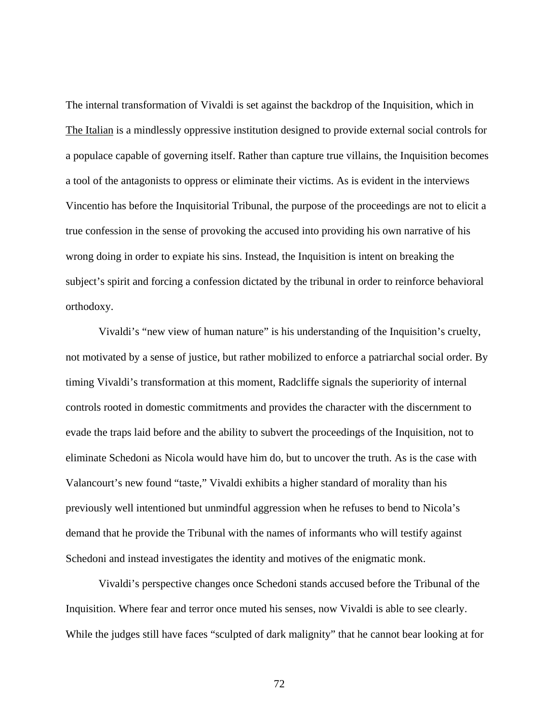The internal transformation of Vivaldi is set against the backdrop of the Inquisition, which in The Italian is a mindlessly oppressive institution designed to provide external social controls for a populace capable of governing itself. Rather than capture true villains, the Inquisition becomes a tool of the antagonists to oppress or eliminate their victims. As is evident in the interviews Vincentio has before the Inquisitorial Tribunal, the purpose of the proceedings are not to elicit a true confession in the sense of provoking the accused into providing his own narrative of his wrong doing in order to expiate his sins. Instead, the Inquisition is intent on breaking the subject's spirit and forcing a confession dictated by the tribunal in order to reinforce behavioral orthodoxy.

Vivaldi's "new view of human nature" is his understanding of the Inquisition's cruelty, not motivated by a sense of justice, but rather mobilized to enforce a patriarchal social order. By timing Vivaldi's transformation at this moment, Radcliffe signals the superiority of internal controls rooted in domestic commitments and provides the character with the discernment to evade the traps laid before and the ability to subvert the proceedings of the Inquisition, not to eliminate Schedoni as Nicola would have him do, but to uncover the truth. As is the case with Valancourt's new found "taste," Vivaldi exhibits a higher standard of morality than his previously well intentioned but unmindful aggression when he refuses to bend to Nicola's demand that he provide the Tribunal with the names of informants who will testify against Schedoni and instead investigates the identity and motives of the enigmatic monk.

Vivaldi's perspective changes once Schedoni stands accused before the Tribunal of the Inquisition. Where fear and terror once muted his senses, now Vivaldi is able to see clearly. While the judges still have faces "sculpted of dark malignity" that he cannot bear looking at for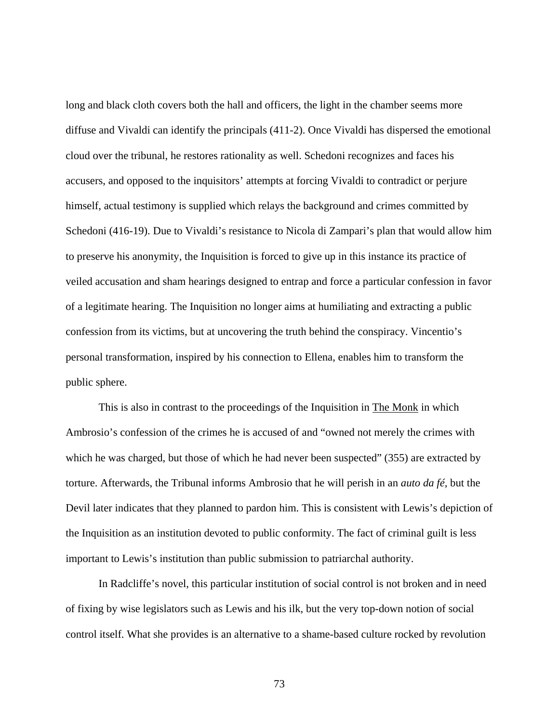long and black cloth covers both the hall and officers, the light in the chamber seems more diffuse and Vivaldi can identify the principals (411-2). Once Vivaldi has dispersed the emotional cloud over the tribunal, he restores rationality as well. Schedoni recognizes and faces his accusers, and opposed to the inquisitors' attempts at forcing Vivaldi to contradict or perjure himself, actual testimony is supplied which relays the background and crimes committed by Schedoni (416-19). Due to Vivaldi's resistance to Nicola di Zampari's plan that would allow him to preserve his anonymity, the Inquisition is forced to give up in this instance its practice of veiled accusation and sham hearings designed to entrap and force a particular confession in favor of a legitimate hearing. The Inquisition no longer aims at humiliating and extracting a public confession from its victims, but at uncovering the truth behind the conspiracy. Vincentio's personal transformation, inspired by his connection to Ellena, enables him to transform the public sphere.

This is also in contrast to the proceedings of the Inquisition in The Monk in which Ambrosio's confession of the crimes he is accused of and "owned not merely the crimes with which he was charged, but those of which he had never been suspected" (355) are extracted by torture. Afterwards, the Tribunal informs Ambrosio that he will perish in an *auto da fé,* but the Devil later indicates that they planned to pardon him. This is consistent with Lewis's depiction of the Inquisition as an institution devoted to public conformity. The fact of criminal guilt is less important to Lewis's institution than public submission to patriarchal authority.

In Radcliffe's novel, this particular institution of social control is not broken and in need of fixing by wise legislators such as Lewis and his ilk, but the very top-down notion of social control itself. What she provides is an alternative to a shame-based culture rocked by revolution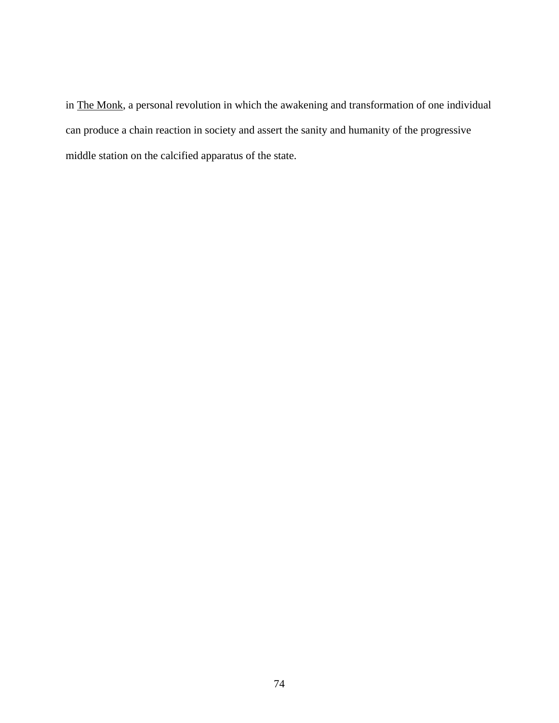in The Monk, a personal revolution in which the awakening and transformation of one individual can produce a chain reaction in society and assert the sanity and humanity of the progressive middle station on the calcified apparatus of the state.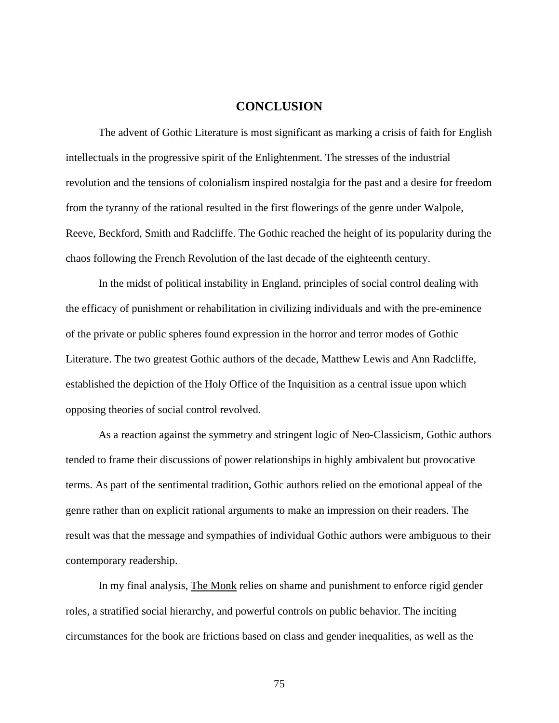## **CONCLUSION**

 The advent of Gothic Literature is most significant as marking a crisis of faith for English intellectuals in the progressive spirit of the Enlightenment. The stresses of the industrial revolution and the tensions of colonialism inspired nostalgia for the past and a desire for freedom from the tyranny of the rational resulted in the first flowerings of the genre under Walpole, Reeve, Beckford, Smith and Radcliffe. The Gothic reached the height of its popularity during the chaos following the French Revolution of the last decade of the eighteenth century.

In the midst of political instability in England, principles of social control dealing with the efficacy of punishment or rehabilitation in civilizing individuals and with the pre-eminence of the private or public spheres found expression in the horror and terror modes of Gothic Literature. The two greatest Gothic authors of the decade, Matthew Lewis and Ann Radcliffe, established the depiction of the Holy Office of the Inquisition as a central issue upon which opposing theories of social control revolved.

As a reaction against the symmetry and stringent logic of Neo-Classicism, Gothic authors tended to frame their discussions of power relationships in highly ambivalent but provocative terms. As part of the sentimental tradition, Gothic authors relied on the emotional appeal of the genre rather than on explicit rational arguments to make an impression on their readers. The result was that the message and sympathies of individual Gothic authors were ambiguous to their contemporary readership.

In my final analysis, The Monk relies on shame and punishment to enforce rigid gender roles, a stratified social hierarchy, and powerful controls on public behavior. The inciting circumstances for the book are frictions based on class and gender inequalities, as well as the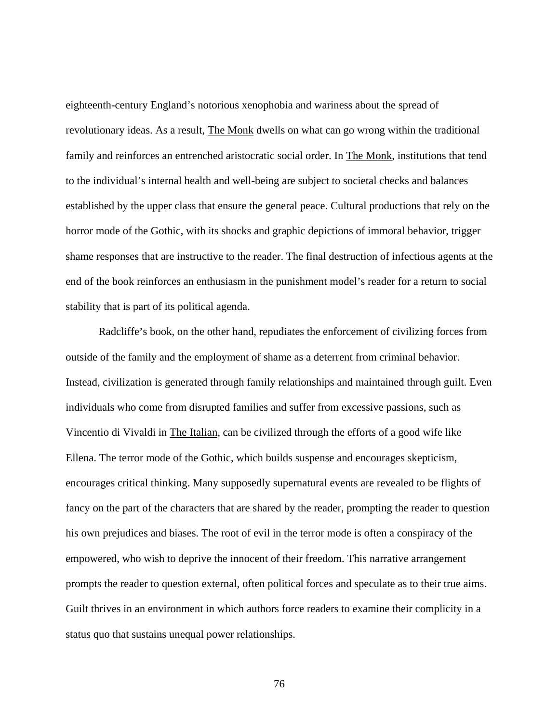eighteenth-century England's notorious xenophobia and wariness about the spread of revolutionary ideas. As a result, The Monk dwells on what can go wrong within the traditional family and reinforces an entrenched aristocratic social order. In The Monk, institutions that tend to the individual's internal health and well-being are subject to societal checks and balances established by the upper class that ensure the general peace. Cultural productions that rely on the horror mode of the Gothic, with its shocks and graphic depictions of immoral behavior, trigger shame responses that are instructive to the reader. The final destruction of infectious agents at the end of the book reinforces an enthusiasm in the punishment model's reader for a return to social stability that is part of its political agenda.

Radcliffe's book, on the other hand, repudiates the enforcement of civilizing forces from outside of the family and the employment of shame as a deterrent from criminal behavior. Instead, civilization is generated through family relationships and maintained through guilt. Even individuals who come from disrupted families and suffer from excessive passions, such as Vincentio di Vivaldi in The Italian, can be civilized through the efforts of a good wife like Ellena. The terror mode of the Gothic, which builds suspense and encourages skepticism, encourages critical thinking. Many supposedly supernatural events are revealed to be flights of fancy on the part of the characters that are shared by the reader, prompting the reader to question his own prejudices and biases. The root of evil in the terror mode is often a conspiracy of the empowered, who wish to deprive the innocent of their freedom. This narrative arrangement prompts the reader to question external, often political forces and speculate as to their true aims. Guilt thrives in an environment in which authors force readers to examine their complicity in a status quo that sustains unequal power relationships.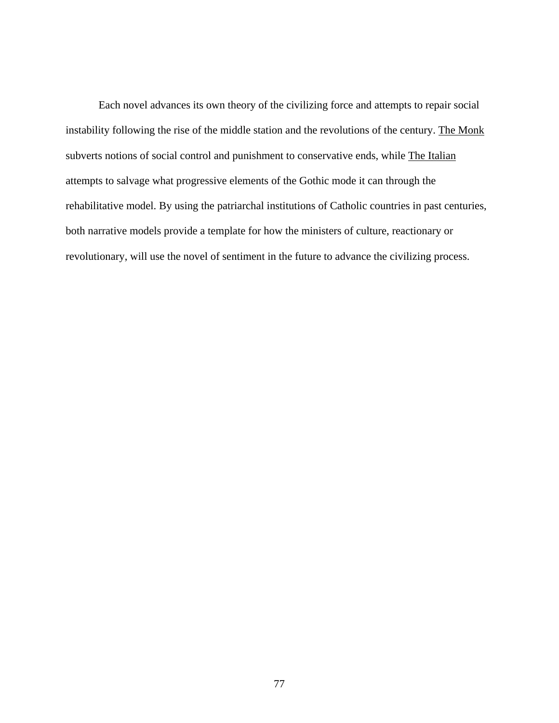Each novel advances its own theory of the civilizing force and attempts to repair social instability following the rise of the middle station and the revolutions of the century. The Monk subverts notions of social control and punishment to conservative ends, while The Italian attempts to salvage what progressive elements of the Gothic mode it can through the rehabilitative model. By using the patriarchal institutions of Catholic countries in past centuries, both narrative models provide a template for how the ministers of culture, reactionary or revolutionary, will use the novel of sentiment in the future to advance the civilizing process.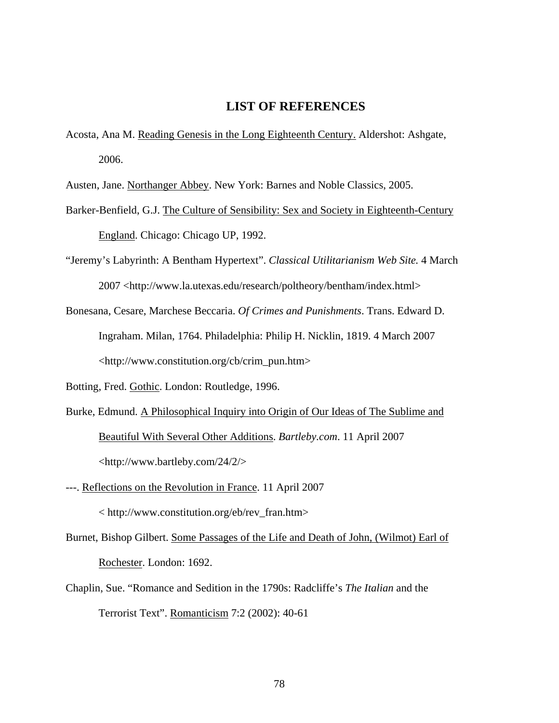## **LIST OF REFERENCES**

Acosta, Ana M. Reading Genesis in the Long Eighteenth Century. Aldershot: Ashgate, 2006.

Austen, Jane. Northanger Abbey. New York: Barnes and Noble Classics, 2005.

- Barker-Benfield, G.J. The Culture of Sensibility: Sex and Society in Eighteenth-Century England. Chicago: Chicago UP, 1992.
- "Jeremy's Labyrinth: A Bentham Hypertext". *Classical Utilitarianism Web Site.* 4 March 2007 <http://www.la.utexas.edu/research/poltheory/bentham/index.html>
- Bonesana, Cesare, Marchese Beccaria. *Of Crimes and Punishments*. Trans. Edward D. Ingraham. Milan, 1764. Philadelphia: Philip H. Nicklin, 1819. 4 March 2007 <http://www.constitution.org/cb/crim\_pun.htm>
- Botting, Fred. Gothic. London: Routledge, 1996.
- Burke, Edmund. A Philosophical Inquiry into Origin of Our Ideas of The Sublime and Beautiful With Several Other Additions. *Bartleby.com*. 11 April 2007 <http://www.bartleby.com/24/2/>
- ---. Reflections on the Revolution in France. 11 April 2007 < http://www.constitution.org/eb/rev\_fran.htm>
- Burnet, Bishop Gilbert. Some Passages of the Life and Death of John, (Wilmot) Earl of Rochester. London: 1692.
- Chaplin, Sue. "Romance and Sedition in the 1790s: Radcliffe's *The Italian* and the Terrorist Text". Romanticism 7:2 (2002): 40-61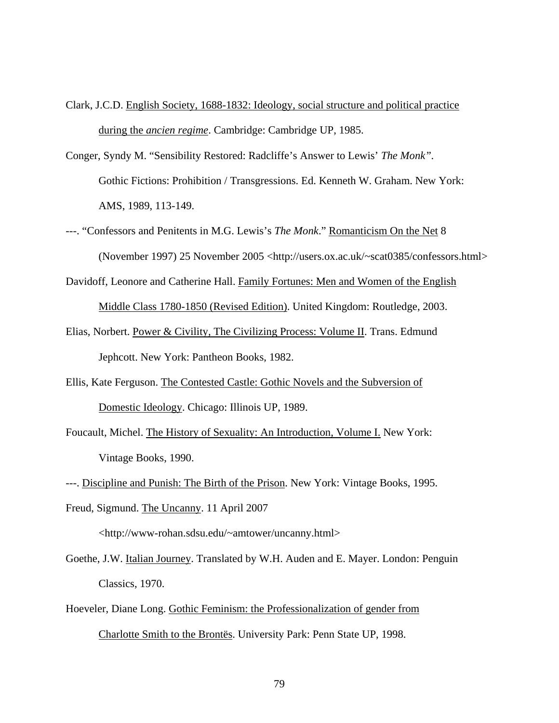- Clark, J.C.D. English Society, 1688-1832: Ideology, social structure and political practice during the *ancien regime*. Cambridge: Cambridge UP, 1985.
- Conger, Syndy M. "Sensibility Restored: Radcliffe's Answer to Lewis' *The Monk".* Gothic Fictions: Prohibition / Transgressions. Ed. Kenneth W. Graham. New York: AMS, 1989, 113-149.
- ---. "Confessors and Penitents in M.G. Lewis's *The Monk*." Romanticism On the Net 8 (November 1997) 25 November 2005 <http://users.ox.ac.uk/~scat0385/confessors.html>
- Davidoff, Leonore and Catherine Hall. Family Fortunes: Men and Women of the English Middle Class 1780-1850 (Revised Edition). United Kingdom: Routledge, 2003.
- Elias, Norbert. Power & Civility, The Civilizing Process: Volume II. Trans. Edmund Jephcott. New York: Pantheon Books, 1982.
- Ellis, Kate Ferguson. The Contested Castle: Gothic Novels and the Subversion of Domestic Ideology. Chicago: Illinois UP, 1989.
- Foucault, Michel. The History of Sexuality: An Introduction, Volume I. New York: Vintage Books, 1990.
- ---. Discipline and Punish: The Birth of the Prison. New York: Vintage Books, 1995.
- Freud, Sigmund. The Uncanny. 11 April 2007 <http://www-rohan.sdsu.edu/~amtower/uncanny.html>
- Goethe, J.W. Italian Journey. Translated by W.H. Auden and E. Mayer. London: Penguin Classics, 1970.
- Hoeveler, Diane Long. Gothic Feminism: the Professionalization of gender from Charlotte Smith to the Brontës. University Park: Penn State UP, 1998.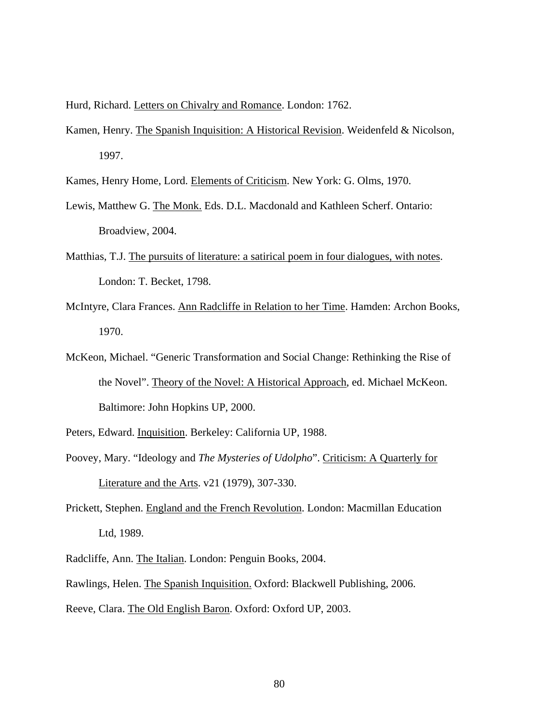Hurd, Richard. Letters on Chivalry and Romance. London: 1762.

Kamen, Henry. The Spanish Inquisition: A Historical Revision. Weidenfeld & Nicolson, 1997.

Kames, Henry Home, Lord. Elements of Criticism. New York: G. Olms, 1970.

- Lewis, Matthew G. The Monk. Eds. D.L. Macdonald and Kathleen Scherf. Ontario: Broadview, 2004.
- Matthias, T.J. The pursuits of literature: a satirical poem in four dialogues, with notes. London: T. Becket, 1798.
- McIntyre, Clara Frances. Ann Radcliffe in Relation to her Time. Hamden: Archon Books, 1970.
- McKeon, Michael. "Generic Transformation and Social Change: Rethinking the Rise of the Novel". Theory of the Novel: A Historical Approach, ed. Michael McKeon. Baltimore: John Hopkins UP, 2000.
- Peters, Edward. Inquisition. Berkeley: California UP, 1988.
- Poovey, Mary. "Ideology and *The Mysteries of Udolpho*". Criticism: A Quarterly for Literature and the Arts. v21 (1979), 307-330.
- Prickett, Stephen. England and the French Revolution. London: Macmillan Education Ltd, 1989.
- Radcliffe, Ann. The Italian. London: Penguin Books, 2004.
- Rawlings, Helen. The Spanish Inquisition. Oxford: Blackwell Publishing, 2006.
- Reeve, Clara. The Old English Baron. Oxford: Oxford UP, 2003.